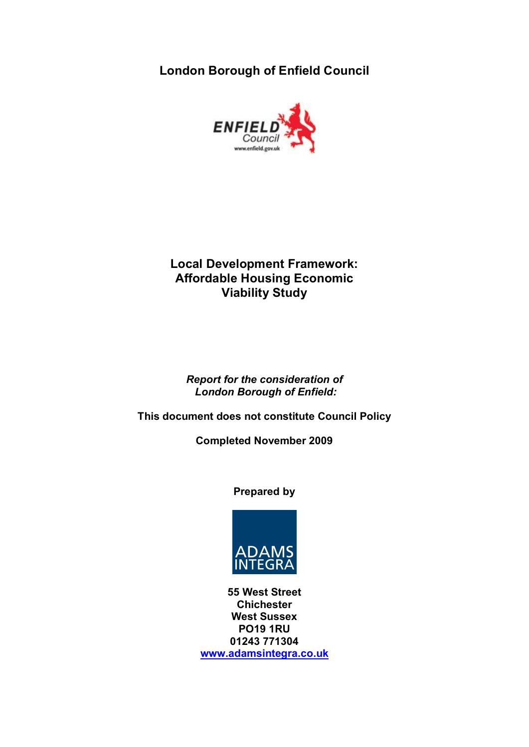**London Borough of Enfield Council** 



## **Local Development Framework: Affordable Housing Economic Viability Study**

*Report for the consideration of London Borough of Enfield:* 

**This document does not constitute Council Policy** 

**Completed November 2009** 

**Prepared by** 



**55 West Street Chichester West Sussex PO19 1RU 01243 771304 <www.adamsintegra.co.uk>**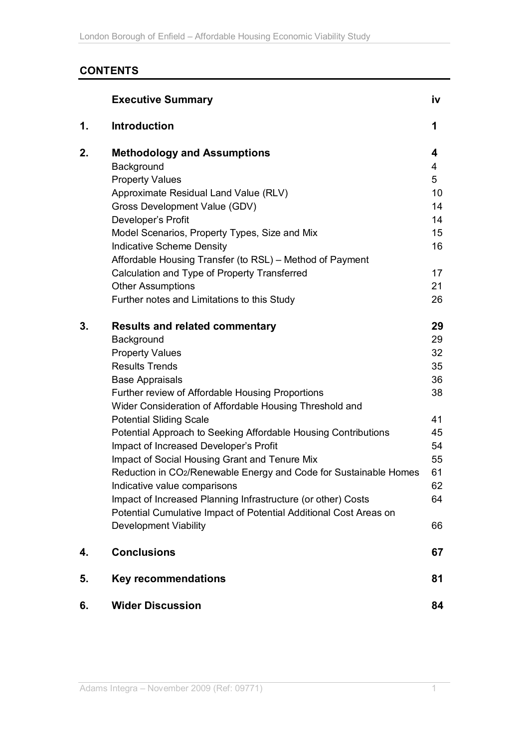# **CONTENTS**

|    | <b>Executive Summary</b>                                          | İV |
|----|-------------------------------------------------------------------|----|
| 1. | <b>Introduction</b>                                               | 1  |
| 2. | <b>Methodology and Assumptions</b>                                | 4  |
|    | Background                                                        | 4  |
|    | <b>Property Values</b>                                            | 5  |
|    | Approximate Residual Land Value (RLV)                             | 10 |
|    | Gross Development Value (GDV)                                     | 14 |
|    | Developer's Profit                                                | 14 |
|    | Model Scenarios, Property Types, Size and Mix                     | 15 |
|    | <b>Indicative Scheme Density</b>                                  | 16 |
|    | Affordable Housing Transfer (to RSL) – Method of Payment          |    |
|    | Calculation and Type of Property Transferred                      | 17 |
|    | <b>Other Assumptions</b>                                          | 21 |
|    | Further notes and Limitations to this Study                       | 26 |
| 3. | <b>Results and related commentary</b>                             | 29 |
|    | Background                                                        | 29 |
|    | <b>Property Values</b>                                            | 32 |
|    | <b>Results Trends</b>                                             | 35 |
|    | <b>Base Appraisals</b>                                            | 36 |
|    | Further review of Affordable Housing Proportions                  | 38 |
|    | Wider Consideration of Affordable Housing Threshold and           |    |
|    | <b>Potential Sliding Scale</b>                                    | 41 |
|    | Potential Approach to Seeking Affordable Housing Contributions    | 45 |
|    | Impact of Increased Developer's Profit                            | 54 |
|    | Impact of Social Housing Grant and Tenure Mix                     | 55 |
|    | Reduction in CO2/Renewable Energy and Code for Sustainable Homes  | 61 |
|    | Indicative value comparisons                                      | 62 |
|    | Impact of Increased Planning Infrastructure (or other) Costs      | 64 |
|    | Potential Cumulative Impact of Potential Additional Cost Areas on |    |
|    | Development Viability                                             | 66 |
| 4. | <b>Conclusions</b>                                                | 67 |
| 5. | <b>Key recommendations</b>                                        | 81 |
| 6. | <b>Wider Discussion</b>                                           | 84 |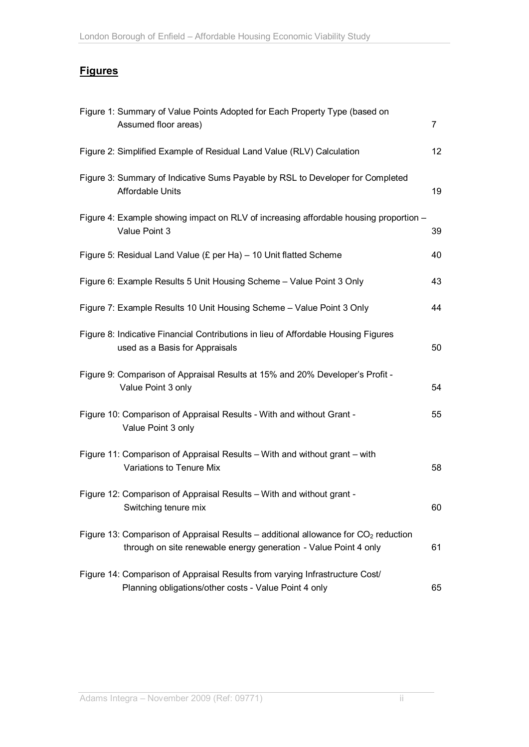## **Figures**

| Figure 1: Summary of Value Points Adopted for Each Property Type (based on<br>Assumed floor areas)                                                        | $\overline{7}$ |
|-----------------------------------------------------------------------------------------------------------------------------------------------------------|----------------|
| Figure 2: Simplified Example of Residual Land Value (RLV) Calculation                                                                                     | 12             |
| Figure 3: Summary of Indicative Sums Payable by RSL to Developer for Completed<br><b>Affordable Units</b>                                                 | 19             |
| Figure 4: Example showing impact on RLV of increasing affordable housing proportion -<br>Value Point 3                                                    | 39             |
| Figure 5: Residual Land Value (£ per Ha) $-$ 10 Unit flatted Scheme                                                                                       | 40             |
| Figure 6: Example Results 5 Unit Housing Scheme - Value Point 3 Only                                                                                      | 43             |
| Figure 7: Example Results 10 Unit Housing Scheme - Value Point 3 Only                                                                                     | 44             |
| Figure 8: Indicative Financial Contributions in lieu of Affordable Housing Figures<br>used as a Basis for Appraisals                                      | 50             |
| Figure 9: Comparison of Appraisal Results at 15% and 20% Developer's Profit -<br>Value Point 3 only                                                       | 54             |
| Figure 10: Comparison of Appraisal Results - With and without Grant -<br>Value Point 3 only                                                               | 55             |
| Figure 11: Comparison of Appraisal Results - With and without grant - with<br>Variations to Tenure Mix                                                    | 58             |
| Figure 12: Comparison of Appraisal Results - With and without grant -<br>Switching tenure mix                                                             | 60             |
| Figure 13: Comparison of Appraisal Results – additional allowance for $CO2$ reduction<br>through on site renewable energy generation - Value Point 4 only | 61             |
| Figure 14: Comparison of Appraisal Results from varying Infrastructure Cost/<br>Planning obligations/other costs - Value Point 4 only                     | 65             |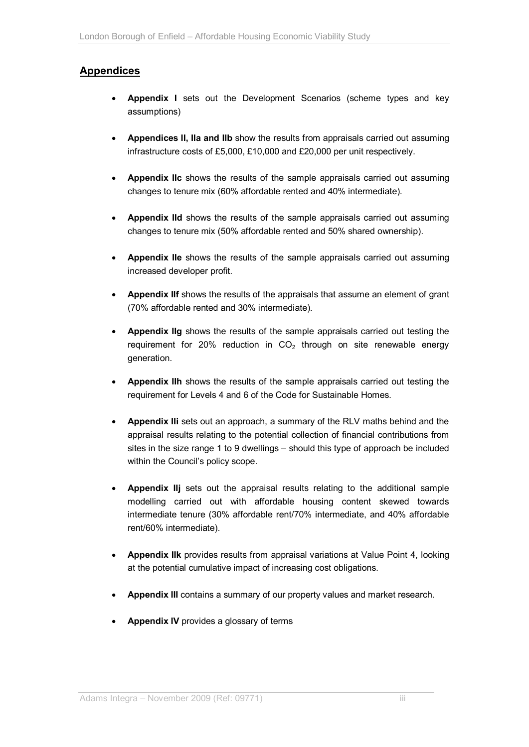## **Appendices**

- **Appendix I** sets out the Development Scenarios (scheme types and key assumptions)
- **Appendices II, IIa and IIb** show the results from appraisals carried out assuming infrastructure costs of £5,000, £10,000 and £20,000 per unit respectively.
- **Appendix IIc** shows the results of the sample appraisals carried out assuming changes to tenure mix (60% affordable rented and 40% intermediate).
- **Appendix IId** shows the results of the sample appraisals carried out assuming changes to tenure mix (50% affordable rented and 50% shared ownership).
- **Appendix IIe** shows the results of the sample appraisals carried out assuming increased developer profit.
- **Appendix IIf** shows the results of the appraisals that assume an element of grant (70% affordable rented and 30% intermediate).
- **Appendix IIg** shows the results of the sample appraisals carried out testing the requirement for 20% reduction in  $CO<sub>2</sub>$  through on site renewable energy generation.
- **Appendix IIh** shows the results of the sample appraisals carried out testing the requirement for Levels 4 and 6 of the Code for Sustainable Homes.
- **Appendix IIi** sets out an approach, a summary of the RLV maths behind and the appraisal results relating to the potential collection of financial contributions from sites in the size range 1 to 9 dwellings – should this type of approach be included within the Council's policy scope.
- **Appendix IIj** sets out the appraisal results relating to the additional sample modelling carried out with affordable housing content skewed towards intermediate tenure (30% affordable rent/70% intermediate, and 40% affordable rent/60% intermediate).
- **Appendix IIk** provides results from appraisal variations at Value Point 4, looking at the potential cumulative impact of increasing cost obligations.
- **Appendix III** contains a summary of our property values and market research.
- **Appendix IV** provides a glossary of terms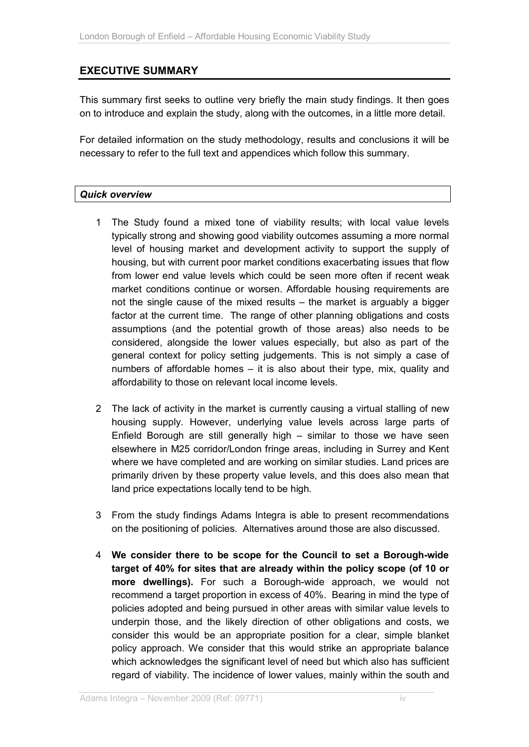## **EXECUTIVE SUMMARY**

This summary first seeks to outline very briefly the main study findings. It then goes on to introduce and explain the study, along with the outcomes, in a little more detail.

For detailed information on the study methodology, results and conclusions it will be necessary to refer to the full text and appendices which follow this summary.

#### *Quick overview*

- 1 The Study found a mixed tone of viability results; with local value levels typically strong and showing good viability outcomes assuming a more normal level of housing market and development activity to support the supply of housing, but with current poor market conditions exacerbating issues that flow from lower end value levels which could be seen more often if recent weak market conditions continue or worsen. Affordable housing requirements are not the single cause of the mixed results – the market is arguably a bigger factor at the current time. The range of other planning obligations and costs assumptions (and the potential growth of those areas) also needs to be considered, alongside the lower values especially, but also as part of the general context for policy setting judgements. This is not simply a case of numbers of affordable homes – it is also about their type, mix, quality and affordability to those on relevant local income levels.
- 2 The lack of activity in the market is currently causing a virtual stalling of new housing supply. However, underlying value levels across large parts of Enfield Borough are still generally high – similar to those we have seen elsewhere in M25 corridor/London fringe areas, including in Surrey and Kent where we have completed and are working on similar studies. Land prices are primarily driven by these property value levels, and this does also mean that land price expectations locally tend to be high.
- 3 From the study findings Adams Integra is able to present recommendations on the positioning of policies. Alternatives around those are also discussed.
- 4 **We consider there to be scope for the Council to set a Borough-wide target of 40% for sites that are already within the policy scope (of 10 or more dwellings).** For such a Borough-wide approach, we would not recommend a target proportion in excess of 40%. Bearing in mind the type of policies adopted and being pursued in other areas with similar value levels to underpin those, and the likely direction of other obligations and costs, we consider this would be an appropriate position for a clear, simple blanket policy approach. We consider that this would strike an appropriate balance which acknowledges the significant level of need but which also has sufficient regard of viability. The incidence of lower values, mainly within the south and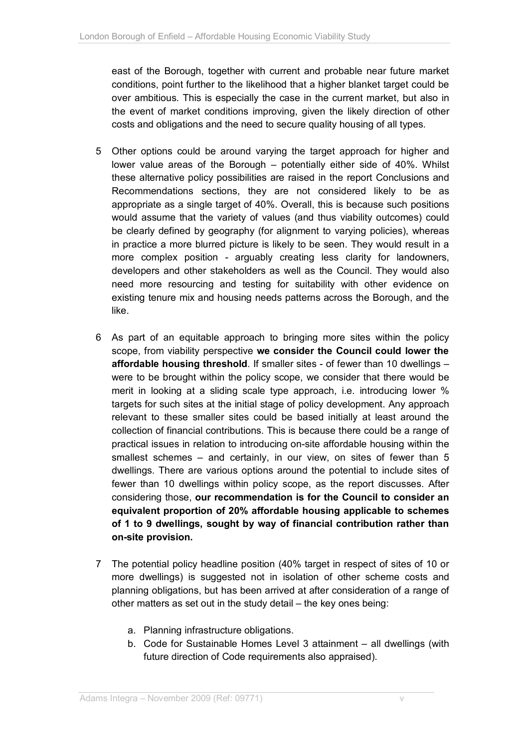east of the Borough, together with current and probable near future market conditions, point further to the likelihood that a higher blanket target could be over ambitious. This is especially the case in the current market, but also in the event of market conditions improving, given the likely direction of other costs and obligations and the need to secure quality housing of all types.

- 5 Other options could be around varying the target approach for higher and lower value areas of the Borough – potentially either side of 40%. Whilst these alternative policy possibilities are raised in the report Conclusions and Recommendations sections, they are not considered likely to be as appropriate as a single target of 40%. Overall, this is because such positions would assume that the variety of values (and thus viability outcomes) could be clearly defined by geography (for alignment to varying policies), whereas in practice a more blurred picture is likely to be seen. They would result in a more complex position - arguably creating less clarity for landowners, developers and other stakeholders as well as the Council. They would also need more resourcing and testing for suitability with other evidence on existing tenure mix and housing needs patterns across the Borough, and the like.
- 6 As part of an equitable approach to bringing more sites within the policy scope, from viability perspective **we consider the Council could lower the affordable housing threshold**. If smaller sites - of fewer than 10 dwellings – were to be brought within the policy scope, we consider that there would be merit in looking at a sliding scale type approach, i.e. introducing lower % targets for such sites at the initial stage of policy development. Any approach relevant to these smaller sites could be based initially at least around the collection of financial contributions. This is because there could be a range of practical issues in relation to introducing on-site affordable housing within the smallest schemes – and certainly, in our view, on sites of fewer than 5 dwellings. There are various options around the potential to include sites of fewer than 10 dwellings within policy scope, as the report discusses. After considering those, **our recommendation is for the Council to consider an equivalent proportion of 20% affordable housing applicable to schemes of 1 to 9 dwellings, sought by way of financial contribution rather than on-site provision.**
- 7 The potential policy headline position (40% target in respect of sites of 10 or more dwellings) is suggested not in isolation of other scheme costs and planning obligations, but has been arrived at after consideration of a range of other matters as set out in the study detail – the key ones being:
	- a. Planning infrastructure obligations.
	- b. Code for Sustainable Homes Level 3 attainment all dwellings (with future direction of Code requirements also appraised).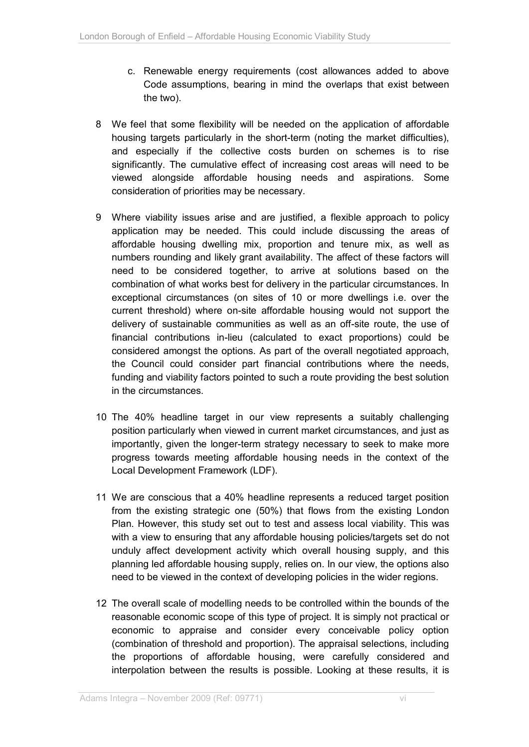- c. Renewable energy requirements (cost allowances added to above Code assumptions, bearing in mind the overlaps that exist between the two).
- 8 We feel that some flexibility will be needed on the application of affordable housing targets particularly in the short-term (noting the market difficulties), and especially if the collective costs burden on schemes is to rise significantly. The cumulative effect of increasing cost areas will need to be viewed alongside affordable housing needs and aspirations. Some consideration of priorities may be necessary.
- 9 Where viability issues arise and are justified, a flexible approach to policy application may be needed. This could include discussing the areas of affordable housing dwelling mix, proportion and tenure mix, as well as numbers rounding and likely grant availability. The affect of these factors will need to be considered together, to arrive at solutions based on the combination of what works best for delivery in the particular circumstances. In exceptional circumstances (on sites of 10 or more dwellings i.e. over the current threshold) where on-site affordable housing would not support the delivery of sustainable communities as well as an off-site route, the use of financial contributions in-lieu (calculated to exact proportions) could be considered amongst the options. As part of the overall negotiated approach, the Council could consider part financial contributions where the needs, funding and viability factors pointed to such a route providing the best solution in the circumstances.
- 10 The 40% headline target in our view represents a suitably challenging position particularly when viewed in current market circumstances, and just as importantly, given the longer-term strategy necessary to seek to make more progress towards meeting affordable housing needs in the context of the Local Development Framework (LDF).
- 11 We are conscious that a 40% headline represents a reduced target position from the existing strategic one (50%) that flows from the existing London Plan. However, this study set out to test and assess local viability. This was with a view to ensuring that any affordable housing policies/targets set do not unduly affect development activity which overall housing supply, and this planning led affordable housing supply, relies on. In our view, the options also need to be viewed in the context of developing policies in the wider regions.
- 12 The overall scale of modelling needs to be controlled within the bounds of the reasonable economic scope of this type of project. It is simply not practical or economic to appraise and consider every conceivable policy option (combination of threshold and proportion). The appraisal selections, including the proportions of affordable housing, were carefully considered and interpolation between the results is possible. Looking at these results, it is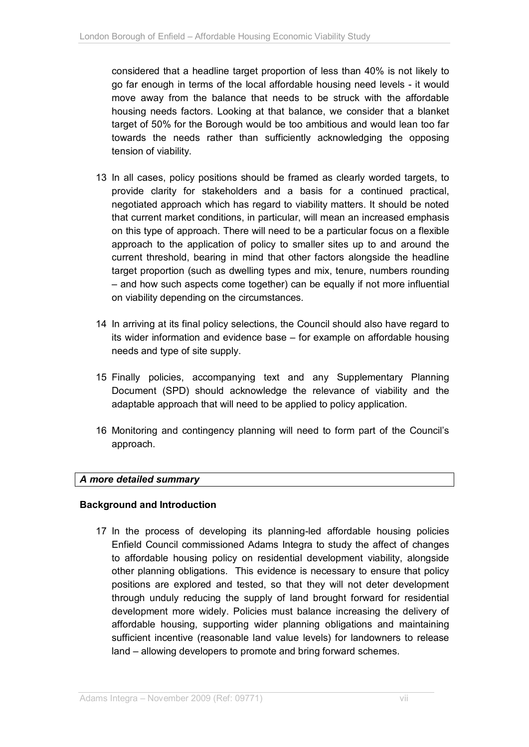considered that a headline target proportion of less than 40% is not likely to go far enough in terms of the local affordable housing need levels - it would move away from the balance that needs to be struck with the affordable housing needs factors. Looking at that balance, we consider that a blanket target of 50% for the Borough would be too ambitious and would lean too far towards the needs rather than sufficiently acknowledging the opposing tension of viability.

- 13 In all cases, policy positions should be framed as clearly worded targets, to provide clarity for stakeholders and a basis for a continued practical, negotiated approach which has regard to viability matters. It should be noted that current market conditions, in particular, will mean an increased emphasis on this type of approach. There will need to be a particular focus on a flexible approach to the application of policy to smaller sites up to and around the current threshold, bearing in mind that other factors alongside the headline target proportion (such as dwelling types and mix, tenure, numbers rounding – and how such aspects come together) can be equally if not more influential on viability depending on the circumstances.
- 14 In arriving at its final policy selections, the Council should also have regard to its wider information and evidence base – for example on affordable housing needs and type of site supply.
- 15 Finally policies, accompanying text and any Supplementary Planning Document (SPD) should acknowledge the relevance of viability and the adaptable approach that will need to be applied to policy application.
- 16 Monitoring and contingency planning will need to form part of the Council's approach.

### *A more detailed summary*

### **Background and Introduction**

17 In the process of developing its planning-led affordable housing policies Enfield Council commissioned Adams Integra to study the affect of changes to affordable housing policy on residential development viability, alongside other planning obligations. This evidence is necessary to ensure that policy positions are explored and tested, so that they will not deter development through unduly reducing the supply of land brought forward for residential development more widely. Policies must balance increasing the delivery of affordable housing, supporting wider planning obligations and maintaining sufficient incentive (reasonable land value levels) for landowners to release land – allowing developers to promote and bring forward schemes.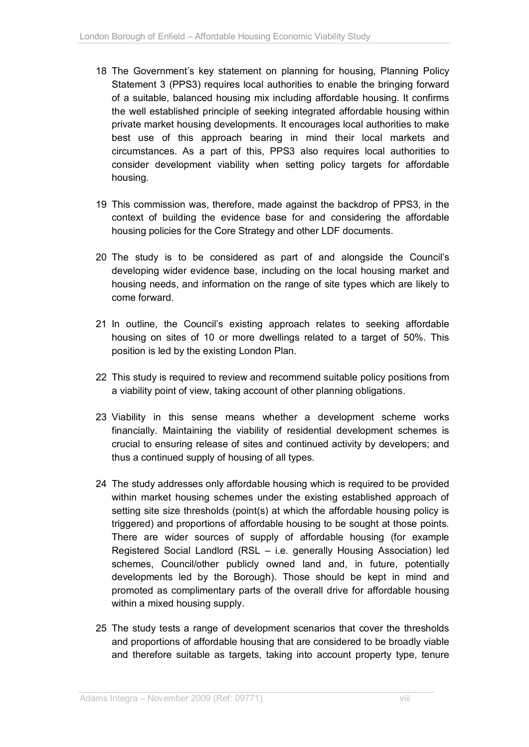- 18 The Government's key statement on planning for housing, Planning Policy Statement 3 (PPS3) requires local authorities to enable the bringing forward of a suitable, balanced housing mix including affordable housing. It confirms the well established principle of seeking integrated affordable housing within private market housing developments. It encourages local authorities to make best use of this approach bearing in mind their local markets and circumstances. As a part of this, PPS3 also requires local authorities to consider development viability when setting policy targets for affordable housing.
- 19 This commission was, therefore, made against the backdrop of PPS3, in the context of building the evidence base for and considering the affordable housing policies for the Core Strategy and other LDF documents.
- 20 The study is to be considered as part of and alongside the Council's developing wider evidence base, including on the local housing market and housing needs, and information on the range of site types which are likely to come forward.
- 21 In outline, the Council's existing approach relates to seeking affordable housing on sites of 10 or more dwellings related to a target of 50%. This position is led by the existing London Plan.
- 22 This study is required to review and recommend suitable policy positions from a viability point of view, taking account of other planning obligations.
- 23 Viability in this sense means whether a development scheme works financially. Maintaining the viability of residential development schemes is crucial to ensuring release of sites and continued activity by developers; and thus a continued supply of housing of all types.
- 24 The study addresses only affordable housing which is required to be provided within market housing schemes under the existing established approach of setting site size thresholds (point(s) at which the affordable housing policy is triggered) and proportions of affordable housing to be sought at those points. There are wider sources of supply of affordable housing (for example Registered Social Landlord (RSL – i.e. generally Housing Association) led schemes, Council/other publicly owned land and, in future, potentially developments led by the Borough). Those should be kept in mind and promoted as complimentary parts of the overall drive for affordable housing within a mixed housing supply.
- 25 The study tests a range of development scenarios that cover the thresholds and proportions of affordable housing that are considered to be broadly viable and therefore suitable as targets, taking into account property type, tenure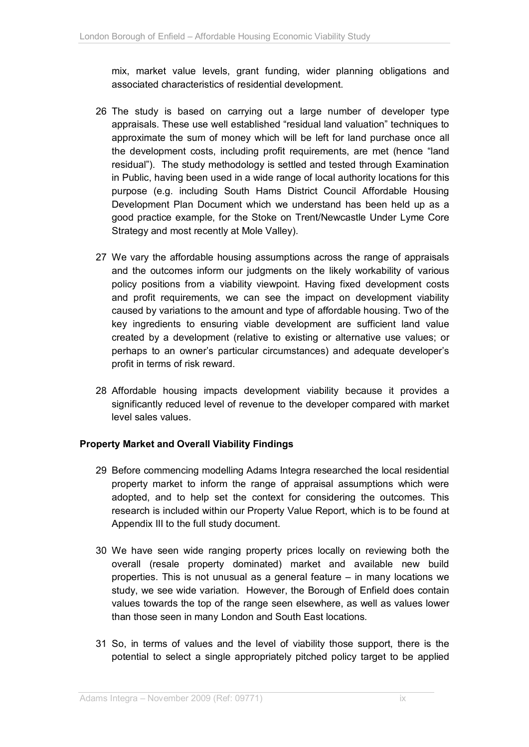mix, market value levels, grant funding, wider planning obligations and associated characteristics of residential development.

- 26 The study is based on carrying out a large number of developer type appraisals. These use well established "residual land valuation" techniques to approximate the sum of money which will be left for land purchase once all the development costs, including profit requirements, are met (hence "land residual"). The study methodology is settled and tested through Examination in Public, having been used in a wide range of local authority locations for this purpose (e.g. including South Hams District Council Affordable Housing Development Plan Document which we understand has been held up as a good practice example, for the Stoke on Trent/Newcastle Under Lyme Core Strategy and most recently at Mole Valley).
- 27 We vary the affordable housing assumptions across the range of appraisals and the outcomes inform our judgments on the likely workability of various policy positions from a viability viewpoint. Having fixed development costs and profit requirements, we can see the impact on development viability caused by variations to the amount and type of affordable housing. Two of the key ingredients to ensuring viable development are sufficient land value created by a development (relative to existing or alternative use values; or perhaps to an owner's particular circumstances) and adequate developer's profit in terms of risk reward.
- 28 Affordable housing impacts development viability because it provides a significantly reduced level of revenue to the developer compared with market level sales values.

### **Property Market and Overall Viability Findings**

- 29 Before commencing modelling Adams Integra researched the local residential property market to inform the range of appraisal assumptions which were adopted, and to help set the context for considering the outcomes. This research is included within our Property Value Report, which is to be found at Appendix III to the full study document.
- 30 We have seen wide ranging property prices locally on reviewing both the overall (resale property dominated) market and available new build properties. This is not unusual as a general feature – in many locations we study, we see wide variation. However, the Borough of Enfield does contain values towards the top of the range seen elsewhere, as well as values lower than those seen in many London and South East locations.
- 31 So, in terms of values and the level of viability those support, there is the potential to select a single appropriately pitched policy target to be applied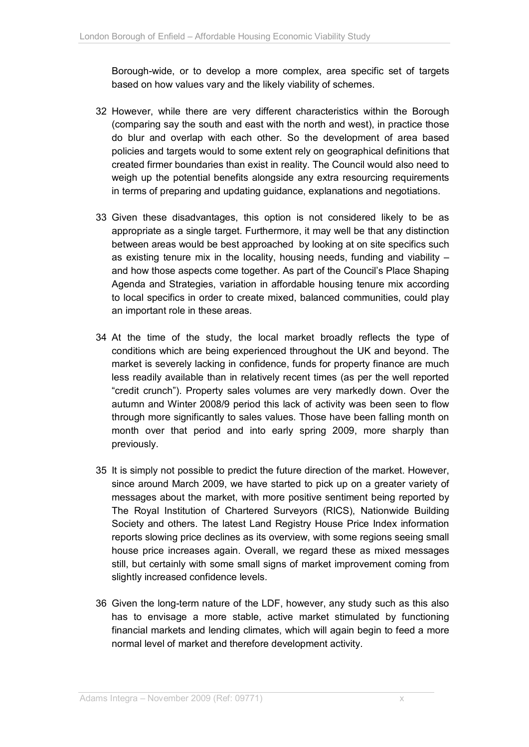Borough-wide, or to develop a more complex, area specific set of targets based on how values vary and the likely viability of schemes.

- 32 However, while there are very different characteristics within the Borough (comparing say the south and east with the north and west), in practice those do blur and overlap with each other. So the development of area based policies and targets would to some extent rely on geographical definitions that created firmer boundaries than exist in reality. The Council would also need to weigh up the potential benefits alongside any extra resourcing requirements in terms of preparing and updating guidance, explanations and negotiations.
- 33 Given these disadvantages, this option is not considered likely to be as appropriate as a single target. Furthermore, it may well be that any distinction between areas would be best approached by looking at on site specifics such as existing tenure mix in the locality, housing needs, funding and viability  $$ and how those aspects come together. As part of the Council's Place Shaping Agenda and Strategies, variation in affordable housing tenure mix according to local specifics in order to create mixed, balanced communities, could play an important role in these areas.
- 34 At the time of the study, the local market broadly reflects the type of conditions which are being experienced throughout the UK and beyond. The market is severely lacking in confidence, funds for property finance are much less readily available than in relatively recent times (as per the well reported "credit crunch"). Property sales volumes are very markedly down. Over the autumn and Winter 2008/9 period this lack of activity was been seen to flow through more significantly to sales values. Those have been falling month on month over that period and into early spring 2009, more sharply than previously.
- 35 It is simply not possible to predict the future direction of the market. However, since around March 2009, we have started to pick up on a greater variety of messages about the market, with more positive sentiment being reported by The Royal Institution of Chartered Surveyors (RICS), Nationwide Building Society and others. The latest Land Registry House Price Index information reports slowing price declines as its overview, with some regions seeing small house price increases again. Overall, we regard these as mixed messages still, but certainly with some small signs of market improvement coming from slightly increased confidence levels.
- 36 Given the long-term nature of the LDF, however, any study such as this also has to envisage a more stable, active market stimulated by functioning financial markets and lending climates, which will again begin to feed a more normal level of market and therefore development activity.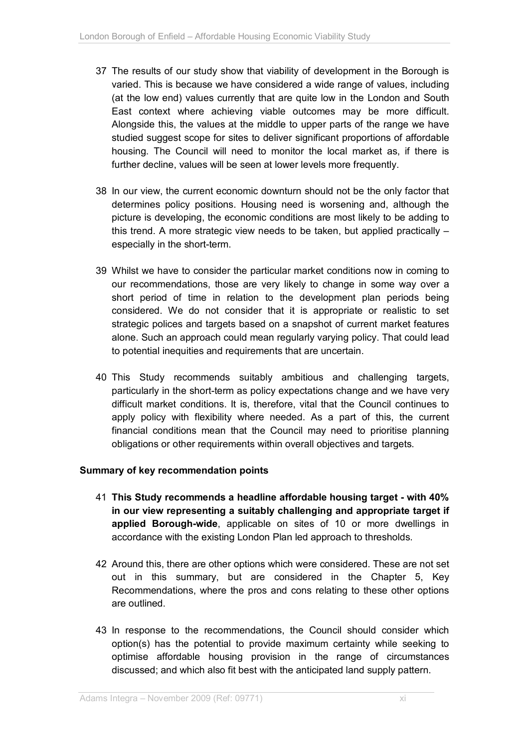- 37 The results of our study show that viability of development in the Borough is varied. This is because we have considered a wide range of values, including (at the low end) values currently that are quite low in the London and South East context where achieving viable outcomes may be more difficult. Alongside this, the values at the middle to upper parts of the range we have studied suggest scope for sites to deliver significant proportions of affordable housing. The Council will need to monitor the local market as, if there is further decline, values will be seen at lower levels more frequently.
- 38 In our view, the current economic downturn should not be the only factor that determines policy positions. Housing need is worsening and, although the picture is developing, the economic conditions are most likely to be adding to this trend. A more strategic view needs to be taken, but applied practically – especially in the short-term.
- 39 Whilst we have to consider the particular market conditions now in coming to our recommendations, those are very likely to change in some way over a short period of time in relation to the development plan periods being considered. We do not consider that it is appropriate or realistic to set strategic polices and targets based on a snapshot of current market features alone. Such an approach could mean regularly varying policy. That could lead to potential inequities and requirements that are uncertain.
- 40 This Study recommends suitably ambitious and challenging targets, particularly in the short-term as policy expectations change and we have very difficult market conditions. It is, therefore, vital that the Council continues to apply policy with flexibility where needed. As a part of this, the current financial conditions mean that the Council may need to prioritise planning obligations or other requirements within overall objectives and targets.

### **Summary of key recommendation points**

- 41 **This Study recommends a headline affordable housing target with 40% in our view representing a suitably challenging and appropriate target if applied Borough-wide**, applicable on sites of 10 or more dwellings in accordance with the existing London Plan led approach to thresholds.
- 42 Around this, there are other options which were considered. These are not set out in this summary, but are considered in the Chapter 5, Key Recommendations, where the pros and cons relating to these other options are outlined.
- 43 In response to the recommendations, the Council should consider which option(s) has the potential to provide maximum certainty while seeking to optimise affordable housing provision in the range of circumstances discussed; and which also fit best with the anticipated land supply pattern.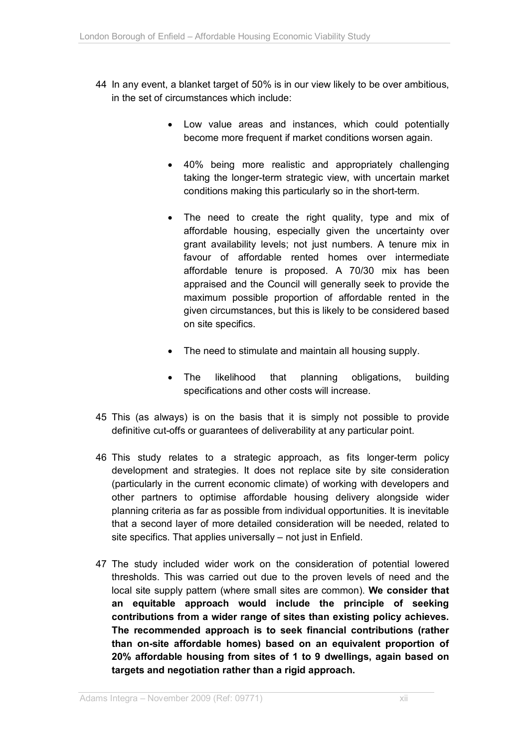- 44 In any event, a blanket target of 50% is in our view likely to be over ambitious, in the set of circumstances which include:
	- Low value areas and instances, which could potentially become more frequent if market conditions worsen again.
	- 40% being more realistic and appropriately challenging taking the longer-term strategic view, with uncertain market conditions making this particularly so in the short-term.
	- The need to create the right quality, type and mix of affordable housing, especially given the uncertainty over grant availability levels; not just numbers. A tenure mix in favour of affordable rented homes over intermediate affordable tenure is proposed. A 70/30 mix has been appraised and the Council will generally seek to provide the maximum possible proportion of affordable rented in the given circumstances, but this is likely to be considered based on site specifics.
	- The need to stimulate and maintain all housing supply.
	- The likelihood that planning obligations, building specifications and other costs will increase.
- 45 This (as always) is on the basis that it is simply not possible to provide definitive cut-offs or guarantees of deliverability at any particular point.
- 46 This study relates to a strategic approach, as fits longer-term policy development and strategies. It does not replace site by site consideration (particularly in the current economic climate) of working with developers and other partners to optimise affordable housing delivery alongside wider planning criteria as far as possible from individual opportunities. It is inevitable that a second layer of more detailed consideration will be needed, related to site specifics. That applies universally – not just in Enfield.
- 47 The study included wider work on the consideration of potential lowered thresholds. This was carried out due to the proven levels of need and the local site supply pattern (where small sites are common). **We consider that an equitable approach would include the principle of seeking contributions from a wider range of sites than existing policy achieves. The recommended approach is to seek financial contributions (rather than on-site affordable homes) based on an equivalent proportion of 20% affordable housing from sites of 1 to 9 dwellings, again based on targets and negotiation rather than a rigid approach.**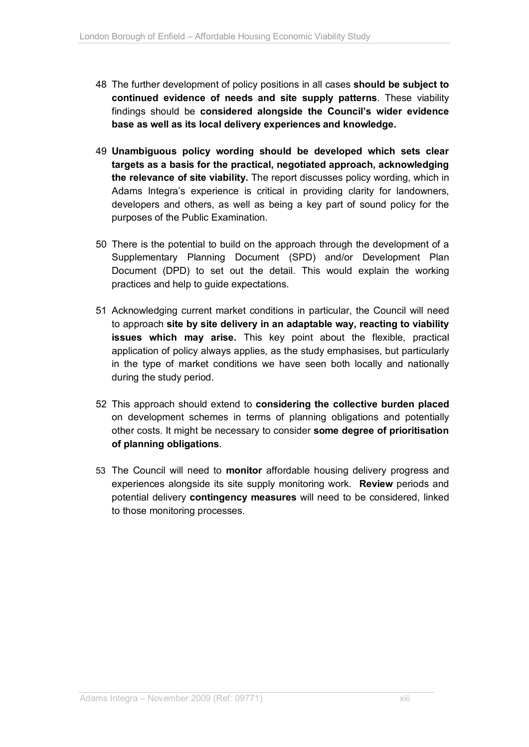- 48 The further development of policy positions in all cases **should be subject to continued evidence of needs and site supply patterns**. These viability findings should be **considered alongside the Council's wider evidence base as well as its local delivery experiences and knowledge.**
- 49 **Unambiguous policy wording should be developed which sets clear targets as a basis for the practical, negotiated approach, acknowledging the relevance of site viability.** The report discusses policy wording, which in Adams Integra's experience is critical in providing clarity for landowners, developers and others, as well as being a key part of sound policy for the purposes of the Public Examination.
- 50 There is the potential to build on the approach through the development of a Supplementary Planning Document (SPD) and/or Development Plan Document (DPD) to set out the detail. This would explain the working practices and help to guide expectations.
- 51 Acknowledging current market conditions in particular, the Council will need to approach **site by site delivery in an adaptable way, reacting to viability issues which may arise.** This key point about the flexible, practical application of policy always applies, as the study emphasises, but particularly in the type of market conditions we have seen both locally and nationally during the study period.
- 52 This approach should extend to **considering the collective burden placed** on development schemes in terms of planning obligations and potentially other costs. It might be necessary to consider **some degree of prioritisation of planning obligations**.
- 53 The Council will need to **monitor** affordable housing delivery progress and experiences alongside its site supply monitoring work. **Review** periods and potential delivery **contingency measures** will need to be considered, linked to those monitoring processes.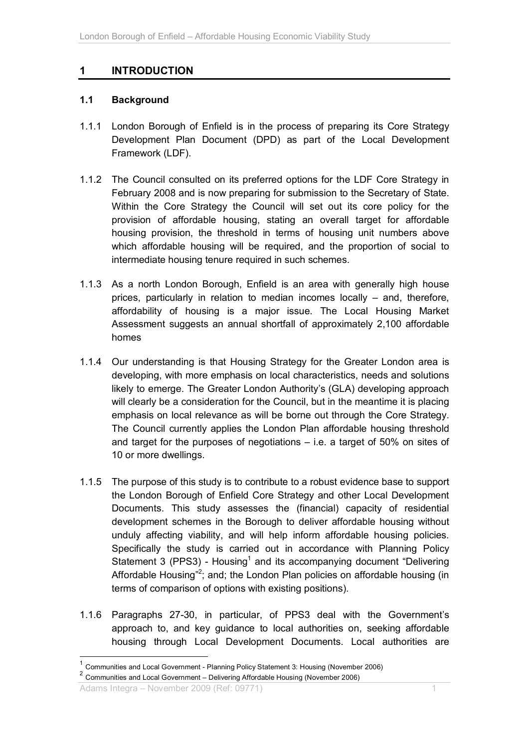## **1 INTRODUCTION**

### **1.1 Background**

- 1.1.1 London Borough of Enfield is in the process of preparing its Core Strategy Development Plan Document (DPD) as part of the Local Development Framework (LDF).
- 1.1.2 The Council consulted on its preferred options for the LDF Core Strategy in February 2008 and is now preparing for submission to the Secretary of State. Within the Core Strategy the Council will set out its core policy for the provision of affordable housing, stating an overall target for affordable housing provision, the threshold in terms of housing unit numbers above which affordable housing will be required, and the proportion of social to intermediate housing tenure required in such schemes.
- 1.1.3 As a north London Borough, Enfield is an area with generally high house prices, particularly in relation to median incomes locally – and, therefore, affordability of housing is a major issue. The Local Housing Market Assessment suggests an annual shortfall of approximately 2,100 affordable homes
- 1.1.4 Our understanding is that Housing Strategy for the Greater London area is developing, with more emphasis on local characteristics, needs and solutions likely to emerge. The Greater London Authority's (GLA) developing approach will clearly be a consideration for the Council, but in the meantime it is placing emphasis on local relevance as will be borne out through the Core Strategy. The Council currently applies the London Plan affordable housing threshold and target for the purposes of negotiations – i.e. a target of 50% on sites of 10 or more dwellings.
- 1.1.5 The purpose of this study is to contribute to a robust evidence base to support the London Borough of Enfield Core Strategy and other Local Development Documents. This study assesses the (financial) capacity of residential development schemes in the Borough to deliver affordable housing without unduly affecting viability, and will help inform affordable housing policies. Specifically the study is carried out in accordance with Planning Policy Statement 3 (PPS3) - Housing<sup>1</sup> and its accompanying document "Delivering Affordable Housing"<sup>2</sup>; and; the London Plan policies on affordable housing (in terms of comparison of options with existing positions).
- 1.1.6 Paragraphs 27-30, in particular, of PPS3 deal with the Government's approach to, and key guidance to local authorities on, seeking affordable housing through Local Development Documents. Local authorities are

Adams Integra – November 2009 (Ref: 09771) 1

 $\overline{a}$ 

<sup>1</sup> Communities and Local Government - Planning Policy Statement 3: Housing (November 2006)

<sup>&</sup>lt;sup>2</sup> Communities and Local Government – Delivering Affordable Housing (November 2006)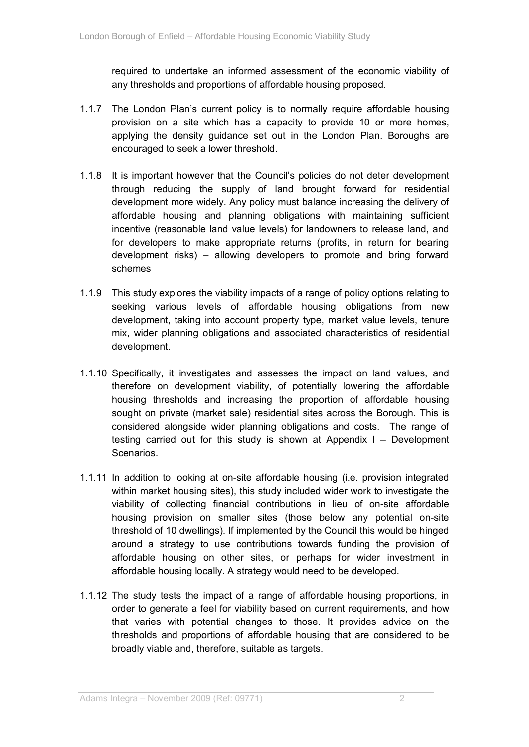required to undertake an informed assessment of the economic viability of any thresholds and proportions of affordable housing proposed.

- 1.1.7 The London Plan's current policy is to normally require affordable housing provision on a site which has a capacity to provide 10 or more homes, applying the density guidance set out in the London Plan. Boroughs are encouraged to seek a lower threshold.
- 1.1.8 It is important however that the Council's policies do not deter development through reducing the supply of land brought forward for residential development more widely. Any policy must balance increasing the delivery of affordable housing and planning obligations with maintaining sufficient incentive (reasonable land value levels) for landowners to release land, and for developers to make appropriate returns (profits, in return for bearing development risks) – allowing developers to promote and bring forward schemes
- 1.1.9 This study explores the viability impacts of a range of policy options relating to seeking various levels of affordable housing obligations from new development, taking into account property type, market value levels, tenure mix, wider planning obligations and associated characteristics of residential development.
- 1.1.10 Specifically, it investigates and assesses the impact on land values, and therefore on development viability, of potentially lowering the affordable housing thresholds and increasing the proportion of affordable housing sought on private (market sale) residential sites across the Borough. This is considered alongside wider planning obligations and costs. The range of testing carried out for this study is shown at Appendix I – Development Scenarios.
- 1.1.11 In addition to looking at on-site affordable housing (i.e. provision integrated within market housing sites), this study included wider work to investigate the viability of collecting financial contributions in lieu of on-site affordable housing provision on smaller sites (those below any potential on-site threshold of 10 dwellings). If implemented by the Council this would be hinged around a strategy to use contributions towards funding the provision of affordable housing on other sites, or perhaps for wider investment in affordable housing locally. A strategy would need to be developed.
- 1.1.12 The study tests the impact of a range of affordable housing proportions, in order to generate a feel for viability based on current requirements, and how that varies with potential changes to those. It provides advice on the thresholds and proportions of affordable housing that are considered to be broadly viable and, therefore, suitable as targets.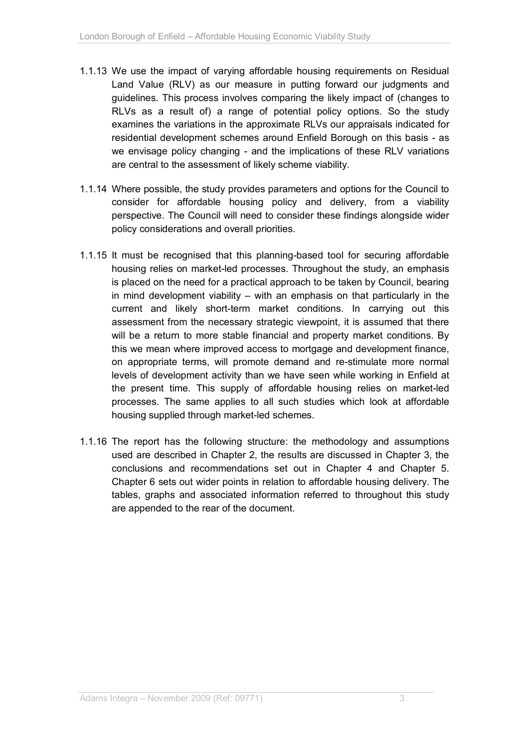- 1.1.13 We use the impact of varying affordable housing requirements on Residual Land Value (RLV) as our measure in putting forward our judgments and guidelines. This process involves comparing the likely impact of (changes to RLVs as a result of) a range of potential policy options. So the study examines the variations in the approximate RLVs our appraisals indicated for residential development schemes around Enfield Borough on this basis - as we envisage policy changing - and the implications of these RLV variations are central to the assessment of likely scheme viability.
- 1.1.14 Where possible, the study provides parameters and options for the Council to consider for affordable housing policy and delivery, from a viability perspective. The Council will need to consider these findings alongside wider policy considerations and overall priorities.
- 1.1.15 It must be recognised that this planning-based tool for securing affordable housing relies on market-led processes. Throughout the study, an emphasis is placed on the need for a practical approach to be taken by Council, bearing in mind development viability – with an emphasis on that particularly in the current and likely short-term market conditions. In carrying out this assessment from the necessary strategic viewpoint, it is assumed that there will be a return to more stable financial and property market conditions. By this we mean where improved access to mortgage and development finance, on appropriate terms, will promote demand and re-stimulate more normal levels of development activity than we have seen while working in Enfield at the present time. This supply of affordable housing relies on market-led processes. The same applies to all such studies which look at affordable housing supplied through market-led schemes.
- 1.1.16 The report has the following structure: the methodology and assumptions used are described in Chapter 2, the results are discussed in Chapter 3, the conclusions and recommendations set out in Chapter 4 and Chapter 5. Chapter 6 sets out wider points in relation to affordable housing delivery. The tables, graphs and associated information referred to throughout this study are appended to the rear of the document.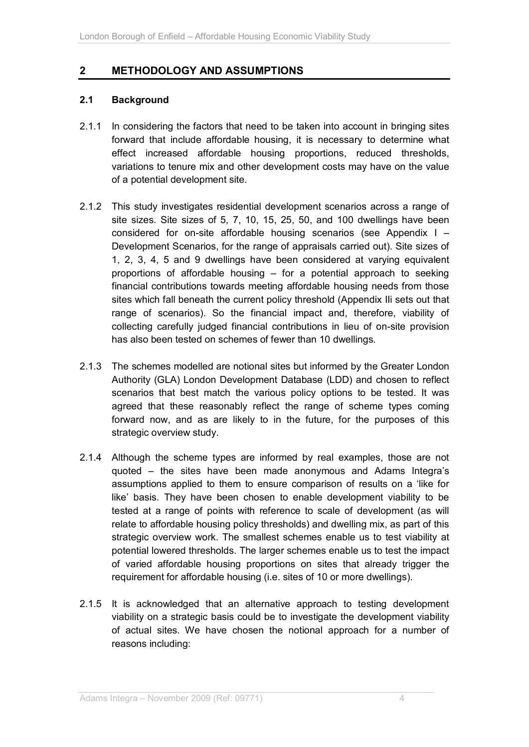## **2 METHODOLOGY AND ASSUMPTIONS**

### **2.1 Background**

- 2.1.1 In considering the factors that need to be taken into account in bringing sites forward that include affordable housing, it is necessary to determine what effect increased affordable housing proportions, reduced thresholds, variations to tenure mix and other development costs may have on the value of a potential development site.
- 2.1.2 This study investigates residential development scenarios across a range of site sizes. Site sizes of 5, 7, 10, 15, 25, 50, and 100 dwellings have been considered for on-site affordable housing scenarios (see Appendix I – Development Scenarios, for the range of appraisals carried out). Site sizes of 1, 2, 3, 4, 5 and 9 dwellings have been considered at varying equivalent proportions of affordable housing – for a potential approach to seeking financial contributions towards meeting affordable housing needs from those sites which fall beneath the current policy threshold (Appendix IIi sets out that range of scenarios). So the financial impact and, therefore, viability of collecting carefully judged financial contributions in lieu of on-site provision has also been tested on schemes of fewer than 10 dwellings.
- 2.1.3 The schemes modelled are notional sites but informed by the Greater London Authority (GLA) London Development Database (LDD) and chosen to reflect scenarios that best match the various policy options to be tested. It was agreed that these reasonably reflect the range of scheme types coming forward now, and as are likely to in the future, for the purposes of this strategic overview study.
- 2.1.4 Although the scheme types are informed by real examples, those are not quoted – the sites have been made anonymous and Adams Integra's assumptions applied to them to ensure comparison of results on a 'like for like' basis. They have been chosen to enable development viability to be tested at a range of points with reference to scale of development (as will relate to affordable housing policy thresholds) and dwelling mix, as part of this strategic overview work. The smallest schemes enable us to test viability at potential lowered thresholds. The larger schemes enable us to test the impact of varied affordable housing proportions on sites that already trigger the requirement for affordable housing (i.e. sites of 10 or more dwellings).
- 2.1.5 It is acknowledged that an alternative approach to testing development viability on a strategic basis could be to investigate the development viability of actual sites. We have chosen the notional approach for a number of reasons including: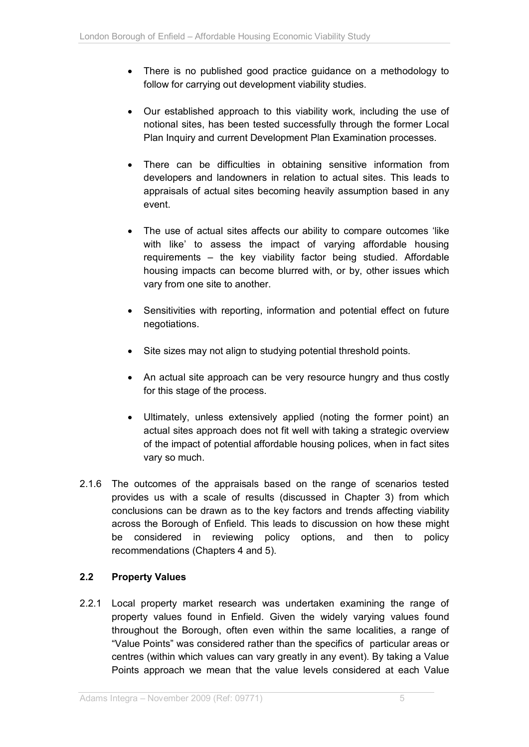- There is no published good practice guidance on a methodology to follow for carrying out development viability studies.
- Our established approach to this viability work, including the use of notional sites, has been tested successfully through the former Local Plan Inquiry and current Development Plan Examination processes.
- There can be difficulties in obtaining sensitive information from developers and landowners in relation to actual sites. This leads to appraisals of actual sites becoming heavily assumption based in any event.
- The use of actual sites affects our ability to compare outcomes 'like with like' to assess the impact of varying affordable housing requirements – the key viability factor being studied. Affordable housing impacts can become blurred with, or by, other issues which vary from one site to another.
- Sensitivities with reporting, information and potential effect on future negotiations.
- Site sizes may not align to studying potential threshold points.
- An actual site approach can be very resource hungry and thus costly for this stage of the process.
- Ultimately, unless extensively applied (noting the former point) an actual sites approach does not fit well with taking a strategic overview of the impact of potential affordable housing polices, when in fact sites vary so much.
- 2.1.6 The outcomes of the appraisals based on the range of scenarios tested provides us with a scale of results (discussed in Chapter 3) from which conclusions can be drawn as to the key factors and trends affecting viability across the Borough of Enfield. This leads to discussion on how these might be considered in reviewing policy options, and then to policy recommendations (Chapters 4 and 5).

### **2.2 Property Values**

2.2.1 Local property market research was undertaken examining the range of property values found in Enfield. Given the widely varying values found throughout the Borough, often even within the same localities, a range of "Value Points" was considered rather than the specifics of particular areas or centres (within which values can vary greatly in any event). By taking a Value Points approach we mean that the value levels considered at each Value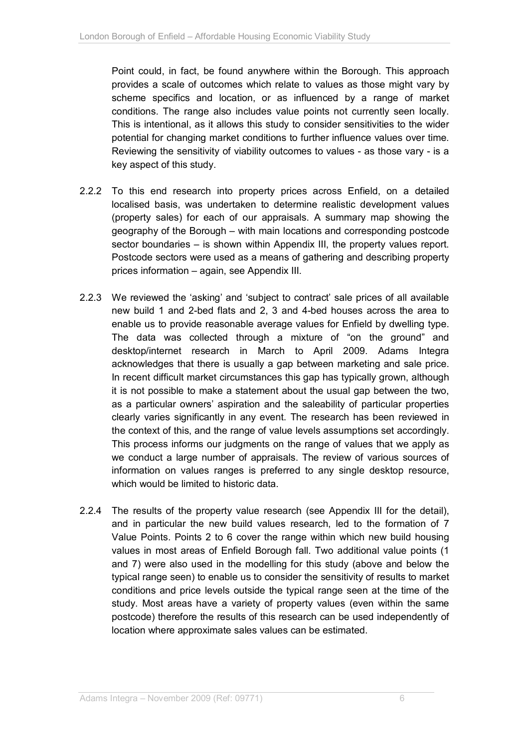Point could, in fact, be found anywhere within the Borough. This approach provides a scale of outcomes which relate to values as those might vary by scheme specifics and location, or as influenced by a range of market conditions. The range also includes value points not currently seen locally. This is intentional, as it allows this study to consider sensitivities to the wider potential for changing market conditions to further influence values over time. Reviewing the sensitivity of viability outcomes to values - as those vary - is a key aspect of this study.

- 2.2.2 To this end research into property prices across Enfield, on a detailed localised basis, was undertaken to determine realistic development values (property sales) for each of our appraisals. A summary map showing the geography of the Borough – with main locations and corresponding postcode sector boundaries – is shown within Appendix III, the property values report. Postcode sectors were used as a means of gathering and describing property prices information – again, see Appendix III.
- 2.2.3 We reviewed the 'asking' and 'subject to contract' sale prices of all available new build 1 and 2-bed flats and 2, 3 and 4-bed houses across the area to enable us to provide reasonable average values for Enfield by dwelling type. The data was collected through a mixture of "on the ground" and desktop/internet research in March to April 2009. Adams Integra acknowledges that there is usually a gap between marketing and sale price. In recent difficult market circumstances this gap has typically grown, although it is not possible to make a statement about the usual gap between the two, as a particular owners' aspiration and the saleability of particular properties clearly varies significantly in any event. The research has been reviewed in the context of this, and the range of value levels assumptions set accordingly. This process informs our judgments on the range of values that we apply as we conduct a large number of appraisals. The review of various sources of information on values ranges is preferred to any single desktop resource, which would be limited to historic data.
- 2.2.4 The results of the property value research (see Appendix III for the detail), and in particular the new build values research, led to the formation of 7 Value Points. Points 2 to 6 cover the range within which new build housing values in most areas of Enfield Borough fall. Two additional value points (1 and 7) were also used in the modelling for this study (above and below the typical range seen) to enable us to consider the sensitivity of results to market conditions and price levels outside the typical range seen at the time of the study. Most areas have a variety of property values (even within the same postcode) therefore the results of this research can be used independently of location where approximate sales values can be estimated.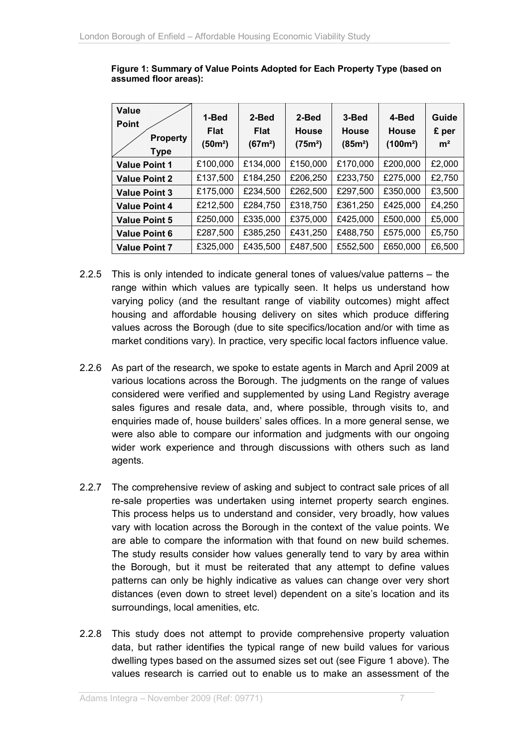| Value<br><b>Point</b><br><b>Property</b><br><b>Type</b> | 1-Bed<br><b>Flat</b><br>(50m²) | 2-Bed<br><b>Flat</b><br>(67m <sup>2</sup> ) | 2-Bed<br>House<br>(75m <sup>2</sup> ) | 3-Bed<br>House<br>(85m <sup>2</sup> ) | 4-Bed<br><b>House</b><br>$(100m^2)$ | Guide<br>£ per<br>m <sup>2</sup> |
|---------------------------------------------------------|--------------------------------|---------------------------------------------|---------------------------------------|---------------------------------------|-------------------------------------|----------------------------------|
| <b>Value Point 1</b>                                    | £100,000                       | £134,000                                    | £150,000                              | £170,000                              | £200,000                            | £2,000                           |
| <b>Value Point 2</b>                                    | £137,500                       | £184,250                                    | £206,250                              | £233,750                              | £275,000                            | £2,750                           |
| <b>Value Point 3</b>                                    | £175,000                       | £234,500                                    | £262,500                              | £297,500                              | £350,000                            | £3,500                           |
| <b>Value Point 4</b>                                    | £212,500                       | £284,750                                    | £318,750                              | £361,250                              | £425,000                            | £4,250                           |
| <b>Value Point 5</b>                                    | £250,000                       | £335,000                                    | £375,000                              | £425,000                              | £500,000                            | £5,000                           |
| <b>Value Point 6</b>                                    | £287,500                       | £385,250                                    | £431,250                              | £488,750                              | £575,000                            | £5,750                           |
| <b>Value Point 7</b>                                    | £325,000                       | £435,500                                    | £487,500                              | £552,500                              | £650,000                            | £6,500                           |

**Figure 1: Summary of Value Points Adopted for Each Property Type (based on assumed floor areas):** 

- 2.2.5 This is only intended to indicate general tones of values/value patterns the range within which values are typically seen. It helps us understand how varying policy (and the resultant range of viability outcomes) might affect housing and affordable housing delivery on sites which produce differing values across the Borough (due to site specifics/location and/or with time as market conditions vary). In practice, very specific local factors influence value.
- 2.2.6 As part of the research, we spoke to estate agents in March and April 2009 at various locations across the Borough. The judgments on the range of values considered were verified and supplemented by using Land Registry average sales figures and resale data, and, where possible, through visits to, and enquiries made of, house builders' sales offices. In a more general sense, we were also able to compare our information and judgments with our ongoing wider work experience and through discussions with others such as land agents.
- 2.2.7 The comprehensive review of asking and subject to contract sale prices of all re-sale properties was undertaken using internet property search engines. This process helps us to understand and consider, very broadly, how values vary with location across the Borough in the context of the value points. We are able to compare the information with that found on new build schemes. The study results consider how values generally tend to vary by area within the Borough, but it must be reiterated that any attempt to define values patterns can only be highly indicative as values can change over very short distances (even down to street level) dependent on a site's location and its surroundings, local amenities, etc.
- 2.2.8 This study does not attempt to provide comprehensive property valuation data, but rather identifies the typical range of new build values for various dwelling types based on the assumed sizes set out (see Figure 1 above). The values research is carried out to enable us to make an assessment of the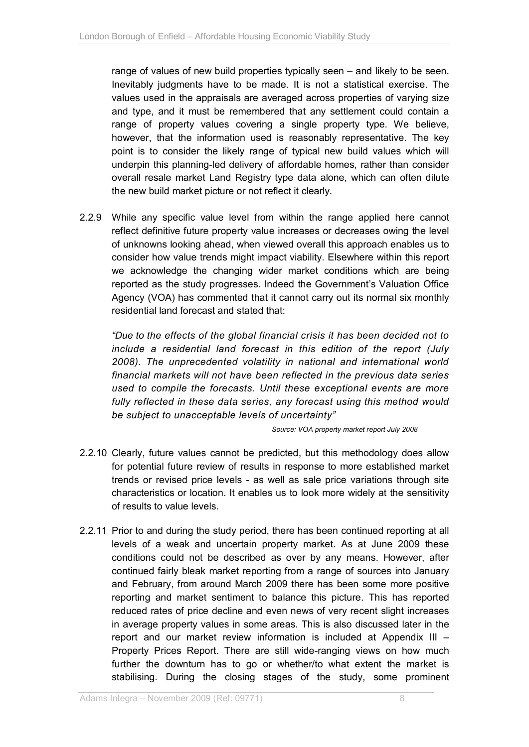range of values of new build properties typically seen – and likely to be seen. Inevitably judgments have to be made. It is not a statistical exercise. The values used in the appraisals are averaged across properties of varying size and type, and it must be remembered that any settlement could contain a range of property values covering a single property type. We believe, however, that the information used is reasonably representative. The key point is to consider the likely range of typical new build values which will underpin this planning-led delivery of affordable homes, rather than consider overall resale market Land Registry type data alone, which can often dilute the new build market picture or not reflect it clearly.

2.2.9 While any specific value level from within the range applied here cannot reflect definitive future property value increases or decreases owing the level of unknowns looking ahead, when viewed overall this approach enables us to consider how value trends might impact viability. Elsewhere within this report we acknowledge the changing wider market conditions which are being reported as the study progresses. Indeed the Government's Valuation Office Agency (VOA) has commented that it cannot carry out its normal six monthly residential land forecast and stated that:

*"Due to the effects of the global financial crisis it has been decided not to include a residential land forecast in this edition of the report (July 2008). The unprecedented volatility in national and international world financial markets will not have been reflected in the previous data series used to compile the forecasts. Until these exceptional events are more fully reflected in these data series, any forecast using this method would be subject to unacceptable levels of uncertainty"*

*Source: VOA property market report July 2008* 

- 2.2.10 Clearly, future values cannot be predicted, but this methodology does allow for potential future review of results in response to more established market trends or revised price levels - as well as sale price variations through site characteristics or location. It enables us to look more widely at the sensitivity of results to value levels.
- 2.2.11 Prior to and during the study period, there has been continued reporting at all levels of a weak and uncertain property market. As at June 2009 these conditions could not be described as over by any means. However, after continued fairly bleak market reporting from a range of sources into January and February, from around March 2009 there has been some more positive reporting and market sentiment to balance this picture. This has reported reduced rates of price decline and even news of very recent slight increases in average property values in some areas. This is also discussed later in the report and our market review information is included at Appendix III – Property Prices Report. There are still wide-ranging views on how much further the downturn has to go or whether/to what extent the market is stabilising. During the closing stages of the study, some prominent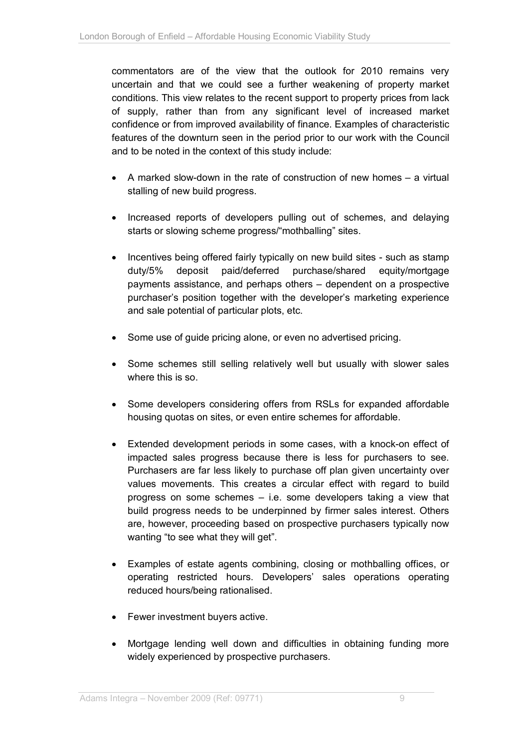commentators are of the view that the outlook for 2010 remains very uncertain and that we could see a further weakening of property market conditions. This view relates to the recent support to property prices from lack of supply, rather than from any significant level of increased market confidence or from improved availability of finance. Examples of characteristic features of the downturn seen in the period prior to our work with the Council and to be noted in the context of this study include:

- $\bullet$  A marked slow-down in the rate of construction of new homes  $-$  a virtual stalling of new build progress.
- Increased reports of developers pulling out of schemes, and delaying starts or slowing scheme progress/"mothballing" sites.
- Incentives being offered fairly typically on new build sites such as stamp duty/5% deposit paid/deferred purchase/shared equity/mortgage payments assistance, and perhaps others – dependent on a prospective purchaser's position together with the developer's marketing experience and sale potential of particular plots, etc.
- Some use of quide pricing alone, or even no advertised pricing.
- Some schemes still selling relatively well but usually with slower sales where this is so.
- Some developers considering offers from RSLs for expanded affordable housing quotas on sites, or even entire schemes for affordable.
- Extended development periods in some cases, with a knock-on effect of impacted sales progress because there is less for purchasers to see. Purchasers are far less likely to purchase off plan given uncertainty over values movements. This creates a circular effect with regard to build progress on some schemes – i.e. some developers taking a view that build progress needs to be underpinned by firmer sales interest. Others are, however, proceeding based on prospective purchasers typically now wanting "to see what they will get".
- Examples of estate agents combining, closing or mothballing offices, or operating restricted hours. Developers' sales operations operating reduced hours/being rationalised.
- Fewer investment buyers active.
- Mortgage lending well down and difficulties in obtaining funding more widely experienced by prospective purchasers.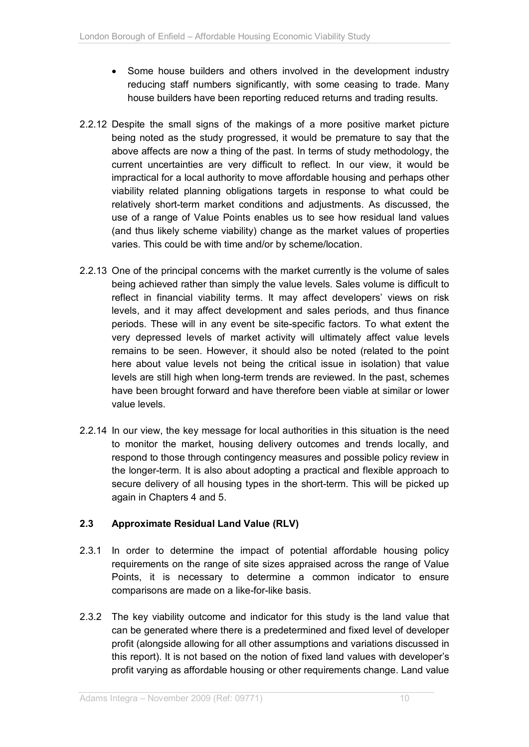- Some house builders and others involved in the development industry reducing staff numbers significantly, with some ceasing to trade. Many house builders have been reporting reduced returns and trading results.
- 2.2.12 Despite the small signs of the makings of a more positive market picture being noted as the study progressed, it would be premature to say that the above affects are now a thing of the past. In terms of study methodology, the current uncertainties are very difficult to reflect. In our view, it would be impractical for a local authority to move affordable housing and perhaps other viability related planning obligations targets in response to what could be relatively short-term market conditions and adjustments. As discussed, the use of a range of Value Points enables us to see how residual land values (and thus likely scheme viability) change as the market values of properties varies. This could be with time and/or by scheme/location.
- 2.2.13 One of the principal concerns with the market currently is the volume of sales being achieved rather than simply the value levels. Sales volume is difficult to reflect in financial viability terms. It may affect developers' views on risk levels, and it may affect development and sales periods, and thus finance periods. These will in any event be site-specific factors. To what extent the very depressed levels of market activity will ultimately affect value levels remains to be seen. However, it should also be noted (related to the point here about value levels not being the critical issue in isolation) that value levels are still high when long-term trends are reviewed. In the past, schemes have been brought forward and have therefore been viable at similar or lower value levels.
- 2.2.14 In our view, the key message for local authorities in this situation is the need to monitor the market, housing delivery outcomes and trends locally, and respond to those through contingency measures and possible policy review in the longer-term. It is also about adopting a practical and flexible approach to secure delivery of all housing types in the short-term. This will be picked up again in Chapters 4 and 5.

## **2.3 Approximate Residual Land Value (RLV)**

- 2.3.1 In order to determine the impact of potential affordable housing policy requirements on the range of site sizes appraised across the range of Value Points, it is necessary to determine a common indicator to ensure comparisons are made on a like-for-like basis.
- 2.3.2 The key viability outcome and indicator for this study is the land value that can be generated where there is a predetermined and fixed level of developer profit (alongside allowing for all other assumptions and variations discussed in this report). It is not based on the notion of fixed land values with developer's profit varying as affordable housing or other requirements change. Land value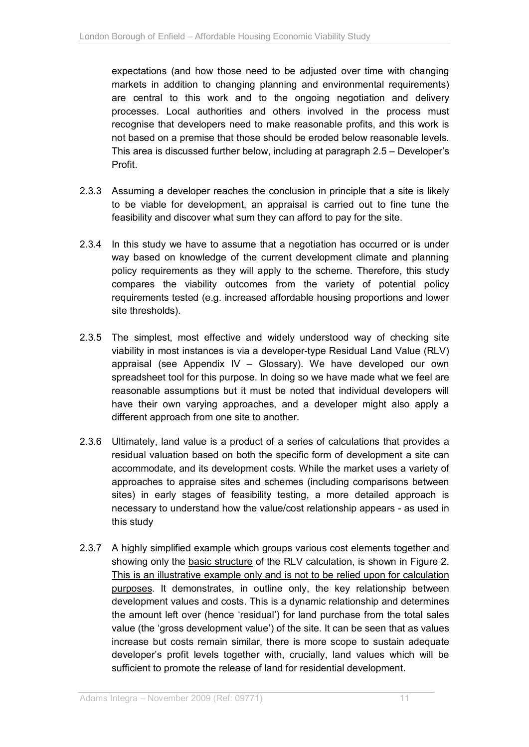expectations (and how those need to be adjusted over time with changing markets in addition to changing planning and environmental requirements) are central to this work and to the ongoing negotiation and delivery processes. Local authorities and others involved in the process must recognise that developers need to make reasonable profits, and this work is not based on a premise that those should be eroded below reasonable levels. This area is discussed further below, including at paragraph 2.5 – Developer's Profit.

- 2.3.3 Assuming a developer reaches the conclusion in principle that a site is likely to be viable for development, an appraisal is carried out to fine tune the feasibility and discover what sum they can afford to pay for the site.
- 2.3.4 In this study we have to assume that a negotiation has occurred or is under way based on knowledge of the current development climate and planning policy requirements as they will apply to the scheme. Therefore, this study compares the viability outcomes from the variety of potential policy requirements tested (e.g. increased affordable housing proportions and lower site thresholds).
- 2.3.5 The simplest, most effective and widely understood way of checking site viability in most instances is via a developer-type Residual Land Value (RLV) appraisal (see Appendix IV – Glossary). We have developed our own spreadsheet tool for this purpose. In doing so we have made what we feel are reasonable assumptions but it must be noted that individual developers will have their own varying approaches, and a developer might also apply a different approach from one site to another.
- 2.3.6 Ultimately, land value is a product of a series of calculations that provides a residual valuation based on both the specific form of development a site can accommodate, and its development costs. While the market uses a variety of approaches to appraise sites and schemes (including comparisons between sites) in early stages of feasibility testing, a more detailed approach is necessary to understand how the value/cost relationship appears - as used in this study
- 2.3.7 A highly simplified example which groups various cost elements together and showing only the basic structure of the RLV calculation, is shown in Figure 2. This is an illustrative example only and is not to be relied upon for calculation purposes. It demonstrates, in outline only, the key relationship between development values and costs. This is a dynamic relationship and determines the amount left over (hence 'residual') for land purchase from the total sales value (the 'gross development value') of the site. It can be seen that as values increase but costs remain similar, there is more scope to sustain adequate developer's profit levels together with, crucially, land values which will be sufficient to promote the release of land for residential development.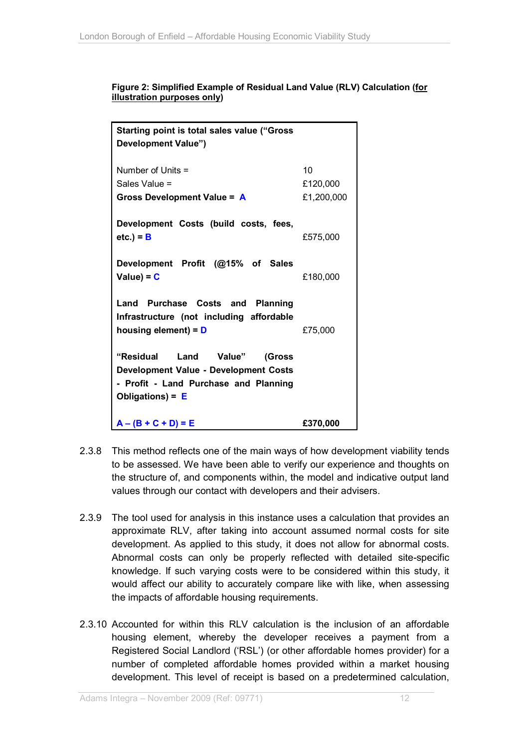| <b>Starting point is total sales value ("Gross</b>                                                                                                |                              |  |  |  |
|---------------------------------------------------------------------------------------------------------------------------------------------------|------------------------------|--|--|--|
| Development Value")                                                                                                                               |                              |  |  |  |
| Number of Units =<br>Sales Value =<br><b>Gross Development Value = A</b>                                                                          | 10<br>£120,000<br>£1,200,000 |  |  |  |
| Development Costs (build costs, fees,<br>$etc.$ ) = B                                                                                             | £575,000                     |  |  |  |
| Development Profit (@15% of Sales<br>$Value) = C$                                                                                                 | £180,000                     |  |  |  |
| Land Purchase Costs and<br><b>Planning</b><br>Infrastructure (not including affordable<br>housing element) = $D$                                  | £75,000                      |  |  |  |
| "Residual<br>Land Value"<br>(Gross<br><b>Development Value - Development Costs</b><br>- Profit - Land Purchase and Planning<br>Obligations) = $E$ |                              |  |  |  |
| $A - (B + C + D) = E$                                                                                                                             | £370,000                     |  |  |  |

#### **Figure 2: Simplified Example of Residual Land Value (RLV) Calculation (for illustration purposes only)**

- 2.3.8 This method reflects one of the main ways of how development viability tends to be assessed. We have been able to verify our experience and thoughts on the structure of, and components within, the model and indicative output land values through our contact with developers and their advisers.
- 2.3.9 The tool used for analysis in this instance uses a calculation that provides an approximate RLV, after taking into account assumed normal costs for site development. As applied to this study, it does not allow for abnormal costs. Abnormal costs can only be properly reflected with detailed site-specific knowledge. If such varying costs were to be considered within this study, it would affect our ability to accurately compare like with like, when assessing the impacts of affordable housing requirements.
- 2.3.10 Accounted for within this RLV calculation is the inclusion of an affordable housing element, whereby the developer receives a payment from a Registered Social Landlord ('RSL') (or other affordable homes provider) for a number of completed affordable homes provided within a market housing development. This level of receipt is based on a predetermined calculation,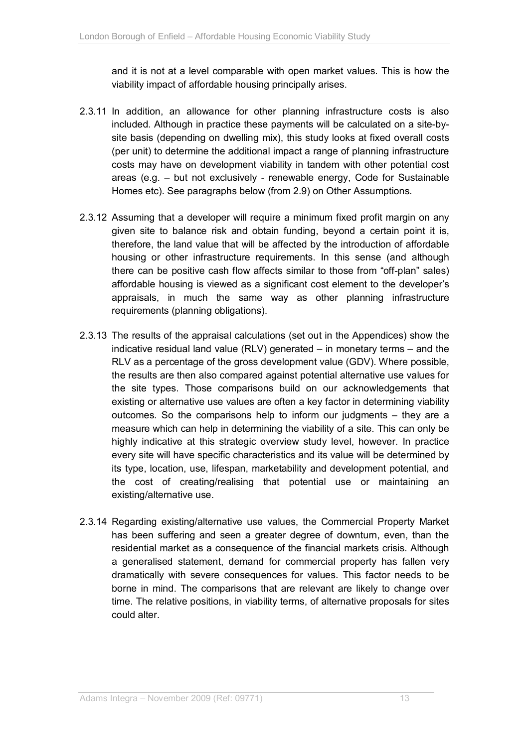and it is not at a level comparable with open market values. This is how the viability impact of affordable housing principally arises.

- 2.3.11 In addition, an allowance for other planning infrastructure costs is also included. Although in practice these payments will be calculated on a site-bysite basis (depending on dwelling mix), this study looks at fixed overall costs (per unit) to determine the additional impact a range of planning infrastructure costs may have on development viability in tandem with other potential cost areas (e.g. – but not exclusively - renewable energy, Code for Sustainable Homes etc). See paragraphs below (from 2.9) on Other Assumptions.
- 2.3.12 Assuming that a developer will require a minimum fixed profit margin on any given site to balance risk and obtain funding, beyond a certain point it is, therefore, the land value that will be affected by the introduction of affordable housing or other infrastructure requirements. In this sense (and although there can be positive cash flow affects similar to those from "off-plan" sales) affordable housing is viewed as a significant cost element to the developer's appraisals, in much the same way as other planning infrastructure requirements (planning obligations).
- 2.3.13 The results of the appraisal calculations (set out in the Appendices) show the indicative residual land value (RLV) generated – in monetary terms – and the RLV as a percentage of the gross development value (GDV). Where possible, the results are then also compared against potential alternative use values for the site types. Those comparisons build on our acknowledgements that existing or alternative use values are often a key factor in determining viability outcomes. So the comparisons help to inform our judgments – they are a measure which can help in determining the viability of a site. This can only be highly indicative at this strategic overview study level, however. In practice every site will have specific characteristics and its value will be determined by its type, location, use, lifespan, marketability and development potential, and the cost of creating/realising that potential use or maintaining an existing/alternative use.
- 2.3.14 Regarding existing/alternative use values, the Commercial Property Market has been suffering and seen a greater degree of downturn, even, than the residential market as a consequence of the financial markets crisis. Although a generalised statement, demand for commercial property has fallen very dramatically with severe consequences for values. This factor needs to be borne in mind. The comparisons that are relevant are likely to change over time. The relative positions, in viability terms, of alternative proposals for sites could alter.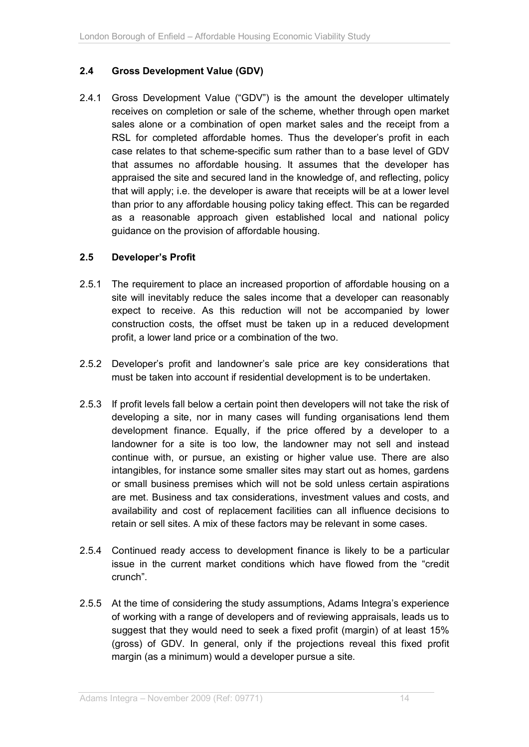## **2.4 Gross Development Value (GDV)**

2.4.1 Gross Development Value ("GDV") is the amount the developer ultimately receives on completion or sale of the scheme, whether through open market sales alone or a combination of open market sales and the receipt from a RSL for completed affordable homes. Thus the developer's profit in each case relates to that scheme-specific sum rather than to a base level of GDV that assumes no affordable housing. It assumes that the developer has appraised the site and secured land in the knowledge of, and reflecting, policy that will apply; i.e. the developer is aware that receipts will be at a lower level than prior to any affordable housing policy taking effect. This can be regarded as a reasonable approach given established local and national policy guidance on the provision of affordable housing.

### **2.5 Developer's Profit**

- 2.5.1 The requirement to place an increased proportion of affordable housing on a site will inevitably reduce the sales income that a developer can reasonably expect to receive. As this reduction will not be accompanied by lower construction costs, the offset must be taken up in a reduced development profit, a lower land price or a combination of the two.
- 2.5.2 Developer's profit and landowner's sale price are key considerations that must be taken into account if residential development is to be undertaken.
- 2.5.3 If profit levels fall below a certain point then developers will not take the risk of developing a site, nor in many cases will funding organisations lend them development finance. Equally, if the price offered by a developer to a landowner for a site is too low, the landowner may not sell and instead continue with, or pursue, an existing or higher value use. There are also intangibles, for instance some smaller sites may start out as homes, gardens or small business premises which will not be sold unless certain aspirations are met. Business and tax considerations, investment values and costs, and availability and cost of replacement facilities can all influence decisions to retain or sell sites. A mix of these factors may be relevant in some cases.
- 2.5.4 Continued ready access to development finance is likely to be a particular issue in the current market conditions which have flowed from the "credit crunch".
- 2.5.5 At the time of considering the study assumptions, Adams Integra's experience of working with a range of developers and of reviewing appraisals, leads us to suggest that they would need to seek a fixed profit (margin) of at least 15% (gross) of GDV. In general, only if the projections reveal this fixed profit margin (as a minimum) would a developer pursue a site.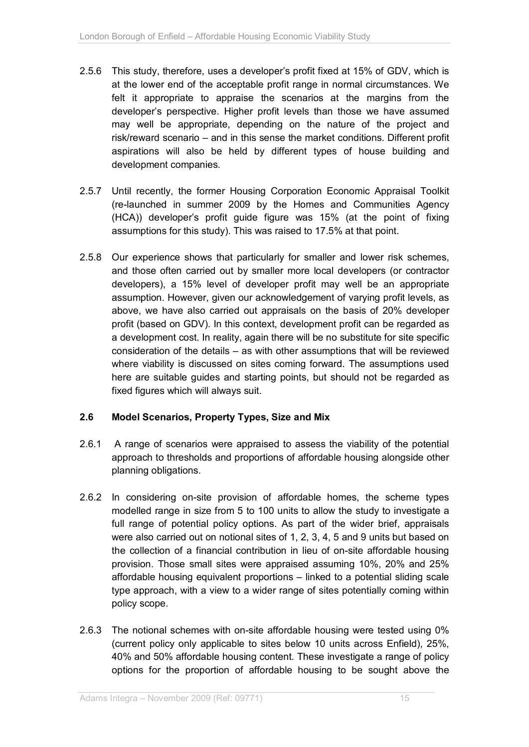- 2.5.6 This study, therefore, uses a developer's profit fixed at 15% of GDV, which is at the lower end of the acceptable profit range in normal circumstances. We felt it appropriate to appraise the scenarios at the margins from the developer's perspective. Higher profit levels than those we have assumed may well be appropriate, depending on the nature of the project and risk/reward scenario – and in this sense the market conditions. Different profit aspirations will also be held by different types of house building and development companies.
- 2.5.7 Until recently, the former Housing Corporation Economic Appraisal Toolkit (re-launched in summer 2009 by the Homes and Communities Agency (HCA)) developer's profit guide figure was 15% (at the point of fixing assumptions for this study). This was raised to 17.5% at that point.
- 2.5.8 Our experience shows that particularly for smaller and lower risk schemes, and those often carried out by smaller more local developers (or contractor developers), a 15% level of developer profit may well be an appropriate assumption. However, given our acknowledgement of varying profit levels, as above, we have also carried out appraisals on the basis of 20% developer profit (based on GDV). In this context, development profit can be regarded as a development cost. In reality, again there will be no substitute for site specific consideration of the details – as with other assumptions that will be reviewed where viability is discussed on sites coming forward. The assumptions used here are suitable guides and starting points, but should not be regarded as fixed figures which will always suit.

### **2.6 Model Scenarios, Property Types, Size and Mix**

- 2.6.1 A range of scenarios were appraised to assess the viability of the potential approach to thresholds and proportions of affordable housing alongside other planning obligations.
- 2.6.2 In considering on-site provision of affordable homes, the scheme types modelled range in size from 5 to 100 units to allow the study to investigate a full range of potential policy options. As part of the wider brief, appraisals were also carried out on notional sites of 1, 2, 3, 4, 5 and 9 units but based on the collection of a financial contribution in lieu of on-site affordable housing provision. Those small sites were appraised assuming 10%, 20% and 25% affordable housing equivalent proportions – linked to a potential sliding scale type approach, with a view to a wider range of sites potentially coming within policy scope.
- 2.6.3 The notional schemes with on-site affordable housing were tested using 0% (current policy only applicable to sites below 10 units across Enfield), 25%, 40% and 50% affordable housing content. These investigate a range of policy options for the proportion of affordable housing to be sought above the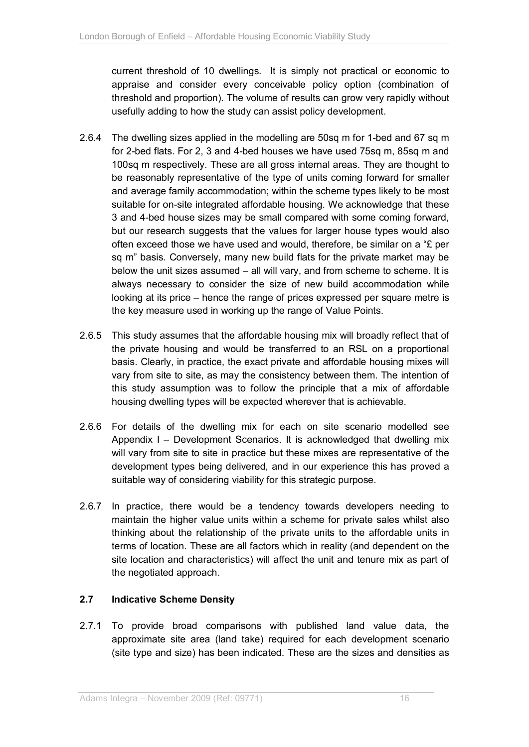current threshold of 10 dwellings. It is simply not practical or economic to appraise and consider every conceivable policy option (combination of threshold and proportion). The volume of results can grow very rapidly without usefully adding to how the study can assist policy development.

- 2.6.4 The dwelling sizes applied in the modelling are 50sq m for 1-bed and 67 sq m for 2-bed flats. For 2, 3 and 4-bed houses we have used 75sq m, 85sq m and 100sq m respectively. These are all gross internal areas. They are thought to be reasonably representative of the type of units coming forward for smaller and average family accommodation; within the scheme types likely to be most suitable for on-site integrated affordable housing. We acknowledge that these 3 and 4-bed house sizes may be small compared with some coming forward, but our research suggests that the values for larger house types would also often exceed those we have used and would, therefore, be similar on a "£ per sq m" basis. Conversely, many new build flats for the private market may be below the unit sizes assumed – all will vary, and from scheme to scheme. It is always necessary to consider the size of new build accommodation while looking at its price – hence the range of prices expressed per square metre is the key measure used in working up the range of Value Points.
- 2.6.5 This study assumes that the affordable housing mix will broadly reflect that of the private housing and would be transferred to an RSL on a proportional basis. Clearly, in practice, the exact private and affordable housing mixes will vary from site to site, as may the consistency between them. The intention of this study assumption was to follow the principle that a mix of affordable housing dwelling types will be expected wherever that is achievable.
- 2.6.6 For details of the dwelling mix for each on site scenario modelled see Appendix I – Development Scenarios. It is acknowledged that dwelling mix will vary from site to site in practice but these mixes are representative of the development types being delivered, and in our experience this has proved a suitable way of considering viability for this strategic purpose.
- 2.6.7 In practice, there would be a tendency towards developers needing to maintain the higher value units within a scheme for private sales whilst also thinking about the relationship of the private units to the affordable units in terms of location. These are all factors which in reality (and dependent on the site location and characteristics) will affect the unit and tenure mix as part of the negotiated approach.

## **2.7 Indicative Scheme Density**

2.7.1 To provide broad comparisons with published land value data, the approximate site area (land take) required for each development scenario (site type and size) has been indicated. These are the sizes and densities as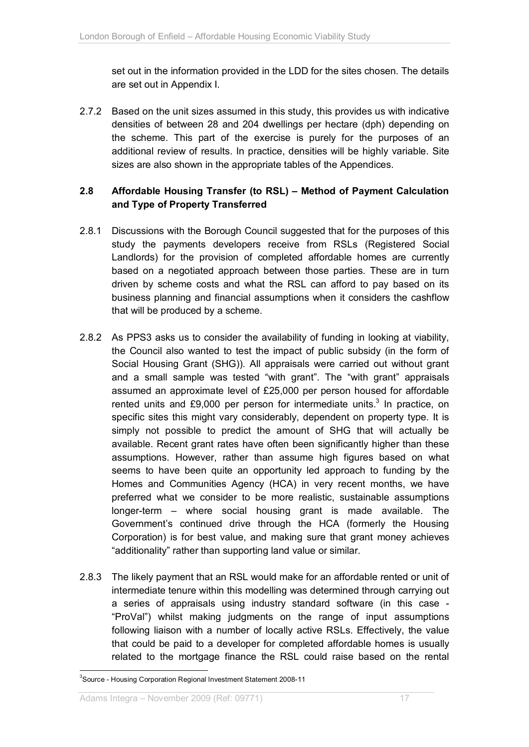set out in the information provided in the LDD for the sites chosen. The details are set out in Appendix I.

2.7.2 Based on the unit sizes assumed in this study, this provides us with indicative densities of between 28 and 204 dwellings per hectare (dph) depending on the scheme. This part of the exercise is purely for the purposes of an additional review of results. In practice, densities will be highly variable. Site sizes are also shown in the appropriate tables of the Appendices.

## **2.8 Affordable Housing Transfer (to RSL) – Method of Payment Calculation and Type of Property Transferred**

- 2.8.1 Discussions with the Borough Council suggested that for the purposes of this study the payments developers receive from RSLs (Registered Social Landlords) for the provision of completed affordable homes are currently based on a negotiated approach between those parties. These are in turn driven by scheme costs and what the RSL can afford to pay based on its business planning and financial assumptions when it considers the cashflow that will be produced by a scheme.
- 2.8.2 As PPS3 asks us to consider the availability of funding in looking at viability, the Council also wanted to test the impact of public subsidy (in the form of Social Housing Grant (SHG)). All appraisals were carried out without grant and a small sample was tested "with grant". The "with grant" appraisals assumed an approximate level of £25,000 per person housed for affordable rented units and £9,000 per person for intermediate units.<sup>3</sup> In practice, on specific sites this might vary considerably, dependent on property type. It is simply not possible to predict the amount of SHG that will actually be available. Recent grant rates have often been significantly higher than these assumptions. However, rather than assume high figures based on what seems to have been quite an opportunity led approach to funding by the Homes and Communities Agency (HCA) in very recent months, we have preferred what we consider to be more realistic, sustainable assumptions longer-term – where social housing grant is made available. The Government's continued drive through the HCA (formerly the Housing Corporation) is for best value, and making sure that grant money achieves "additionality" rather than supporting land value or similar.
- 2.8.3 The likely payment that an RSL would make for an affordable rented or unit of intermediate tenure within this modelling was determined through carrying out a series of appraisals using industry standard software (in this case - "ProVal") whilst making judgments on the range of input assumptions following liaison with a number of locally active RSLs. Effectively, the value that could be paid to a developer for completed affordable homes is usually related to the mortgage finance the RSL could raise based on the rental

 $\overline{a}$ 

<sup>&</sup>lt;sup>3</sup>Source - Housing Corporation Regional Investment Statement 2008-11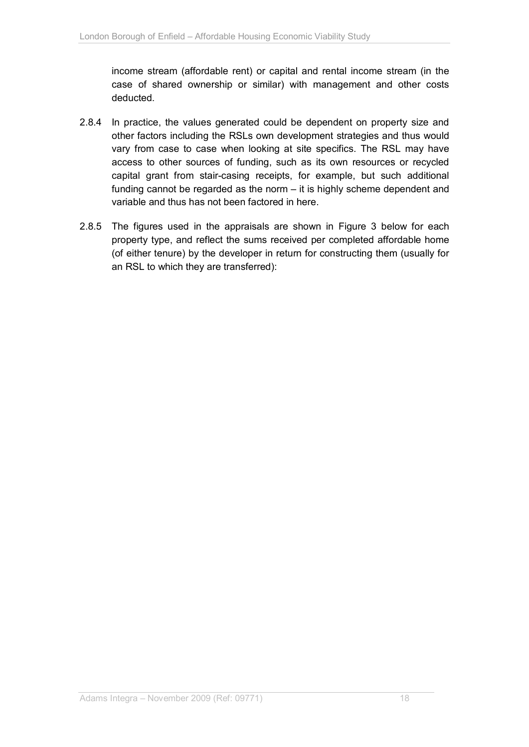income stream (affordable rent) or capital and rental income stream (in the case of shared ownership or similar) with management and other costs deducted.

- 2.8.4 In practice, the values generated could be dependent on property size and other factors including the RSLs own development strategies and thus would vary from case to case when looking at site specifics. The RSL may have access to other sources of funding, such as its own resources or recycled capital grant from stair-casing receipts, for example, but such additional funding cannot be regarded as the norm – it is highly scheme dependent and variable and thus has not been factored in here.
- 2.8.5 The figures used in the appraisals are shown in Figure 3 below for each property type, and reflect the sums received per completed affordable home (of either tenure) by the developer in return for constructing them (usually for an RSL to which they are transferred):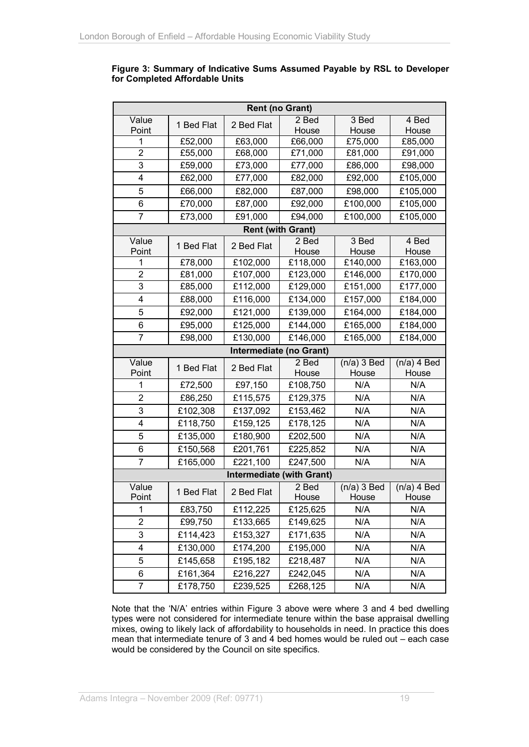#### **Figure 3: Summary of Indicative Sums Assumed Payable by RSL to Developer for Completed Affordable Units**

| <b>Rent (no Grant)</b>           |            |            |                          |                        |                        |  |  |
|----------------------------------|------------|------------|--------------------------|------------------------|------------------------|--|--|
| Value                            | 1 Bed Flat | 2 Bed Flat | 2 Bed                    | 3 Bed                  | 4 Bed                  |  |  |
| Point                            |            |            | House                    | House                  | House                  |  |  |
| 1                                | £52,000    | £63,000    | £66,000                  | £75,000                | £85,000                |  |  |
| 2                                | £55,000    | £68,000    | £71,000                  | £81,000                | £91,000                |  |  |
| 3                                | £59,000    | £73,000    | £77,000                  | £86,000                | £98,000                |  |  |
| 4                                | £62,000    | £77,000    | £82,000                  | £92,000                | £105,000               |  |  |
| 5                                | £66,000    | £82,000    | £87,000                  | £98,000                | £105,000               |  |  |
| 6                                | £70,000    | £87,000    | £92,000                  | £100,000               | £105,000               |  |  |
| 7                                | £73,000    | £91,000    | £94,000                  | £100,000               | £105,000               |  |  |
|                                  |            |            | <b>Rent (with Grant)</b> |                        |                        |  |  |
| Value<br>Point                   | 1 Bed Flat | 2 Bed Flat | 2 Bed<br>House           | 3 Bed<br>House         | 4 Bed<br>House         |  |  |
| 1                                | £78,000    | £102,000   | £118,000                 | £140,000               | £163,000               |  |  |
| 2                                | £81,000    | £107,000   | £123,000                 | £146,000               | £170,000               |  |  |
| 3                                | £85,000    | £112,000   | £129,000                 | £151,000               | £177,000               |  |  |
| 4                                | £88,000    | £116,000   | £134,000                 | £157,000               | £184,000               |  |  |
| 5                                | £92,000    | £121,000   | £139,000                 | £164,000               | £184,000               |  |  |
| 6                                | £95,000    | £125,000   | £144,000                 | £165,000               | £184,000               |  |  |
| 7                                | £98,000    | £130,000   | £146,000                 | £165,000               | £184,000               |  |  |
|                                  |            |            | Intermediate (no Grant)  |                        |                        |  |  |
| Value<br>Point                   | 1 Bed Flat | 2 Bed Flat | 2 Bed<br>House           | $(n/a)$ 3 Bed<br>House | $(n/a)$ 4 Bed<br>House |  |  |
| 1                                | £72,500    | £97,150    | £108,750                 | N/A                    | N/A                    |  |  |
| 2                                | £86,250    | £115,575   | £129,375                 | N/A                    | N/A                    |  |  |
| 3                                | £102,308   | £137,092   | £153,462                 | N/A                    | N/A                    |  |  |
| 4                                | £118,750   | £159,125   | £178,125                 | N/A                    | N/A                    |  |  |
| 5                                | £135,000   | £180,900   | £202,500                 | N/A                    | N/A                    |  |  |
| 6                                | £150,568   | £201,761   | £225,852                 | N/A                    | N/A                    |  |  |
| 7                                | £165,000   | £221,100   | £247,500                 | N/A                    | N/A                    |  |  |
| <b>Intermediate (with Grant)</b> |            |            |                          |                        |                        |  |  |
| Value<br>Point                   | 1 Bed Flat | 2 Bed Flat | 2 Bed<br>House           | $(n/a)$ 3 Bed<br>House | $(n/a)$ 4 Bed<br>House |  |  |
| 1                                | £83,750    | £112,225   | £125,625                 | N/A                    | N/A                    |  |  |
| 2                                | £99,750    | £133,665   | £149,625                 | N/A                    | N/A                    |  |  |
| 3                                | £114,423   | £153,327   | £171,635                 | N/A                    | N/A                    |  |  |
| 4                                | £130,000   | £174,200   | £195,000                 | N/A                    | N/A                    |  |  |
| 5                                | £145,658   | £195,182   | £218,487                 | N/A                    | N/A                    |  |  |
| 6                                | £161,364   | £216,227   | £242,045                 | N/A                    | N/A                    |  |  |
| 7                                | £178,750   | £239,525   | £268,125                 | N/A                    | N/A                    |  |  |

Note that the 'N/A' entries within Figure 3 above were where 3 and 4 bed dwelling types were not considered for intermediate tenure within the base appraisal dwelling mixes, owing to likely lack of affordability to households in need. In practice this does mean that intermediate tenure of 3 and 4 bed homes would be ruled out – each case would be considered by the Council on site specifics.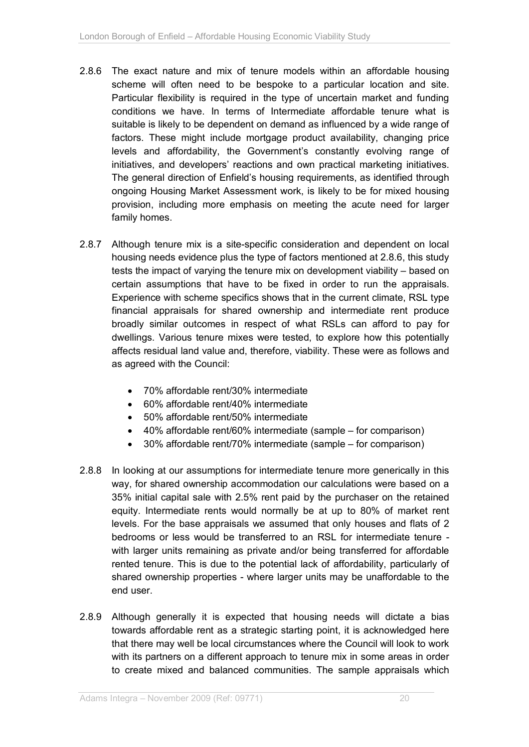- 2.8.6 The exact nature and mix of tenure models within an affordable housing scheme will often need to be bespoke to a particular location and site. Particular flexibility is required in the type of uncertain market and funding conditions we have. In terms of Intermediate affordable tenure what is suitable is likely to be dependent on demand as influenced by a wide range of factors. These might include mortgage product availability, changing price levels and affordability, the Government's constantly evolving range of initiatives, and developers' reactions and own practical marketing initiatives. The general direction of Enfield's housing requirements, as identified through ongoing Housing Market Assessment work, is likely to be for mixed housing provision, including more emphasis on meeting the acute need for larger family homes.
- 2.8.7 Although tenure mix is a site-specific consideration and dependent on local housing needs evidence plus the type of factors mentioned at 2.8.6, this study tests the impact of varying the tenure mix on development viability – based on certain assumptions that have to be fixed in order to run the appraisals. Experience with scheme specifics shows that in the current climate, RSL type financial appraisals for shared ownership and intermediate rent produce broadly similar outcomes in respect of what RSLs can afford to pay for dwellings. Various tenure mixes were tested, to explore how this potentially affects residual land value and, therefore, viability. These were as follows and as agreed with the Council:
	- 70% affordable rent/30% intermediate
	- 60% affordable rent/40% intermediate
	- 50% affordable rent/50% intermediate
	- 40% affordable rent/60% intermediate (sample for comparison)
	- 30% affordable rent/70% intermediate (sample for comparison)
- 2.8.8 In looking at our assumptions for intermediate tenure more generically in this way, for shared ownership accommodation our calculations were based on a 35% initial capital sale with 2.5% rent paid by the purchaser on the retained equity. Intermediate rents would normally be at up to 80% of market rent levels. For the base appraisals we assumed that only houses and flats of 2 bedrooms or less would be transferred to an RSL for intermediate tenure with larger units remaining as private and/or being transferred for affordable rented tenure. This is due to the potential lack of affordability, particularly of shared ownership properties - where larger units may be unaffordable to the end user.
- 2.8.9 Although generally it is expected that housing needs will dictate a bias towards affordable rent as a strategic starting point, it is acknowledged here that there may well be local circumstances where the Council will look to work with its partners on a different approach to tenure mix in some areas in order to create mixed and balanced communities. The sample appraisals which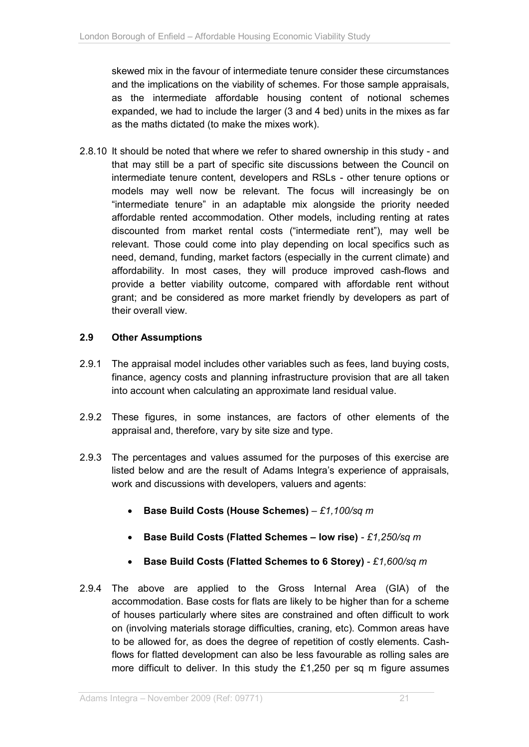skewed mix in the favour of intermediate tenure consider these circumstances and the implications on the viability of schemes. For those sample appraisals, as the intermediate affordable housing content of notional schemes expanded, we had to include the larger (3 and 4 bed) units in the mixes as far as the maths dictated (to make the mixes work).

2.8.10 It should be noted that where we refer to shared ownership in this study - and that may still be a part of specific site discussions between the Council on intermediate tenure content, developers and RSLs - other tenure options or models may well now be relevant. The focus will increasingly be on "intermediate tenure" in an adaptable mix alongside the priority needed affordable rented accommodation. Other models, including renting at rates discounted from market rental costs ("intermediate rent"), may well be relevant. Those could come into play depending on local specifics such as need, demand, funding, market factors (especially in the current climate) and affordability. In most cases, they will produce improved cash-flows and provide a better viability outcome, compared with affordable rent without grant; and be considered as more market friendly by developers as part of their overall view.

### **2.9 Other Assumptions**

- 2.9.1 The appraisal model includes other variables such as fees, land buying costs, finance, agency costs and planning infrastructure provision that are all taken into account when calculating an approximate land residual value.
- 2.9.2 These figures, in some instances, are factors of other elements of the appraisal and, therefore, vary by site size and type.
- 2.9.3 The percentages and values assumed for the purposes of this exercise are listed below and are the result of Adams Integra's experience of appraisals, work and discussions with developers, valuers and agents:
	- **Base Build Costs (House Schemes)** *£1,100/sq m*
	- **Base Build Costs (Flatted Schemes low rise)** *£1,250/sq m*
	- **Base Build Costs (Flatted Schemes to 6 Storey)** *£1,600/sq m*
- 2.9.4 The above are applied to the Gross Internal Area (GIA) of the accommodation. Base costs for flats are likely to be higher than for a scheme of houses particularly where sites are constrained and often difficult to work on (involving materials storage difficulties, craning, etc). Common areas have to be allowed for, as does the degree of repetition of costly elements. Cashflows for flatted development can also be less favourable as rolling sales are more difficult to deliver. In this study the £1,250 per sq m figure assumes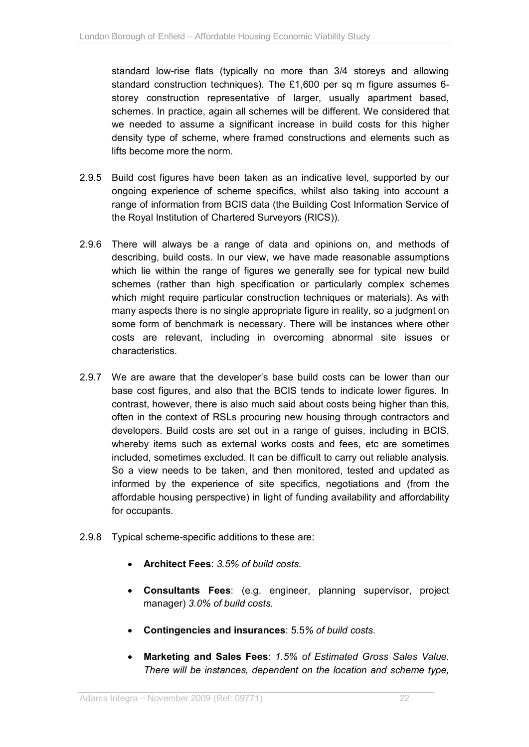standard low-rise flats (typically no more than 3/4 storeys and allowing standard construction techniques). The £1,600 per sq m figure assumes 6 storey construction representative of larger, usually apartment based, schemes. In practice, again all schemes will be different. We considered that we needed to assume a significant increase in build costs for this higher density type of scheme, where framed constructions and elements such as lifts become more the norm.

- 2.9.5 Build cost figures have been taken as an indicative level, supported by our ongoing experience of scheme specifics, whilst also taking into account a range of information from BCIS data (the Building Cost Information Service of the Royal Institution of Chartered Surveyors (RICS)).
- 2.9.6 There will always be a range of data and opinions on, and methods of describing, build costs. In our view, we have made reasonable assumptions which lie within the range of figures we generally see for typical new build schemes (rather than high specification or particularly complex schemes which might require particular construction techniques or materials). As with many aspects there is no single appropriate figure in reality, so a judgment on some form of benchmark is necessary. There will be instances where other costs are relevant, including in overcoming abnormal site issues or characteristics.
- 2.9.7 We are aware that the developer's base build costs can be lower than our base cost figures, and also that the BCIS tends to indicate lower figures. In contrast, however, there is also much said about costs being higher than this, often in the context of RSLs procuring new housing through contractors and developers. Build costs are set out in a range of guises, including in BCIS, whereby items such as external works costs and fees, etc are sometimes included, sometimes excluded. It can be difficult to carry out reliable analysis. So a view needs to be taken, and then monitored, tested and updated as informed by the experience of site specifics, negotiations and (from the affordable housing perspective) in light of funding availability and affordability for occupants.
- 2.9.8 Typical scheme-specific additions to these are:
	- **Architect Fees**: *3.5% of build costs.*
	- **Consultants Fees**: (e.g. engineer, planning supervisor, project manager) *3.0% of build costs.*
	- **Contingencies and insurances**: 5.5*% of build costs.*
	- **Marketing and Sales Fees**: *1.5% of Estimated Gross Sales Value. There will be instances, dependent on the location and scheme type,*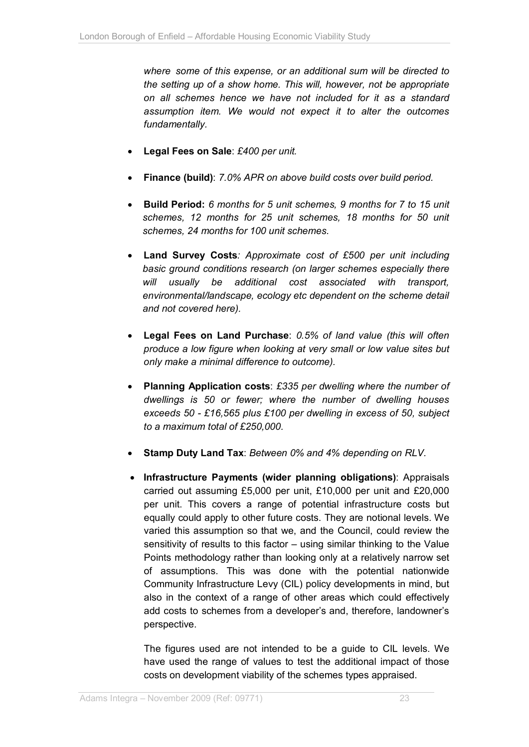*where some of this expense, or an additional sum will be directed to the setting up of a show home. This will, however, not be appropriate on all schemes hence we have not included for it as a standard assumption item. We would not expect it to alter the outcomes fundamentally.*

- **Legal Fees on Sale**: *£400 per unit.*
- **Finance (build)**: *7.0% APR on above build costs over build period.*
- **Build Period:** *6 months for 5 unit schemes, 9 months for 7 to 15 unit schemes, 12 months for 25 unit schemes, 18 months for 50 unit schemes, 24 months for 100 unit schemes.*
- **Land Survey Costs***: Approximate cost of £500 per unit including basic ground conditions research (on larger schemes especially there will usually be additional cost associated with transport, environmental/landscape, ecology etc dependent on the scheme detail and not covered here).*
- **Legal Fees on Land Purchase**: *0.5% of land value (this will often produce a low figure when looking at very small or low value sites but only make a minimal difference to outcome).*
- **Planning Application costs**: *£335 per dwelling where the number of dwellings is 50 or fewer; where the number of dwelling houses exceeds 50 - £16,565 plus £100 per dwelling in excess of 50, subject to a maximum total of £250,000.*
- **Stamp Duty Land Tax**: *Between 0% and 4% depending on RLV.*
- **Infrastructure Payments (wider planning obligations)**: Appraisals carried out assuming £5,000 per unit, £10,000 per unit and £20,000 per unit. This covers a range of potential infrastructure costs but equally could apply to other future costs. They are notional levels. We varied this assumption so that we, and the Council, could review the sensitivity of results to this factor – using similar thinking to the Value Points methodology rather than looking only at a relatively narrow set of assumptions. This was done with the potential nationwide Community Infrastructure Levy (CIL) policy developments in mind, but also in the context of a range of other areas which could effectively add costs to schemes from a developer's and, therefore, landowner's perspective.

The figures used are not intended to be a guide to CIL levels. We have used the range of values to test the additional impact of those costs on development viability of the schemes types appraised.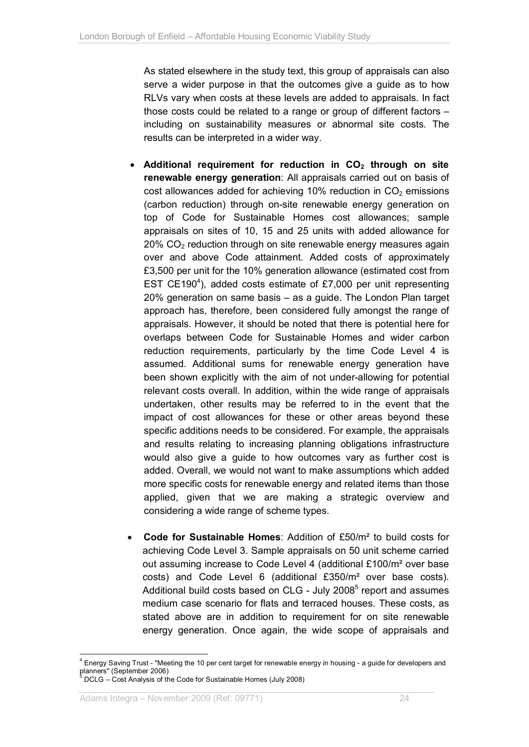As stated elsewhere in the study text, this group of appraisals can also serve a wider purpose in that the outcomes give a guide as to how RLVs vary when costs at these levels are added to appraisals. In fact those costs could be related to a range or group of different factors – including on sustainability measures or abnormal site costs. The results can be interpreted in a wider way.

- **Additional requirement for reduction in CO2 through on site renewable energy generation**: All appraisals carried out on basis of cost allowances added for achieving 10% reduction in  $CO<sub>2</sub>$  emissions (carbon reduction) through on-site renewable energy generation on top of Code for Sustainable Homes cost allowances; sample appraisals on sites of 10, 15 and 25 units with added allowance for  $20\%$  CO<sub>2</sub> reduction through on site renewable energy measures again over and above Code attainment. Added costs of approximately £3,500 per unit for the 10% generation allowance (estimated cost from EST CE190<sup>4</sup>), added costs estimate of £7,000 per unit representing 20% generation on same basis – as a guide. The London Plan target approach has, therefore, been considered fully amongst the range of appraisals. However, it should be noted that there is potential here for overlaps between Code for Sustainable Homes and wider carbon reduction requirements, particularly by the time Code Level 4 is assumed. Additional sums for renewable energy generation have been shown explicitly with the aim of not under-allowing for potential relevant costs overall. In addition, within the wide range of appraisals undertaken, other results may be referred to in the event that the impact of cost allowances for these or other areas beyond these specific additions needs to be considered. For example, the appraisals and results relating to increasing planning obligations infrastructure would also give a guide to how outcomes vary as further cost is added. Overall, we would not want to make assumptions which added more specific costs for renewable energy and related items than those applied, given that we are making a strategic overview and considering a wide range of scheme types.
- **Code for Sustainable Homes**: Addition of £50/m² to build costs for achieving Code Level 3. Sample appraisals on 50 unit scheme carried out assuming increase to Code Level 4 (additional £100/m² over base costs) and Code Level 6 (additional £350/m² over base costs). Additional build costs based on CLG - July 2008 $<sup>5</sup>$  report and assumes</sup> medium case scenario for flats and terraced houses. These costs, as stated above are in addition to requirement for on site renewable energy generation. Once again, the wide scope of appraisals and

l <sup>4</sup> Energy Saving Trust - "Meeting the 10 per cent target for renewable energy in housing - a guide for developers and planners" (September 2006)<br><sup>5</sup> DCLG – Cost Analysis of the Code for Sustainable Homes (July 2008)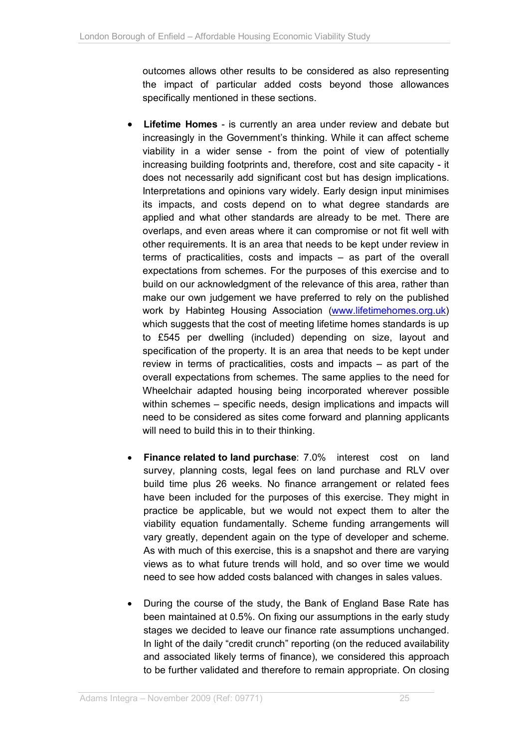outcomes allows other results to be considered as also representing the impact of particular added costs beyond those allowances specifically mentioned in these sections.

- **Lifetime Homes**  is currently an area under review and debate but increasingly in the Government's thinking. While it can affect scheme viability in a wider sense - from the point of view of potentially increasing building footprints and, therefore, cost and site capacity - it does not necessarily add significant cost but has design implications. Interpretations and opinions vary widely. Early design input minimises its impacts, and costs depend on to what degree standards are applied and what other standards are already to be met. There are overlaps, and even areas where it can compromise or not fit well with other requirements. It is an area that needs to be kept under review in terms of practicalities, costs and impacts – as part of the overall expectations from schemes. For the purposes of this exercise and to build on our acknowledgment of the relevance of this area, rather than make our own judgement we have preferred to rely on the published work by Habinteg Housing Association [\(www.lifetimehomes.org.uk\)](www.lifetimehomes.org.uk) which suggests that the cost of meeting lifetime homes standards is up to £545 per dwelling (included) depending on size, layout and specification of the property. It is an area that needs to be kept under review in terms of practicalities, costs and impacts – as part of the overall expectations from schemes. The same applies to the need for Wheelchair adapted housing being incorporated wherever possible within schemes – specific needs, design implications and impacts will need to be considered as sites come forward and planning applicants will need to build this in to their thinking.
- **Finance related to land purchase:** 7.0% interest cost on land survey, planning costs, legal fees on land purchase and RLV over build time plus 26 weeks. No finance arrangement or related fees have been included for the purposes of this exercise. They might in practice be applicable, but we would not expect them to alter the viability equation fundamentally. Scheme funding arrangements will vary greatly, dependent again on the type of developer and scheme. As with much of this exercise, this is a snapshot and there are varying views as to what future trends will hold, and so over time we would need to see how added costs balanced with changes in sales values.
- During the course of the study, the Bank of England Base Rate has been maintained at 0.5%. On fixing our assumptions in the early study stages we decided to leave our finance rate assumptions unchanged. In light of the daily "credit crunch" reporting (on the reduced availability and associated likely terms of finance), we considered this approach to be further validated and therefore to remain appropriate. On closing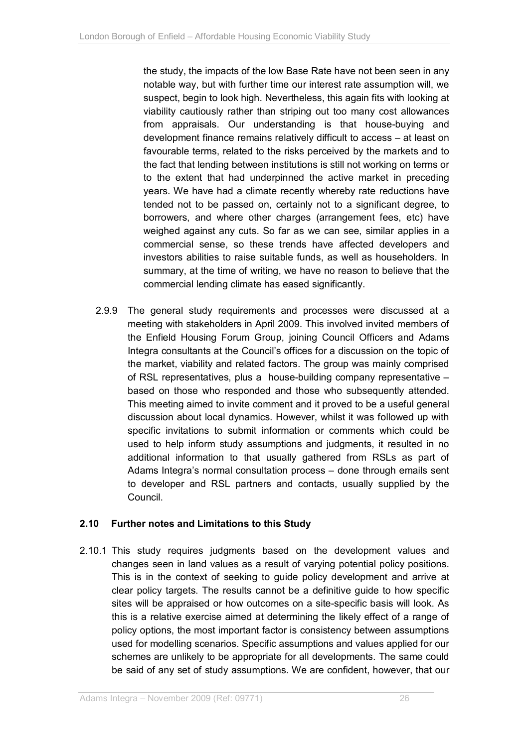the study, the impacts of the low Base Rate have not been seen in any notable way, but with further time our interest rate assumption will, we suspect, begin to look high. Nevertheless, this again fits with looking at viability cautiously rather than striping out too many cost allowances from appraisals. Our understanding is that house-buying and development finance remains relatively difficult to access – at least on favourable terms, related to the risks perceived by the markets and to the fact that lending between institutions is still not working on terms or to the extent that had underpinned the active market in preceding years. We have had a climate recently whereby rate reductions have tended not to be passed on, certainly not to a significant degree, to borrowers, and where other charges (arrangement fees, etc) have weighed against any cuts. So far as we can see, similar applies in a commercial sense, so these trends have affected developers and investors abilities to raise suitable funds, as well as householders. In summary, at the time of writing, we have no reason to believe that the commercial lending climate has eased significantly.

2.9.9 The general study requirements and processes were discussed at a meeting with stakeholders in April 2009. This involved invited members of the Enfield Housing Forum Group, joining Council Officers and Adams Integra consultants at the Council's offices for a discussion on the topic of the market, viability and related factors. The group was mainly comprised of RSL representatives, plus a house-building company representative – based on those who responded and those who subsequently attended. This meeting aimed to invite comment and it proved to be a useful general discussion about local dynamics. However, whilst it was followed up with specific invitations to submit information or comments which could be used to help inform study assumptions and judgments, it resulted in no additional information to that usually gathered from RSLs as part of Adams Integra's normal consultation process – done through emails sent to developer and RSL partners and contacts, usually supplied by the Council.

## **2.10 Further notes and Limitations to this Study**

2.10.1 This study requires judgments based on the development values and changes seen in land values as a result of varying potential policy positions. This is in the context of seeking to guide policy development and arrive at clear policy targets. The results cannot be a definitive guide to how specific sites will be appraised or how outcomes on a site-specific basis will look. As this is a relative exercise aimed at determining the likely effect of a range of policy options, the most important factor is consistency between assumptions used for modelling scenarios. Specific assumptions and values applied for our schemes are unlikely to be appropriate for all developments. The same could be said of any set of study assumptions. We are confident, however, that our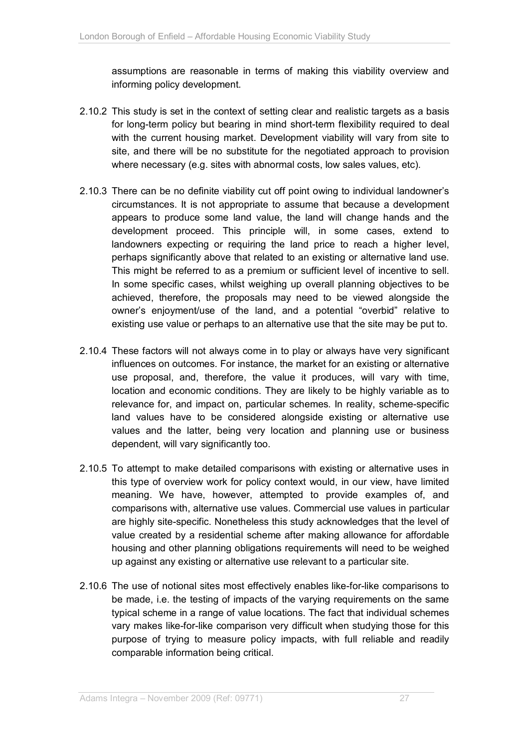assumptions are reasonable in terms of making this viability overview and informing policy development.

- 2.10.2 This study is set in the context of setting clear and realistic targets as a basis for long-term policy but bearing in mind short-term flexibility required to deal with the current housing market. Development viability will vary from site to site, and there will be no substitute for the negotiated approach to provision where necessary (e.g. sites with abnormal costs, low sales values, etc).
- 2.10.3 There can be no definite viability cut off point owing to individual landowner's circumstances. It is not appropriate to assume that because a development appears to produce some land value, the land will change hands and the development proceed. This principle will, in some cases, extend to landowners expecting or requiring the land price to reach a higher level, perhaps significantly above that related to an existing or alternative land use. This might be referred to as a premium or sufficient level of incentive to sell. In some specific cases, whilst weighing up overall planning objectives to be achieved, therefore, the proposals may need to be viewed alongside the owner's enjoyment/use of the land, and a potential "overbid" relative to existing use value or perhaps to an alternative use that the site may be put to.
- 2.10.4 These factors will not always come in to play or always have very significant influences on outcomes. For instance, the market for an existing or alternative use proposal, and, therefore, the value it produces, will vary with time, location and economic conditions. They are likely to be highly variable as to relevance for, and impact on, particular schemes. In reality, scheme-specific land values have to be considered alongside existing or alternative use values and the latter, being very location and planning use or business dependent, will vary significantly too.
- 2.10.5 To attempt to make detailed comparisons with existing or alternative uses in this type of overview work for policy context would, in our view, have limited meaning. We have, however, attempted to provide examples of, and comparisons with, alternative use values. Commercial use values in particular are highly site-specific. Nonetheless this study acknowledges that the level of value created by a residential scheme after making allowance for affordable housing and other planning obligations requirements will need to be weighed up against any existing or alternative use relevant to a particular site.
- 2.10.6 The use of notional sites most effectively enables like-for-like comparisons to be made, i.e. the testing of impacts of the varying requirements on the same typical scheme in a range of value locations. The fact that individual schemes vary makes like-for-like comparison very difficult when studying those for this purpose of trying to measure policy impacts, with full reliable and readily comparable information being critical.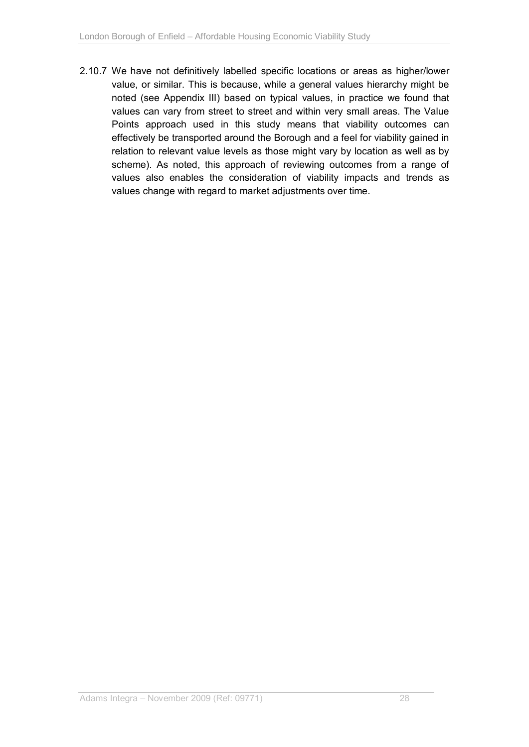2.10.7 We have not definitively labelled specific locations or areas as higher/lower value, or similar. This is because, while a general values hierarchy might be noted (see Appendix III) based on typical values, in practice we found that values can vary from street to street and within very small areas. The Value Points approach used in this study means that viability outcomes can effectively be transported around the Borough and a feel for viability gained in relation to relevant value levels as those might vary by location as well as by scheme). As noted, this approach of reviewing outcomes from a range of values also enables the consideration of viability impacts and trends as values change with regard to market adjustments over time.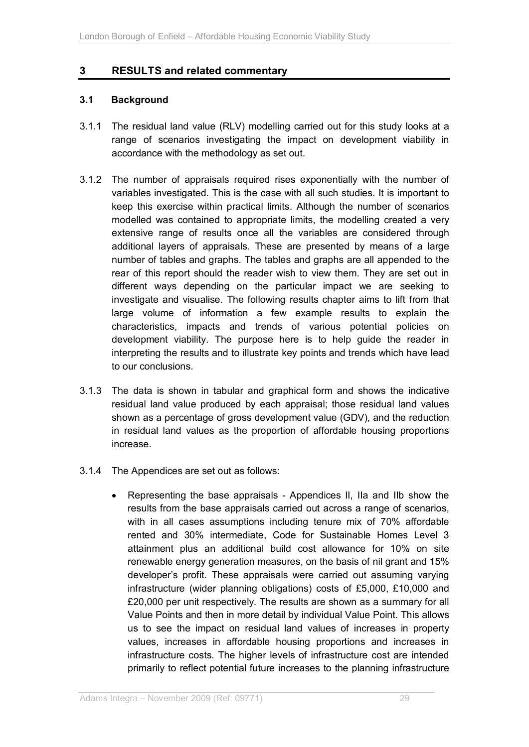# **3 RESULTS and related commentary**

### **3.1 Background**

- 3.1.1 The residual land value (RLV) modelling carried out for this study looks at a range of scenarios investigating the impact on development viability in accordance with the methodology as set out.
- 3.1.2 The number of appraisals required rises exponentially with the number of variables investigated. This is the case with all such studies. It is important to keep this exercise within practical limits. Although the number of scenarios modelled was contained to appropriate limits, the modelling created a very extensive range of results once all the variables are considered through additional layers of appraisals. These are presented by means of a large number of tables and graphs. The tables and graphs are all appended to the rear of this report should the reader wish to view them. They are set out in different ways depending on the particular impact we are seeking to investigate and visualise. The following results chapter aims to lift from that large volume of information a few example results to explain the characteristics, impacts and trends of various potential policies on development viability. The purpose here is to help guide the reader in interpreting the results and to illustrate key points and trends which have lead to our conclusions.
- 3.1.3 The data is shown in tabular and graphical form and shows the indicative residual land value produced by each appraisal; those residual land values shown as a percentage of gross development value (GDV), and the reduction in residual land values as the proportion of affordable housing proportions increase.
- 3.1.4 The Appendices are set out as follows:
	- Representing the base appraisals Appendices II, IIa and IIb show the results from the base appraisals carried out across a range of scenarios, with in all cases assumptions including tenure mix of 70% affordable rented and 30% intermediate, Code for Sustainable Homes Level 3 attainment plus an additional build cost allowance for 10% on site renewable energy generation measures, on the basis of nil grant and 15% developer's profit. These appraisals were carried out assuming varying infrastructure (wider planning obligations) costs of £5,000, £10,000 and £20,000 per unit respectively. The results are shown as a summary for all Value Points and then in more detail by individual Value Point. This allows us to see the impact on residual land values of increases in property values, increases in affordable housing proportions and increases in infrastructure costs. The higher levels of infrastructure cost are intended primarily to reflect potential future increases to the planning infrastructure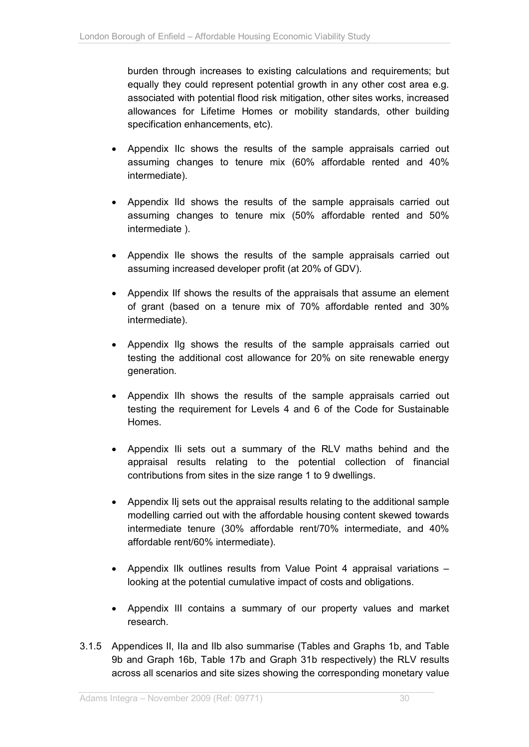burden through increases to existing calculations and requirements; but equally they could represent potential growth in any other cost area e.g. associated with potential flood risk mitigation, other sites works, increased allowances for Lifetime Homes or mobility standards, other building specification enhancements, etc).

- Appendix IIc shows the results of the sample appraisals carried out assuming changes to tenure mix (60% affordable rented and 40% intermediate).
- Appendix IId shows the results of the sample appraisals carried out assuming changes to tenure mix (50% affordable rented and 50% intermediate ).
- Appendix IIe shows the results of the sample appraisals carried out assuming increased developer profit (at 20% of GDV).
- Appendix IIf shows the results of the appraisals that assume an element of grant (based on a tenure mix of 70% affordable rented and 30% intermediate).
- Appendix IIg shows the results of the sample appraisals carried out testing the additional cost allowance for 20% on site renewable energy generation.
- Appendix IIh shows the results of the sample appraisals carried out testing the requirement for Levels 4 and 6 of the Code for Sustainable Homes.
- Appendix IIi sets out a summary of the RLV maths behind and the appraisal results relating to the potential collection of financial contributions from sites in the size range 1 to 9 dwellings.
- Appendix IIj sets out the appraisal results relating to the additional sample modelling carried out with the affordable housing content skewed towards intermediate tenure (30% affordable rent/70% intermediate, and 40% affordable rent/60% intermediate).
- Appendix IIk outlines results from Value Point 4 appraisal variations looking at the potential cumulative impact of costs and obligations.
- Appendix III contains a summary of our property values and market research.
- 3.1.5 Appendices II, IIa and IIb also summarise (Tables and Graphs 1b, and Table 9b and Graph 16b, Table 17b and Graph 31b respectively) the RLV results across all scenarios and site sizes showing the corresponding monetary value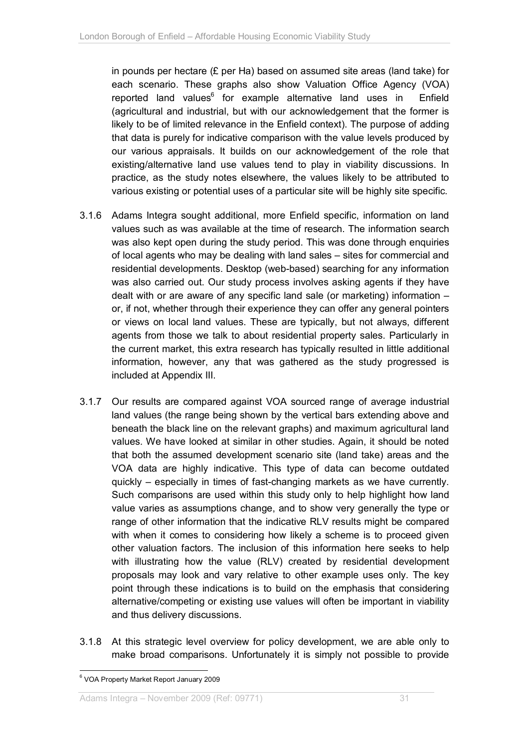in pounds per hectare (£ per Ha) based on assumed site areas (land take) for each scenario. These graphs also show Valuation Office Agency (VOA) reported land values<sup>6</sup> for example alternative land uses in Enfield (agricultural and industrial, but with our acknowledgement that the former is likely to be of limited relevance in the Enfield context). The purpose of adding that data is purely for indicative comparison with the value levels produced by our various appraisals. It builds on our acknowledgement of the role that existing/alternative land use values tend to play in viability discussions. In practice, as the study notes elsewhere, the values likely to be attributed to various existing or potential uses of a particular site will be highly site specific.

- 3.1.6 Adams Integra sought additional, more Enfield specific, information on land values such as was available at the time of research. The information search was also kept open during the study period. This was done through enquiries of local agents who may be dealing with land sales – sites for commercial and residential developments. Desktop (web-based) searching for any information was also carried out. Our study process involves asking agents if they have dealt with or are aware of any specific land sale (or marketing) information – or, if not, whether through their experience they can offer any general pointers or views on local land values. These are typically, but not always, different agents from those we talk to about residential property sales. Particularly in the current market, this extra research has typically resulted in little additional information, however, any that was gathered as the study progressed is included at Appendix III.
- 3.1.7 Our results are compared against VOA sourced range of average industrial land values (the range being shown by the vertical bars extending above and beneath the black line on the relevant graphs) and maximum agricultural land values. We have looked at similar in other studies. Again, it should be noted that both the assumed development scenario site (land take) areas and the VOA data are highly indicative. This type of data can become outdated quickly – especially in times of fast-changing markets as we have currently. Such comparisons are used within this study only to help highlight how land value varies as assumptions change, and to show very generally the type or range of other information that the indicative RLV results might be compared with when it comes to considering how likely a scheme is to proceed given other valuation factors. The inclusion of this information here seeks to help with illustrating how the value (RLV) created by residential development proposals may look and vary relative to other example uses only. The key point through these indications is to build on the emphasis that considering alternative/competing or existing use values will often be important in viability and thus delivery discussions.
- 3.1.8 At this strategic level overview for policy development, we are able only to make broad comparisons. Unfortunately it is simply not possible to provide

 $\overline{a}$ 6 VOA Property Market Report January 2009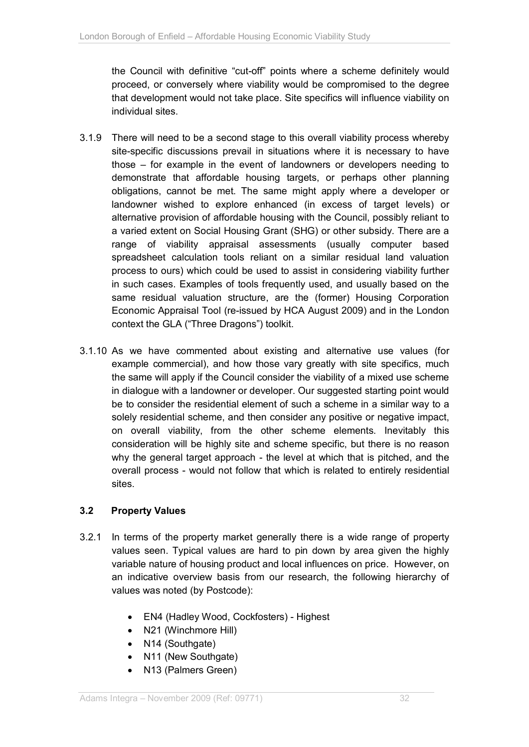the Council with definitive "cut-off" points where a scheme definitely would proceed, or conversely where viability would be compromised to the degree that development would not take place. Site specifics will influence viability on individual sites.

- 3.1.9 There will need to be a second stage to this overall viability process whereby site-specific discussions prevail in situations where it is necessary to have those – for example in the event of landowners or developers needing to demonstrate that affordable housing targets, or perhaps other planning obligations, cannot be met. The same might apply where a developer or landowner wished to explore enhanced (in excess of target levels) or alternative provision of affordable housing with the Council, possibly reliant to a varied extent on Social Housing Grant (SHG) or other subsidy. There are a range of viability appraisal assessments (usually computer based spreadsheet calculation tools reliant on a similar residual land valuation process to ours) which could be used to assist in considering viability further in such cases. Examples of tools frequently used, and usually based on the same residual valuation structure, are the (former) Housing Corporation Economic Appraisal Tool (re-issued by HCA August 2009) and in the London context the GLA ("Three Dragons") toolkit.
- 3.1.10 As we have commented about existing and alternative use values (for example commercial), and how those vary greatly with site specifics, much the same will apply if the Council consider the viability of a mixed use scheme in dialogue with a landowner or developer. Our suggested starting point would be to consider the residential element of such a scheme in a similar way to a solely residential scheme, and then consider any positive or negative impact, on overall viability, from the other scheme elements. Inevitably this consideration will be highly site and scheme specific, but there is no reason why the general target approach - the level at which that is pitched, and the overall process - would not follow that which is related to entirely residential sites.

# **3.2 Property Values**

- 3.2.1 In terms of the property market generally there is a wide range of property values seen. Typical values are hard to pin down by area given the highly variable nature of housing product and local influences on price. However, on an indicative overview basis from our research, the following hierarchy of values was noted (by Postcode):
	- EN4 (Hadley Wood, Cockfosters) Highest
	- N21 (Winchmore Hill)
	- N14 (Southgate)
	- N11 (New Southgate)
	- N13 (Palmers Green)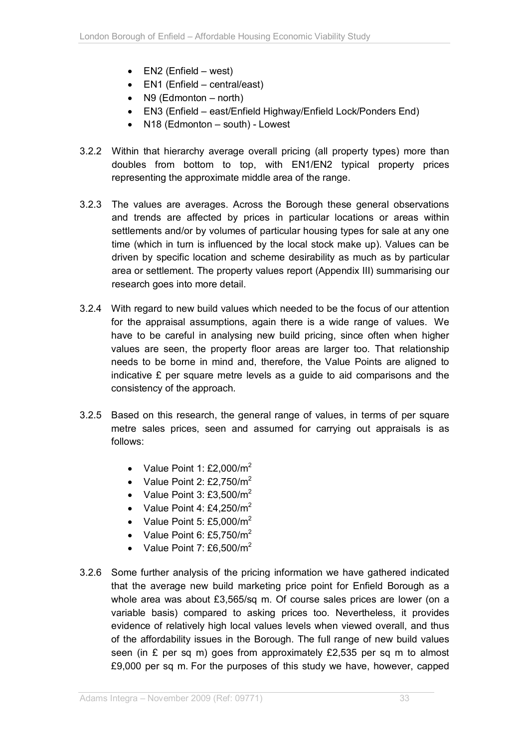- $\bullet$  EN2 (Enfield west)
- EN1 (Enfield central/east)
- $\bullet$  N9 (Edmonton north)
- EN3 (Enfield east/Enfield Highway/Enfield Lock/Ponders End)
- N18 (Edmonton south) Lowest
- 3.2.2 Within that hierarchy average overall pricing (all property types) more than doubles from bottom to top, with EN1/EN2 typical property prices representing the approximate middle area of the range.
- 3.2.3 The values are averages. Across the Borough these general observations and trends are affected by prices in particular locations or areas within settlements and/or by volumes of particular housing types for sale at any one time (which in turn is influenced by the local stock make up). Values can be driven by specific location and scheme desirability as much as by particular area or settlement. The property values report (Appendix III) summarising our research goes into more detail.
- 3.2.4 With regard to new build values which needed to be the focus of our attention for the appraisal assumptions, again there is a wide range of values. We have to be careful in analysing new build pricing, since often when higher values are seen, the property floor areas are larger too. That relationship needs to be borne in mind and, therefore, the Value Points are aligned to indicative £ per square metre levels as a guide to aid comparisons and the consistency of the approach.
- 3.2.5 Based on this research, the general range of values, in terms of per square metre sales prices, seen and assumed for carrying out appraisals is as follows:
	- Value Point 1:  $£2.000/m<sup>2</sup>$
	- Value Point 2:  $£2.750/m<sup>2</sup>$
	- Value Point 3:  $£3.500/m<sup>2</sup>$
	- Value Point 4:  $£4,250/m<sup>2</sup>$
	- Value Point 5: £5,000/ $m^2$
	- Value Point 6: £5,750/ $m^2$
	- Value Point  $7: \text{\textsterling}6,500/m^2$
- 3.2.6 Some further analysis of the pricing information we have gathered indicated that the average new build marketing price point for Enfield Borough as a whole area was about £3,565/sq m. Of course sales prices are lower (on a variable basis) compared to asking prices too. Nevertheless, it provides evidence of relatively high local values levels when viewed overall, and thus of the affordability issues in the Borough. The full range of new build values seen (in  $E$  per sq m) goes from approximately  $E2.535$  per sq m to almost £9,000 per sq m. For the purposes of this study we have, however, capped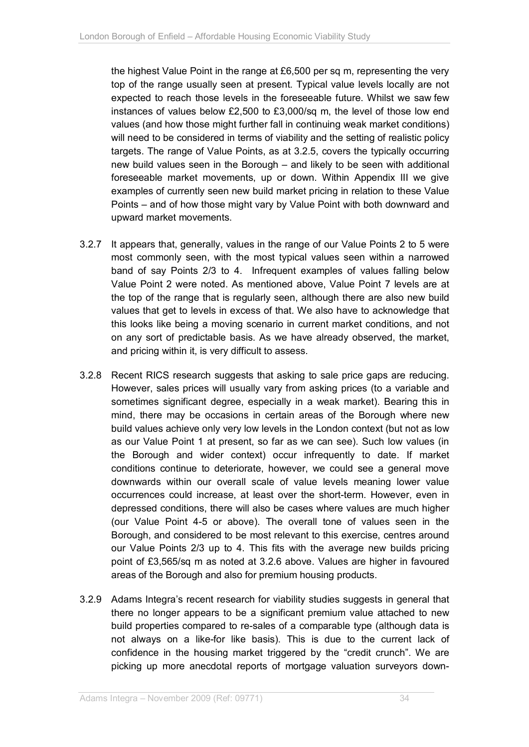the highest Value Point in the range at £6,500 per sq m, representing the very top of the range usually seen at present. Typical value levels locally are not expected to reach those levels in the foreseeable future. Whilst we saw few instances of values below £2,500 to £3,000/sq m, the level of those low end values (and how those might further fall in continuing weak market conditions) will need to be considered in terms of viability and the setting of realistic policy targets. The range of Value Points, as at 3.2.5, covers the typically occurring new build values seen in the Borough – and likely to be seen with additional foreseeable market movements, up or down. Within Appendix III we give examples of currently seen new build market pricing in relation to these Value Points – and of how those might vary by Value Point with both downward and upward market movements.

- 3.2.7 It appears that, generally, values in the range of our Value Points 2 to 5 were most commonly seen, with the most typical values seen within a narrowed band of say Points 2/3 to 4. Infrequent examples of values falling below Value Point 2 were noted. As mentioned above, Value Point 7 levels are at the top of the range that is regularly seen, although there are also new build values that get to levels in excess of that. We also have to acknowledge that this looks like being a moving scenario in current market conditions, and not on any sort of predictable basis. As we have already observed, the market, and pricing within it, is very difficult to assess.
- 3.2.8 Recent RICS research suggests that asking to sale price gaps are reducing. However, sales prices will usually vary from asking prices (to a variable and sometimes significant degree, especially in a weak market). Bearing this in mind, there may be occasions in certain areas of the Borough where new build values achieve only very low levels in the London context (but not as low as our Value Point 1 at present, so far as we can see). Such low values (in the Borough and wider context) occur infrequently to date. If market conditions continue to deteriorate, however, we could see a general move downwards within our overall scale of value levels meaning lower value occurrences could increase, at least over the short-term. However, even in depressed conditions, there will also be cases where values are much higher (our Value Point 4-5 or above). The overall tone of values seen in the Borough, and considered to be most relevant to this exercise, centres around our Value Points 2/3 up to 4. This fits with the average new builds pricing point of £3,565/sq m as noted at 3.2.6 above. Values are higher in favoured areas of the Borough and also for premium housing products.
- 3.2.9 Adams Integra's recent research for viability studies suggests in general that there no longer appears to be a significant premium value attached to new build properties compared to re-sales of a comparable type (although data is not always on a like-for like basis). This is due to the current lack of confidence in the housing market triggered by the "credit crunch". We are picking up more anecdotal reports of mortgage valuation surveyors down-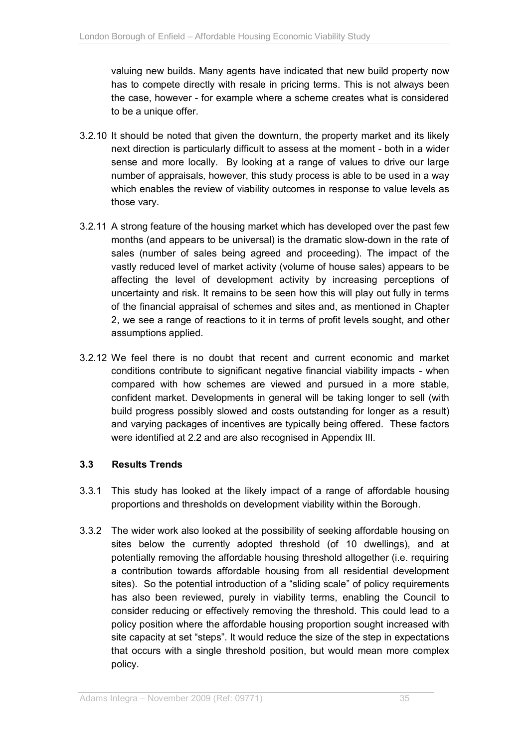valuing new builds. Many agents have indicated that new build property now has to compete directly with resale in pricing terms. This is not always been the case, however - for example where a scheme creates what is considered to be a unique offer.

- 3.2.10 It should be noted that given the downturn, the property market and its likely next direction is particularly difficult to assess at the moment - both in a wider sense and more locally. By looking at a range of values to drive our large number of appraisals, however, this study process is able to be used in a way which enables the review of viability outcomes in response to value levels as those vary.
- 3.2.11 A strong feature of the housing market which has developed over the past few months (and appears to be universal) is the dramatic slow-down in the rate of sales (number of sales being agreed and proceeding). The impact of the vastly reduced level of market activity (volume of house sales) appears to be affecting the level of development activity by increasing perceptions of uncertainty and risk. It remains to be seen how this will play out fully in terms of the financial appraisal of schemes and sites and, as mentioned in Chapter 2, we see a range of reactions to it in terms of profit levels sought, and other assumptions applied.
- 3.2.12 We feel there is no doubt that recent and current economic and market conditions contribute to significant negative financial viability impacts - when compared with how schemes are viewed and pursued in a more stable, confident market. Developments in general will be taking longer to sell (with build progress possibly slowed and costs outstanding for longer as a result) and varying packages of incentives are typically being offered. These factors were identified at 2.2 and are also recognised in Appendix III.

## **3.3 Results Trends**

- 3.3.1 This study has looked at the likely impact of a range of affordable housing proportions and thresholds on development viability within the Borough.
- 3.3.2 The wider work also looked at the possibility of seeking affordable housing on sites below the currently adopted threshold (of 10 dwellings), and at potentially removing the affordable housing threshold altogether (i.e. requiring a contribution towards affordable housing from all residential development sites). So the potential introduction of a "sliding scale" of policy requirements has also been reviewed, purely in viability terms, enabling the Council to consider reducing or effectively removing the threshold. This could lead to a policy position where the affordable housing proportion sought increased with site capacity at set "steps". It would reduce the size of the step in expectations that occurs with a single threshold position, but would mean more complex policy.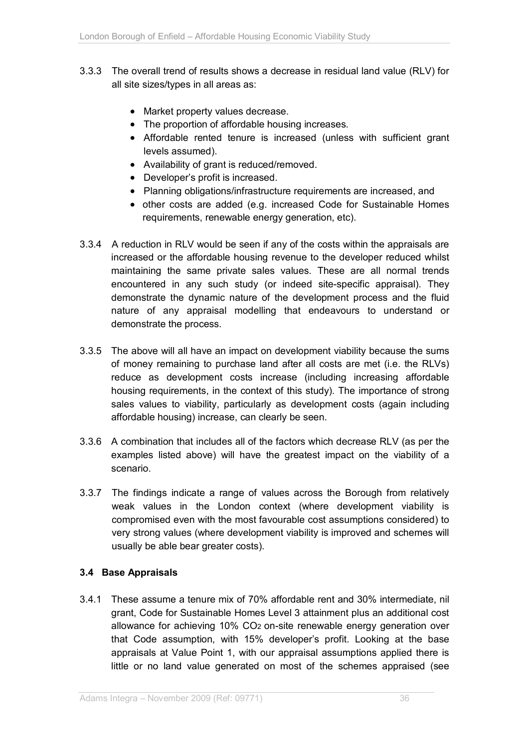- 3.3.3 The overall trend of results shows a decrease in residual land value (RLV) for all site sizes/types in all areas as:
	- Market property values decrease.
	- The proportion of affordable housing increases.
	- Affordable rented tenure is increased (unless with sufficient grant levels assumed).
	- Availability of grant is reduced/removed.
	- Developer's profit is increased.
	- Planning obligations/infrastructure requirements are increased, and
	- other costs are added (e.g. increased Code for Sustainable Homes requirements, renewable energy generation, etc).
- 3.3.4 A reduction in RLV would be seen if any of the costs within the appraisals are increased or the affordable housing revenue to the developer reduced whilst maintaining the same private sales values. These are all normal trends encountered in any such study (or indeed site-specific appraisal). They demonstrate the dynamic nature of the development process and the fluid nature of any appraisal modelling that endeavours to understand or demonstrate the process.
- 3.3.5 The above will all have an impact on development viability because the sums of money remaining to purchase land after all costs are met (i.e. the RLVs) reduce as development costs increase (including increasing affordable housing requirements, in the context of this study). The importance of strong sales values to viability, particularly as development costs (again including affordable housing) increase, can clearly be seen.
- 3.3.6 A combination that includes all of the factors which decrease RLV (as per the examples listed above) will have the greatest impact on the viability of a scenario.
- 3.3.7 The findings indicate a range of values across the Borough from relatively weak values in the London context (where development viability is compromised even with the most favourable cost assumptions considered) to very strong values (where development viability is improved and schemes will usually be able bear greater costs).

## **3.4 Base Appraisals**

3.4.1 These assume a tenure mix of 70% affordable rent and 30% intermediate, nil grant, Code for Sustainable Homes Level 3 attainment plus an additional cost allowance for achieving 10% CO2 on-site renewable energy generation over that Code assumption, with 15% developer's profit. Looking at the base appraisals at Value Point 1, with our appraisal assumptions applied there is little or no land value generated on most of the schemes appraised (see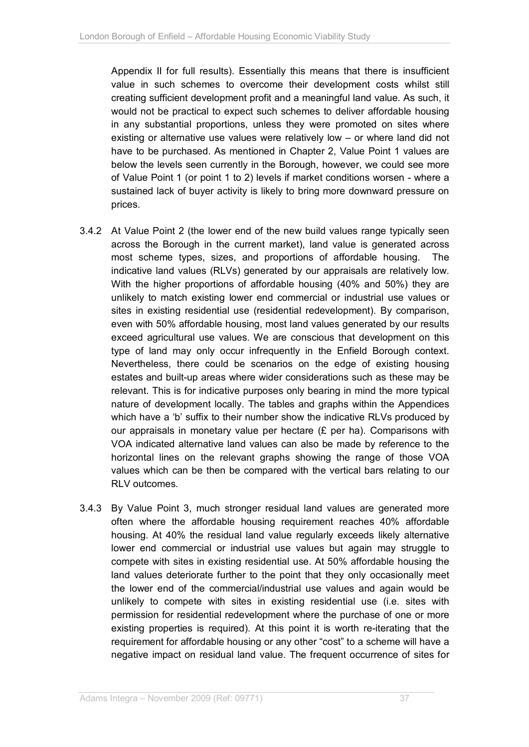Appendix II for full results). Essentially this means that there is insufficient value in such schemes to overcome their development costs whilst still creating sufficient development profit and a meaningful land value. As such, it would not be practical to expect such schemes to deliver affordable housing in any substantial proportions, unless they were promoted on sites where existing or alternative use values were relatively low – or where land did not have to be purchased. As mentioned in Chapter 2, Value Point 1 values are below the levels seen currently in the Borough, however, we could see more of Value Point 1 (or point 1 to 2) levels if market conditions worsen - where a sustained lack of buyer activity is likely to bring more downward pressure on prices.

- 3.4.2 At Value Point 2 (the lower end of the new build values range typically seen across the Borough in the current market), land value is generated across most scheme types, sizes, and proportions of affordable housing. The indicative land values (RLVs) generated by our appraisals are relatively low. With the higher proportions of affordable housing (40% and 50%) they are unlikely to match existing lower end commercial or industrial use values or sites in existing residential use (residential redevelopment). By comparison, even with 50% affordable housing, most land values generated by our results exceed agricultural use values. We are conscious that development on this type of land may only occur infrequently in the Enfield Borough context. Nevertheless, there could be scenarios on the edge of existing housing estates and built-up areas where wider considerations such as these may be relevant. This is for indicative purposes only bearing in mind the more typical nature of development locally. The tables and graphs within the Appendices which have a 'b' suffix to their number show the indicative RLVs produced by our appraisals in monetary value per hectare  $(E$  per ha). Comparisons with VOA indicated alternative land values can also be made by reference to the horizontal lines on the relevant graphs showing the range of those VOA values which can be then be compared with the vertical bars relating to our RLV outcomes.
- 3.4.3 By Value Point 3, much stronger residual land values are generated more often where the affordable housing requirement reaches 40% affordable housing. At 40% the residual land value regularly exceeds likely alternative lower end commercial or industrial use values but again may struggle to compete with sites in existing residential use. At 50% affordable housing the land values deteriorate further to the point that they only occasionally meet the lower end of the commercial/industrial use values and again would be unlikely to compete with sites in existing residential use (i.e. sites with permission for residential redevelopment where the purchase of one or more existing properties is required). At this point it is worth re-iterating that the requirement for affordable housing or any other "cost" to a scheme will have a negative impact on residual land value. The frequent occurrence of sites for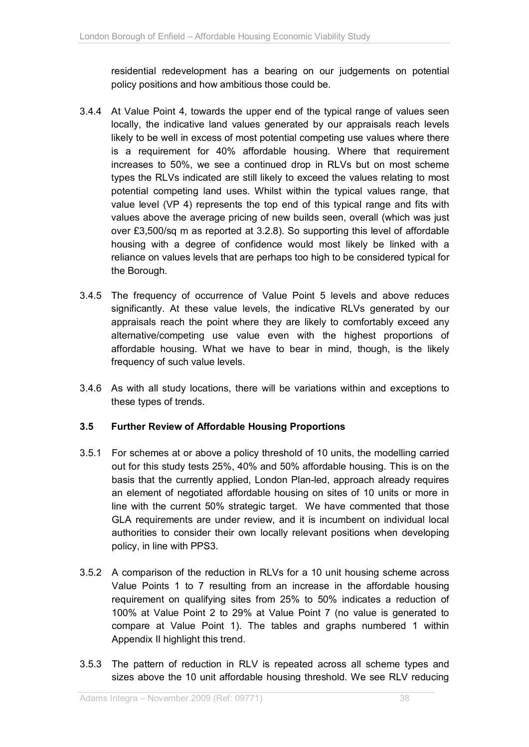residential redevelopment has a bearing on our judgements on potential policy positions and how ambitious those could be.

- 3.4.4 At Value Point 4, towards the upper end of the typical range of values seen locally, the indicative land values generated by our appraisals reach levels likely to be well in excess of most potential competing use values where there is a requirement for 40% affordable housing. Where that requirement increases to 50%, we see a continued drop in RLVs but on most scheme types the RLVs indicated are still likely to exceed the values relating to most potential competing land uses. Whilst within the typical values range, that value level (VP 4) represents the top end of this typical range and fits with values above the average pricing of new builds seen, overall (which was just over £3,500/sq m as reported at 3.2.8). So supporting this level of affordable housing with a degree of confidence would most likely be linked with a reliance on values levels that are perhaps too high to be considered typical for the Borough.
- 3.4.5 The frequency of occurrence of Value Point 5 levels and above reduces significantly. At these value levels, the indicative RLVs generated by our appraisals reach the point where they are likely to comfortably exceed any alternative/competing use value even with the highest proportions of affordable housing. What we have to bear in mind, though, is the likely frequency of such value levels.
- 3.4.6 As with all study locations, there will be variations within and exceptions to these types of trends.

## **3.5 Further Review of Affordable Housing Proportions**

- 3.5.1 For schemes at or above a policy threshold of 10 units, the modelling carried out for this study tests 25%, 40% and 50% affordable housing. This is on the basis that the currently applied, London Plan-led, approach already requires an element of negotiated affordable housing on sites of 10 units or more in line with the current 50% strategic target. We have commented that those GLA requirements are under review, and it is incumbent on individual local authorities to consider their own locally relevant positions when developing policy, in line with PPS3.
- 3.5.2 A comparison of the reduction in RLVs for a 10 unit housing scheme across Value Points 1 to 7 resulting from an increase in the affordable housing requirement on qualifying sites from 25% to 50% indicates a reduction of 100% at Value Point 2 to 29% at Value Point 7 (no value is generated to compare at Value Point 1). The tables and graphs numbered 1 within Appendix II highlight this trend.
- 3.5.3 The pattern of reduction in RLV is repeated across all scheme types and sizes above the 10 unit affordable housing threshold. We see RLV reducing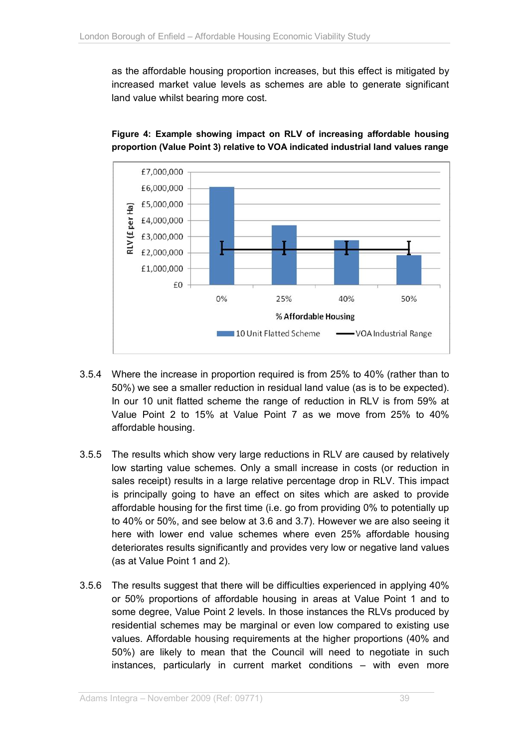as the affordable housing proportion increases, but this effect is mitigated by increased market value levels as schemes are able to generate significant land value whilst bearing more cost.



## **Figure 4: Example showing impact on RLV of increasing affordable housing proportion (Value Point 3) relative to VOA indicated industrial land values range**

- 3.5.4 Where the increase in proportion required is from 25% to 40% (rather than to 50%) we see a smaller reduction in residual land value (as is to be expected). In our 10 unit flatted scheme the range of reduction in RLV is from 59% at Value Point 2 to 15% at Value Point 7 as we move from 25% to 40% affordable housing.
- 3.5.5 The results which show very large reductions in RLV are caused by relatively low starting value schemes. Only a small increase in costs (or reduction in sales receipt) results in a large relative percentage drop in RLV. This impact is principally going to have an effect on sites which are asked to provide affordable housing for the first time (i.e. go from providing 0% to potentially up to 40% or 50%, and see below at 3.6 and 3.7). However we are also seeing it here with lower end value schemes where even 25% affordable housing deteriorates results significantly and provides very low or negative land values (as at Value Point 1 and 2).
- 3.5.6 The results suggest that there will be difficulties experienced in applying 40% or 50% proportions of affordable housing in areas at Value Point 1 and to some degree, Value Point 2 levels. In those instances the RLVs produced by residential schemes may be marginal or even low compared to existing use values. Affordable housing requirements at the higher proportions (40% and 50%) are likely to mean that the Council will need to negotiate in such instances, particularly in current market conditions – with even more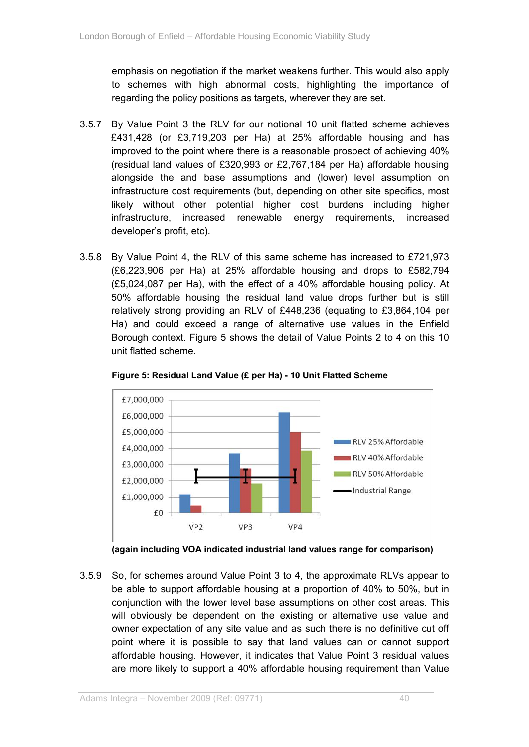emphasis on negotiation if the market weakens further. This would also apply to schemes with high abnormal costs, highlighting the importance of regarding the policy positions as targets, wherever they are set.

- 3.5.7 By Value Point 3 the RLV for our notional 10 unit flatted scheme achieves £431,428 (or £3,719,203 per Ha) at 25% affordable housing and has improved to the point where there is a reasonable prospect of achieving 40% (residual land values of £320,993 or £2,767,184 per Ha) affordable housing alongside the and base assumptions and (lower) level assumption on infrastructure cost requirements (but, depending on other site specifics, most likely without other potential higher cost burdens including higher infrastructure, increased renewable energy requirements, increased developer's profit, etc).
- 3.5.8 By Value Point 4, the RLV of this same scheme has increased to £721,973 (£6,223,906 per Ha) at 25% affordable housing and drops to £582,794 (£5,024,087 per Ha), with the effect of a 40% affordable housing policy. At 50% affordable housing the residual land value drops further but is still relatively strong providing an RLV of £448,236 (equating to £3,864,104 per Ha) and could exceed a range of alternative use values in the Enfield Borough context. Figure 5 shows the detail of Value Points 2 to 4 on this 10 unit flatted scheme.



**Figure 5: Residual Land Value (£ per Ha) - 10 Unit Flatted Scheme** 

**(again including VOA indicated industrial land values range for comparison)** 

3.5.9 So, for schemes around Value Point 3 to 4, the approximate RLVs appear to be able to support affordable housing at a proportion of 40% to 50%, but in conjunction with the lower level base assumptions on other cost areas. This will obviously be dependent on the existing or alternative use value and owner expectation of any site value and as such there is no definitive cut off point where it is possible to say that land values can or cannot support affordable housing. However, it indicates that Value Point 3 residual values are more likely to support a 40% affordable housing requirement than Value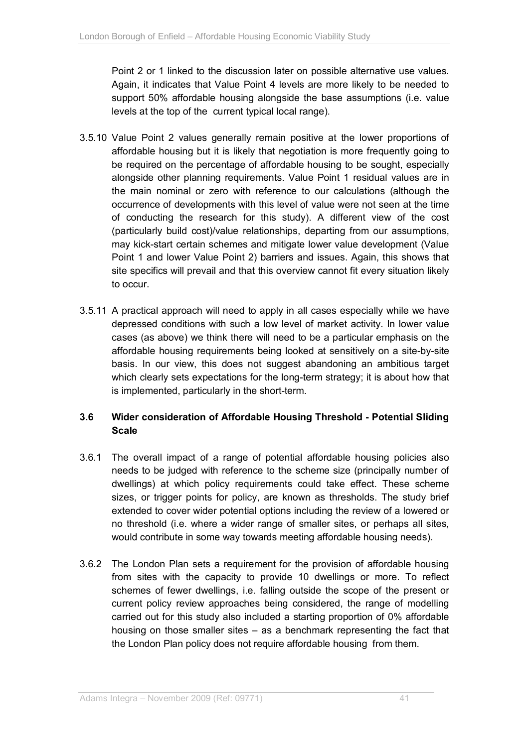Point 2 or 1 linked to the discussion later on possible alternative use values. Again, it indicates that Value Point 4 levels are more likely to be needed to support 50% affordable housing alongside the base assumptions (i.e. value levels at the top of the current typical local range).

- 3.5.10 Value Point 2 values generally remain positive at the lower proportions of affordable housing but it is likely that negotiation is more frequently going to be required on the percentage of affordable housing to be sought, especially alongside other planning requirements. Value Point 1 residual values are in the main nominal or zero with reference to our calculations (although the occurrence of developments with this level of value were not seen at the time of conducting the research for this study). A different view of the cost (particularly build cost)/value relationships, departing from our assumptions, may kick-start certain schemes and mitigate lower value development (Value Point 1 and lower Value Point 2) barriers and issues. Again, this shows that site specifics will prevail and that this overview cannot fit every situation likely to occur.
- 3.5.11 A practical approach will need to apply in all cases especially while we have depressed conditions with such a low level of market activity. In lower value cases (as above) we think there will need to be a particular emphasis on the affordable housing requirements being looked at sensitively on a site-by-site basis. In our view, this does not suggest abandoning an ambitious target which clearly sets expectations for the long-term strategy; it is about how that is implemented, particularly in the short-term.

# **3.6 Wider consideration of Affordable Housing Threshold - Potential Sliding Scale**

- 3.6.1 The overall impact of a range of potential affordable housing policies also needs to be judged with reference to the scheme size (principally number of dwellings) at which policy requirements could take effect. These scheme sizes, or trigger points for policy, are known as thresholds. The study brief extended to cover wider potential options including the review of a lowered or no threshold (i.e. where a wider range of smaller sites, or perhaps all sites, would contribute in some way towards meeting affordable housing needs).
- 3.6.2 The London Plan sets a requirement for the provision of affordable housing from sites with the capacity to provide 10 dwellings or more. To reflect schemes of fewer dwellings, i.e. falling outside the scope of the present or current policy review approaches being considered, the range of modelling carried out for this study also included a starting proportion of 0% affordable housing on those smaller sites – as a benchmark representing the fact that the London Plan policy does not require affordable housing from them.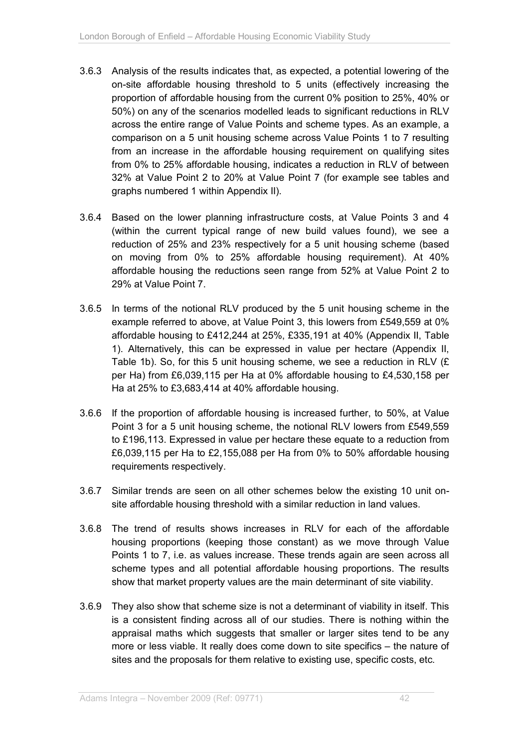- 3.6.3 Analysis of the results indicates that, as expected, a potential lowering of the on-site affordable housing threshold to 5 units (effectively increasing the proportion of affordable housing from the current 0% position to 25%, 40% or 50%) on any of the scenarios modelled leads to significant reductions in RLV across the entire range of Value Points and scheme types. As an example, a comparison on a 5 unit housing scheme across Value Points 1 to 7 resulting from an increase in the affordable housing requirement on qualifying sites from 0% to 25% affordable housing, indicates a reduction in RLV of between 32% at Value Point 2 to 20% at Value Point 7 (for example see tables and graphs numbered 1 within Appendix II).
- 3.6.4 Based on the lower planning infrastructure costs, at Value Points 3 and 4 (within the current typical range of new build values found), we see a reduction of 25% and 23% respectively for a 5 unit housing scheme (based on moving from 0% to 25% affordable housing requirement). At 40% affordable housing the reductions seen range from 52% at Value Point 2 to 29% at Value Point 7.
- 3.6.5 In terms of the notional RLV produced by the 5 unit housing scheme in the example referred to above, at Value Point 3, this lowers from £549,559 at 0% affordable housing to £412,244 at 25%, £335,191 at 40% (Appendix II, Table 1). Alternatively, this can be expressed in value per hectare (Appendix II, Table 1b). So, for this 5 unit housing scheme, we see a reduction in RLV (£ per Ha) from £6,039,115 per Ha at 0% affordable housing to £4,530,158 per Ha at 25% to £3,683,414 at 40% affordable housing.
- 3.6.6 If the proportion of affordable housing is increased further, to 50%, at Value Point 3 for a 5 unit housing scheme, the notional RLV lowers from £549,559 to £196,113. Expressed in value per hectare these equate to a reduction from £6,039,115 per Ha to £2,155,088 per Ha from 0% to 50% affordable housing requirements respectively.
- 3.6.7 Similar trends are seen on all other schemes below the existing 10 unit onsite affordable housing threshold with a similar reduction in land values.
- 3.6.8 The trend of results shows increases in RLV for each of the affordable housing proportions (keeping those constant) as we move through Value Points 1 to 7, i.e. as values increase. These trends again are seen across all scheme types and all potential affordable housing proportions. The results show that market property values are the main determinant of site viability.
- 3.6.9 They also show that scheme size is not a determinant of viability in itself. This is a consistent finding across all of our studies. There is nothing within the appraisal maths which suggests that smaller or larger sites tend to be any more or less viable. It really does come down to site specifics – the nature of sites and the proposals for them relative to existing use, specific costs, etc.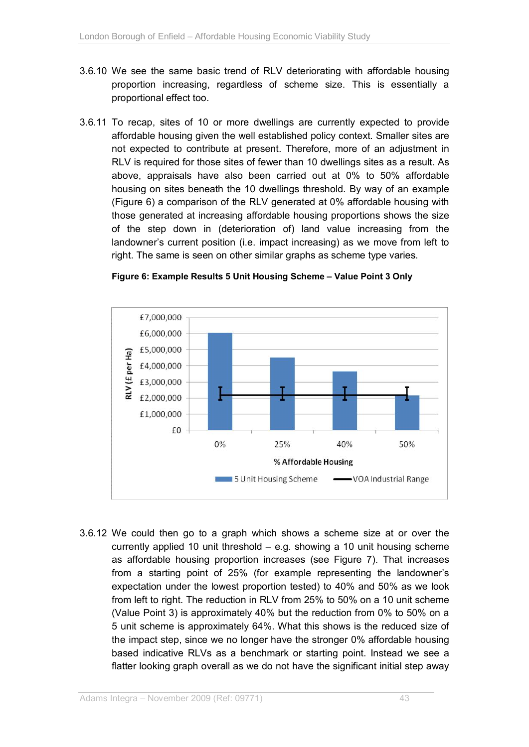- 3.6.10 We see the same basic trend of RLV deteriorating with affordable housing proportion increasing, regardless of scheme size. This is essentially a proportional effect too.
- 3.6.11 To recap, sites of 10 or more dwellings are currently expected to provide affordable housing given the well established policy context. Smaller sites are not expected to contribute at present. Therefore, more of an adjustment in RLV is required for those sites of fewer than 10 dwellings sites as a result. As above, appraisals have also been carried out at 0% to 50% affordable housing on sites beneath the 10 dwellings threshold. By way of an example (Figure 6) a comparison of the RLV generated at 0% affordable housing with those generated at increasing affordable housing proportions shows the size of the step down in (deterioration of) land value increasing from the landowner's current position (i.e. impact increasing) as we move from left to right. The same is seen on other similar graphs as scheme type varies.



#### **Figure 6: Example Results 5 Unit Housing Scheme – Value Point 3 Only**

3.6.12 We could then go to a graph which shows a scheme size at or over the currently applied 10 unit threshold – e.g. showing a 10 unit housing scheme as affordable housing proportion increases (see Figure 7). That increases from a starting point of 25% (for example representing the landowner's expectation under the lowest proportion tested) to 40% and 50% as we look from left to right. The reduction in RLV from 25% to 50% on a 10 unit scheme (Value Point 3) is approximately 40% but the reduction from 0% to 50% on a 5 unit scheme is approximately 64%. What this shows is the reduced size of the impact step, since we no longer have the stronger 0% affordable housing based indicative RLVs as a benchmark or starting point. Instead we see a flatter looking graph overall as we do not have the significant initial step away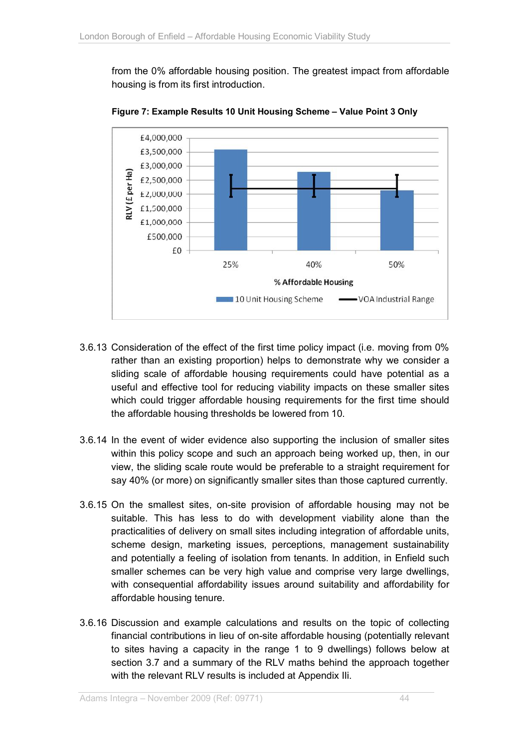from the 0% affordable housing position. The greatest impact from affordable housing is from its first introduction.



**Figure 7: Example Results 10 Unit Housing Scheme – Value Point 3 Only** 

- 3.6.13 Consideration of the effect of the first time policy impact (i.e. moving from 0% rather than an existing proportion) helps to demonstrate why we consider a sliding scale of affordable housing requirements could have potential as a useful and effective tool for reducing viability impacts on these smaller sites which could trigger affordable housing requirements for the first time should the affordable housing thresholds be lowered from 10.
- 3.6.14 In the event of wider evidence also supporting the inclusion of smaller sites within this policy scope and such an approach being worked up, then, in our view, the sliding scale route would be preferable to a straight requirement for say 40% (or more) on significantly smaller sites than those captured currently.
- 3.6.15 On the smallest sites, on-site provision of affordable housing may not be suitable. This has less to do with development viability alone than the practicalities of delivery on small sites including integration of affordable units, scheme design, marketing issues, perceptions, management sustainability and potentially a feeling of isolation from tenants. In addition, in Enfield such smaller schemes can be very high value and comprise very large dwellings, with consequential affordability issues around suitability and affordability for affordable housing tenure.
- 3.6.16 Discussion and example calculations and results on the topic of collecting financial contributions in lieu of on-site affordable housing (potentially relevant to sites having a capacity in the range 1 to 9 dwellings) follows below at section 3.7 and a summary of the RLV maths behind the approach together with the relevant RLV results is included at Appendix IIi.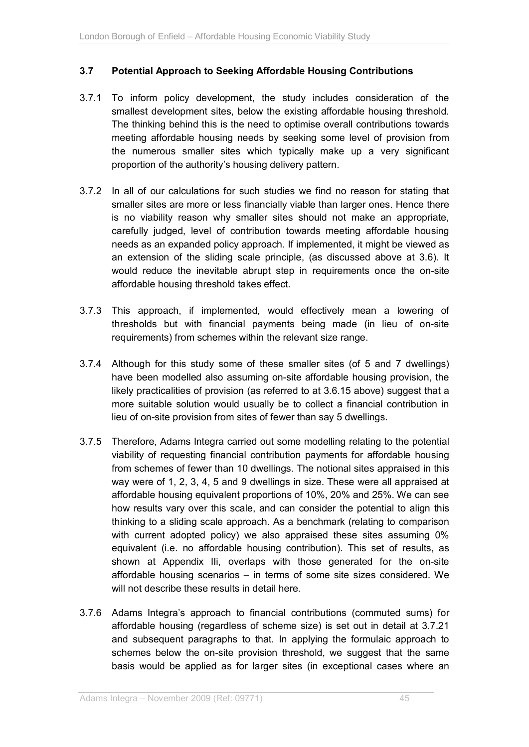## **3.7 Potential Approach to Seeking Affordable Housing Contributions**

- 3.7.1 To inform policy development, the study includes consideration of the smallest development sites, below the existing affordable housing threshold. The thinking behind this is the need to optimise overall contributions towards meeting affordable housing needs by seeking some level of provision from the numerous smaller sites which typically make up a very significant proportion of the authority's housing delivery pattern.
- 3.7.2 In all of our calculations for such studies we find no reason for stating that smaller sites are more or less financially viable than larger ones. Hence there is no viability reason why smaller sites should not make an appropriate, carefully judged, level of contribution towards meeting affordable housing needs as an expanded policy approach. If implemented, it might be viewed as an extension of the sliding scale principle, (as discussed above at 3.6). It would reduce the inevitable abrupt step in requirements once the on-site affordable housing threshold takes effect.
- 3.7.3 This approach, if implemented, would effectively mean a lowering of thresholds but with financial payments being made (in lieu of on-site requirements) from schemes within the relevant size range.
- 3.7.4 Although for this study some of these smaller sites (of 5 and 7 dwellings) have been modelled also assuming on-site affordable housing provision, the likely practicalities of provision (as referred to at 3.6.15 above) suggest that a more suitable solution would usually be to collect a financial contribution in lieu of on-site provision from sites of fewer than say 5 dwellings.
- 3.7.5 Therefore, Adams Integra carried out some modelling relating to the potential viability of requesting financial contribution payments for affordable housing from schemes of fewer than 10 dwellings. The notional sites appraised in this way were of 1, 2, 3, 4, 5 and 9 dwellings in size. These were all appraised at affordable housing equivalent proportions of 10%, 20% and 25%. We can see how results vary over this scale, and can consider the potential to align this thinking to a sliding scale approach. As a benchmark (relating to comparison with current adopted policy) we also appraised these sites assuming 0% equivalent (i.e. no affordable housing contribution). This set of results, as shown at Appendix IIi, overlaps with those generated for the on-site affordable housing scenarios – in terms of some site sizes considered. We will not describe these results in detail here.
- 3.7.6 Adams Integra's approach to financial contributions (commuted sums) for affordable housing (regardless of scheme size) is set out in detail at 3.7.21 and subsequent paragraphs to that. In applying the formulaic approach to schemes below the on-site provision threshold, we suggest that the same basis would be applied as for larger sites (in exceptional cases where an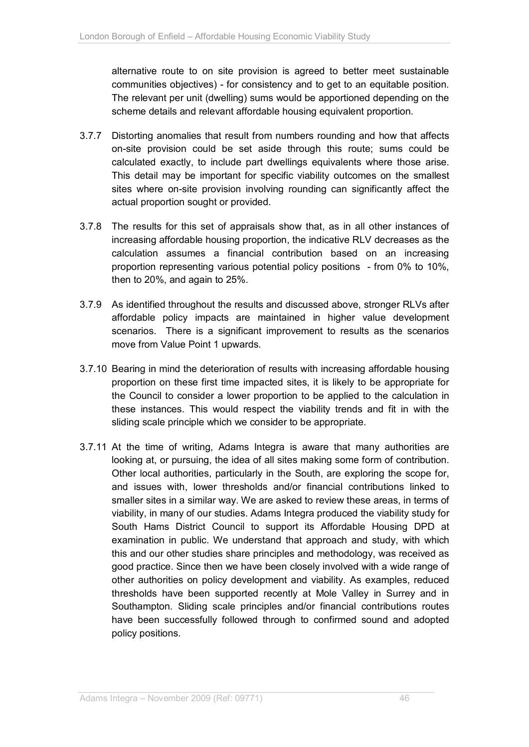alternative route to on site provision is agreed to better meet sustainable communities objectives) - for consistency and to get to an equitable position. The relevant per unit (dwelling) sums would be apportioned depending on the scheme details and relevant affordable housing equivalent proportion.

- 3.7.7 Distorting anomalies that result from numbers rounding and how that affects on-site provision could be set aside through this route; sums could be calculated exactly, to include part dwellings equivalents where those arise. This detail may be important for specific viability outcomes on the smallest sites where on-site provision involving rounding can significantly affect the actual proportion sought or provided.
- 3.7.8 The results for this set of appraisals show that, as in all other instances of increasing affordable housing proportion, the indicative RLV decreases as the calculation assumes a financial contribution based on an increasing proportion representing various potential policy positions - from 0% to 10%, then to 20%, and again to 25%.
- 3.7.9 As identified throughout the results and discussed above, stronger RLVs after affordable policy impacts are maintained in higher value development scenarios. There is a significant improvement to results as the scenarios move from Value Point 1 upwards.
- 3.7.10 Bearing in mind the deterioration of results with increasing affordable housing proportion on these first time impacted sites, it is likely to be appropriate for the Council to consider a lower proportion to be applied to the calculation in these instances. This would respect the viability trends and fit in with the sliding scale principle which we consider to be appropriate.
- 3.7.11 At the time of writing, Adams Integra is aware that many authorities are looking at, or pursuing, the idea of all sites making some form of contribution. Other local authorities, particularly in the South, are exploring the scope for, and issues with, lower thresholds and/or financial contributions linked to smaller sites in a similar way. We are asked to review these areas, in terms of viability, in many of our studies. Adams Integra produced the viability study for South Hams District Council to support its Affordable Housing DPD at examination in public. We understand that approach and study, with which this and our other studies share principles and methodology, was received as good practice. Since then we have been closely involved with a wide range of other authorities on policy development and viability. As examples, reduced thresholds have been supported recently at Mole Valley in Surrey and in Southampton. Sliding scale principles and/or financial contributions routes have been successfully followed through to confirmed sound and adopted policy positions.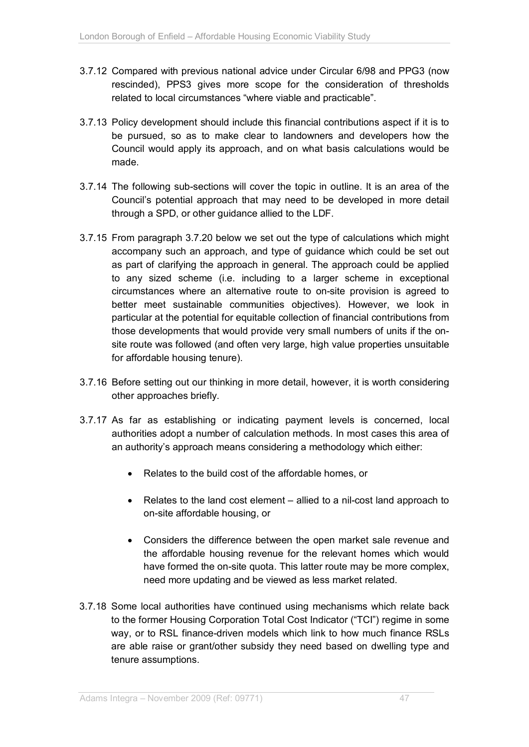- 3.7.12 Compared with previous national advice under Circular 6/98 and PPG3 (now rescinded), PPS3 gives more scope for the consideration of thresholds related to local circumstances "where viable and practicable".
- 3.7.13 Policy development should include this financial contributions aspect if it is to be pursued, so as to make clear to landowners and developers how the Council would apply its approach, and on what basis calculations would be made.
- 3.7.14 The following sub-sections will cover the topic in outline. It is an area of the Council's potential approach that may need to be developed in more detail through a SPD, or other guidance allied to the LDF.
- 3.7.15 From paragraph 3.7.20 below we set out the type of calculations which might accompany such an approach, and type of guidance which could be set out as part of clarifying the approach in general. The approach could be applied to any sized scheme (i.e. including to a larger scheme in exceptional circumstances where an alternative route to on-site provision is agreed to better meet sustainable communities objectives). However, we look in particular at the potential for equitable collection of financial contributions from those developments that would provide very small numbers of units if the onsite route was followed (and often very large, high value properties unsuitable for affordable housing tenure).
- 3.7.16 Before setting out our thinking in more detail, however, it is worth considering other approaches briefly.
- 3.7.17 As far as establishing or indicating payment levels is concerned, local authorities adopt a number of calculation methods. In most cases this area of an authority's approach means considering a methodology which either:
	- Relates to the build cost of the affordable homes, or
	- Relates to the land cost element allied to a nil-cost land approach to on-site affordable housing, or
	- Considers the difference between the open market sale revenue and the affordable housing revenue for the relevant homes which would have formed the on-site quota. This latter route may be more complex, need more updating and be viewed as less market related.
- 3.7.18 Some local authorities have continued using mechanisms which relate back to the former Housing Corporation Total Cost Indicator ("TCI") regime in some way, or to RSL finance-driven models which link to how much finance RSLs are able raise or grant/other subsidy they need based on dwelling type and tenure assumptions.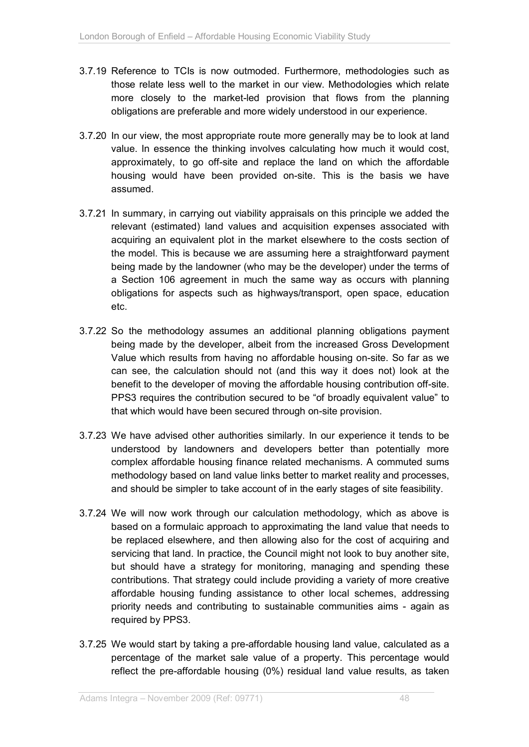- 3.7.19 Reference to TCIs is now outmoded. Furthermore, methodologies such as those relate less well to the market in our view. Methodologies which relate more closely to the market-led provision that flows from the planning obligations are preferable and more widely understood in our experience.
- 3.7.20 In our view, the most appropriate route more generally may be to look at land value. In essence the thinking involves calculating how much it would cost, approximately, to go off-site and replace the land on which the affordable housing would have been provided on-site. This is the basis we have assumed.
- 3.7.21 In summary, in carrying out viability appraisals on this principle we added the relevant (estimated) land values and acquisition expenses associated with acquiring an equivalent plot in the market elsewhere to the costs section of the model. This is because we are assuming here a straightforward payment being made by the landowner (who may be the developer) under the terms of a Section 106 agreement in much the same way as occurs with planning obligations for aspects such as highways/transport, open space, education etc.
- 3.7.22 So the methodology assumes an additional planning obligations payment being made by the developer, albeit from the increased Gross Development Value which results from having no affordable housing on-site. So far as we can see, the calculation should not (and this way it does not) look at the benefit to the developer of moving the affordable housing contribution off-site. PPS3 requires the contribution secured to be "of broadly equivalent value" to that which would have been secured through on-site provision.
- 3.7.23 We have advised other authorities similarly. In our experience it tends to be understood by landowners and developers better than potentially more complex affordable housing finance related mechanisms. A commuted sums methodology based on land value links better to market reality and processes, and should be simpler to take account of in the early stages of site feasibility.
- 3.7.24 We will now work through our calculation methodology, which as above is based on a formulaic approach to approximating the land value that needs to be replaced elsewhere, and then allowing also for the cost of acquiring and servicing that land. In practice, the Council might not look to buy another site, but should have a strategy for monitoring, managing and spending these contributions. That strategy could include providing a variety of more creative affordable housing funding assistance to other local schemes, addressing priority needs and contributing to sustainable communities aims - again as required by PPS3.
- 3.7.25 We would start by taking a pre-affordable housing land value, calculated as a percentage of the market sale value of a property. This percentage would reflect the pre-affordable housing (0%) residual land value results, as taken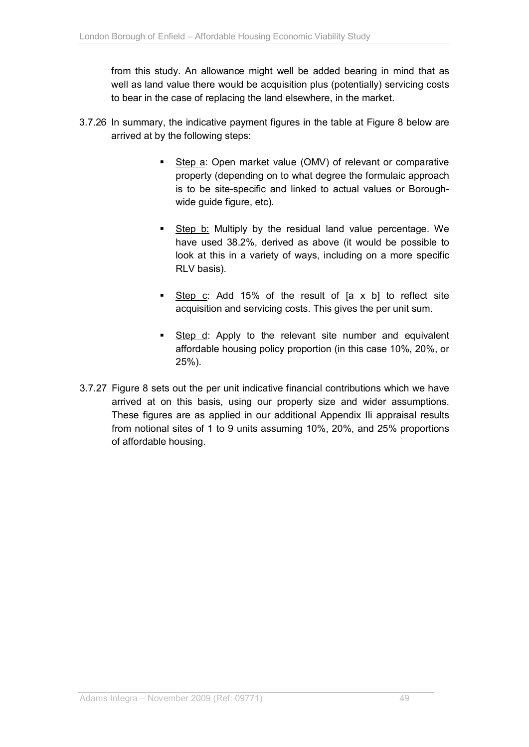from this study. An allowance might well be added bearing in mind that as well as land value there would be acquisition plus (potentially) servicing costs to bear in the case of replacing the land elsewhere, in the market.

- 3.7.26 In summary, the indicative payment figures in the table at Figure 8 below are arrived at by the following steps:
	- Step a: Open market value (OMV) of relevant or comparative property (depending on to what degree the formulaic approach is to be site-specific and linked to actual values or Boroughwide guide figure, etc).
	- Step b: Multiply by the residual land value percentage. We have used 38.2%, derived as above (it would be possible to look at this in a variety of ways, including on a more specific RLV basis).
	- Step c: Add 15% of the result of [a x b] to reflect site acquisition and servicing costs. This gives the per unit sum.
	- Step d: Apply to the relevant site number and equivalent affordable housing policy proportion (in this case 10%, 20%, or 25%).
- 3.7.27 Figure 8 sets out the per unit indicative financial contributions which we have arrived at on this basis, using our property size and wider assumptions. These figures are as applied in our additional Appendix IIi appraisal results from notional sites of 1 to 9 units assuming 10%, 20%, and 25% proportions of affordable housing.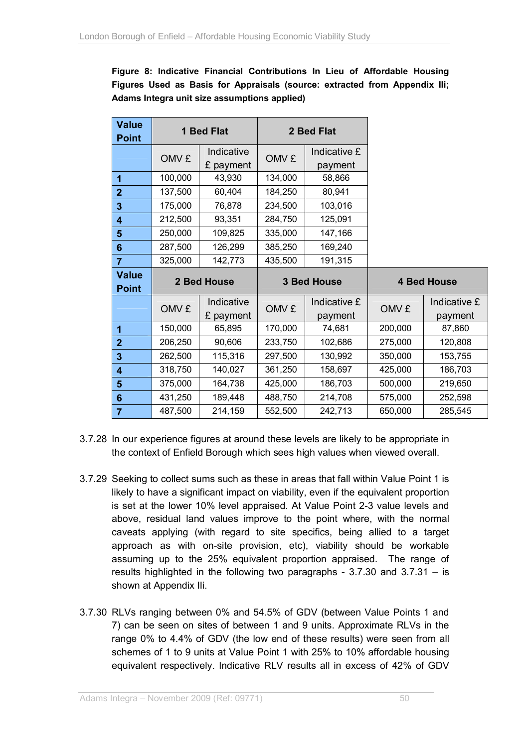**Figure 8: Indicative Financial Contributions In Lieu of Affordable Housing Figures Used as Basis for Appraisals (source: extracted from Appendix IIi; Adams Integra unit size assumptions applied)** 

| <b>Value</b><br><b>Point</b> | 1 Bed Flat  |                         | 2 Bed Flat         |                         |         |                         |
|------------------------------|-------------|-------------------------|--------------------|-------------------------|---------|-------------------------|
|                              | OMV £       | Indicative<br>£ payment | OMV £              | Indicative £<br>payment |         |                         |
| 1                            | 100,000     | 43,930                  | 134,000            | 58,866                  |         |                         |
| $\overline{2}$               | 137,500     | 60,404                  | 184,250            | 80,941                  |         |                         |
| $\overline{\mathbf{3}}$      | 175,000     | 76,878                  | 234,500            | 103,016                 |         |                         |
| $\overline{\mathbf{4}}$      | 212,500     | 93,351                  | 284,750            | 125,091                 |         |                         |
| 5                            | 250,000     | 109,825                 | 335,000            | 147,166                 |         |                         |
| $6\phantom{1}6$              | 287,500     | 126,299                 | 385,250            | 169,240                 |         |                         |
| 7                            | 325,000     | 142,773                 | 435,500            | 191,315                 |         |                         |
|                              | 2 Bed House |                         | <b>3 Bed House</b> |                         |         |                         |
| <b>Value</b><br><b>Point</b> |             |                         |                    |                         |         | <b>4 Bed House</b>      |
|                              | OMV £       | Indicative<br>£ payment | OMV £              | Indicative £<br>payment | OMV £   | Indicative £<br>payment |
| 1                            | 150,000     | 65,895                  | 170,000            | 74,681                  | 200,000 | 87,860                  |
| $\overline{2}$               | 206,250     | 90,606                  | 233,750            | 102,686                 | 275,000 | 120,808                 |
| 3                            | 262,500     | 115,316                 | 297,500            | 130,992                 | 350,000 | 153,755                 |
| 4                            | 318,750     | 140,027                 | 361,250            | 158,697                 | 425,000 | 186,703                 |
| 5                            | 375,000     | 164,738                 | 425,000            | 186,703                 | 500,000 | 219,650                 |
| $6\phantom{1}6$              | 431,250     | 189,448                 | 488,750            | 214,708                 | 575,000 | 252,598                 |

- 3.7.28 In our experience figures at around these levels are likely to be appropriate in the context of Enfield Borough which sees high values when viewed overall.
- 3.7.29 Seeking to collect sums such as these in areas that fall within Value Point 1 is likely to have a significant impact on viability, even if the equivalent proportion is set at the lower 10% level appraised. At Value Point 2-3 value levels and above, residual land values improve to the point where, with the normal caveats applying (with regard to site specifics, being allied to a target approach as with on-site provision, etc), viability should be workable assuming up to the 25% equivalent proportion appraised. The range of results highlighted in the following two paragraphs - 3.7.30 and 3.7.31 – is shown at Appendix IIi.
- 3.7.30 RLVs ranging between 0% and 54.5% of GDV (between Value Points 1 and 7) can be seen on sites of between 1 and 9 units. Approximate RLVs in the range 0% to 4.4% of GDV (the low end of these results) were seen from all schemes of 1 to 9 units at Value Point 1 with 25% to 10% affordable housing equivalent respectively. Indicative RLV results all in excess of 42% of GDV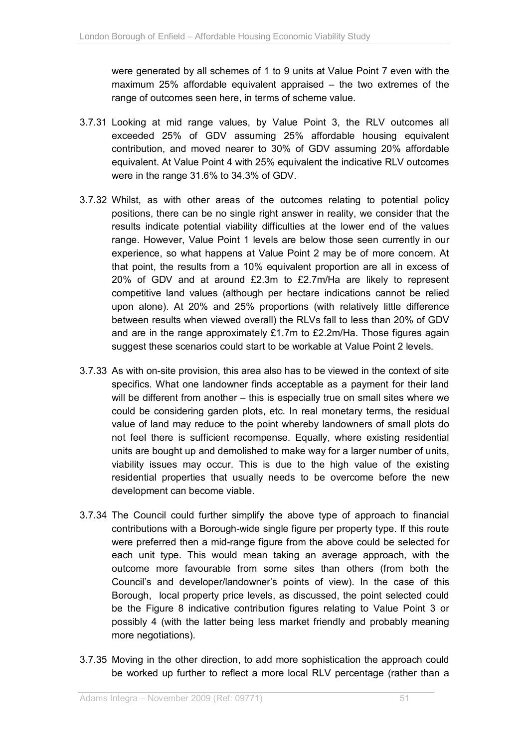were generated by all schemes of 1 to 9 units at Value Point 7 even with the maximum 25% affordable equivalent appraised – the two extremes of the range of outcomes seen here, in terms of scheme value.

- 3.7.31 Looking at mid range values, by Value Point 3, the RLV outcomes all exceeded 25% of GDV assuming 25% affordable housing equivalent contribution, and moved nearer to 30% of GDV assuming 20% affordable equivalent. At Value Point 4 with 25% equivalent the indicative RLV outcomes were in the range 31.6% to 34.3% of GDV.
- 3.7.32 Whilst, as with other areas of the outcomes relating to potential policy positions, there can be no single right answer in reality, we consider that the results indicate potential viability difficulties at the lower end of the values range. However, Value Point 1 levels are below those seen currently in our experience, so what happens at Value Point 2 may be of more concern. At that point, the results from a 10% equivalent proportion are all in excess of 20% of GDV and at around £2.3m to £2.7m/Ha are likely to represent competitive land values (although per hectare indications cannot be relied upon alone). At 20% and 25% proportions (with relatively little difference between results when viewed overall) the RLVs fall to less than 20% of GDV and are in the range approximately £1.7m to £2.2m/Ha. Those figures again suggest these scenarios could start to be workable at Value Point 2 levels.
- 3.7.33 As with on-site provision, this area also has to be viewed in the context of site specifics. What one landowner finds acceptable as a payment for their land will be different from another – this is especially true on small sites where we could be considering garden plots, etc. In real monetary terms, the residual value of land may reduce to the point whereby landowners of small plots do not feel there is sufficient recompense. Equally, where existing residential units are bought up and demolished to make way for a larger number of units, viability issues may occur. This is due to the high value of the existing residential properties that usually needs to be overcome before the new development can become viable.
- 3.7.34 The Council could further simplify the above type of approach to financial contributions with a Borough-wide single figure per property type. If this route were preferred then a mid-range figure from the above could be selected for each unit type. This would mean taking an average approach, with the outcome more favourable from some sites than others (from both the Council's and developer/landowner's points of view). In the case of this Borough, local property price levels, as discussed, the point selected could be the Figure 8 indicative contribution figures relating to Value Point 3 or possibly 4 (with the latter being less market friendly and probably meaning more negotiations).
- 3.7.35 Moving in the other direction, to add more sophistication the approach could be worked up further to reflect a more local RLV percentage (rather than a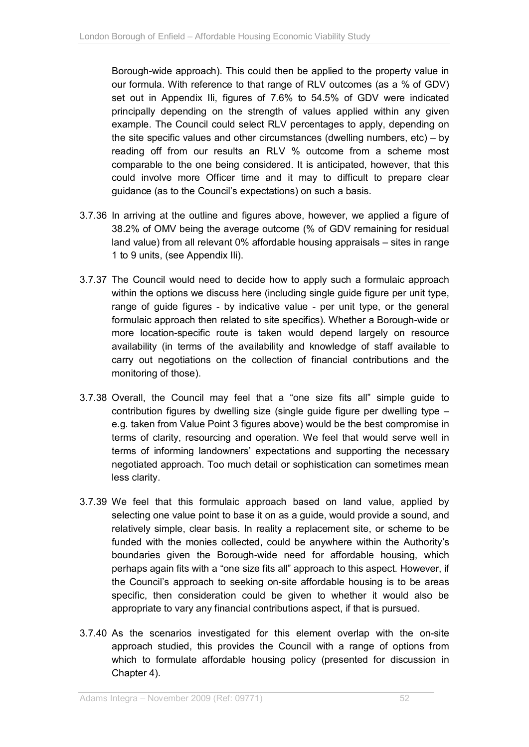Borough-wide approach). This could then be applied to the property value in our formula. With reference to that range of RLV outcomes (as a % of GDV) set out in Appendix IIi, figures of 7.6% to 54.5% of GDV were indicated principally depending on the strength of values applied within any given example. The Council could select RLV percentages to apply, depending on the site specific values and other circumstances (dwelling numbers, etc) – by reading off from our results an RLV % outcome from a scheme most comparable to the one being considered. It is anticipated, however, that this could involve more Officer time and it may to difficult to prepare clear guidance (as to the Council's expectations) on such a basis.

- 3.7.36 In arriving at the outline and figures above, however, we applied a figure of 38.2% of OMV being the average outcome (% of GDV remaining for residual land value) from all relevant 0% affordable housing appraisals – sites in range 1 to 9 units, (see Appendix IIi).
- 3.7.37 The Council would need to decide how to apply such a formulaic approach within the options we discuss here (including single guide figure per unit type, range of guide figures - by indicative value - per unit type, or the general formulaic approach then related to site specifics). Whether a Borough-wide or more location-specific route is taken would depend largely on resource availability (in terms of the availability and knowledge of staff available to carry out negotiations on the collection of financial contributions and the monitoring of those).
- 3.7.38 Overall, the Council may feel that a "one size fits all" simple guide to contribution figures by dwelling size (single guide figure per dwelling type – e.g. taken from Value Point 3 figures above) would be the best compromise in terms of clarity, resourcing and operation. We feel that would serve well in terms of informing landowners' expectations and supporting the necessary negotiated approach. Too much detail or sophistication can sometimes mean less clarity.
- 3.7.39 We feel that this formulaic approach based on land value, applied by selecting one value point to base it on as a guide, would provide a sound, and relatively simple, clear basis. In reality a replacement site, or scheme to be funded with the monies collected, could be anywhere within the Authority's boundaries given the Borough-wide need for affordable housing, which perhaps again fits with a "one size fits all" approach to this aspect. However, if the Council's approach to seeking on-site affordable housing is to be areas specific, then consideration could be given to whether it would also be appropriate to vary any financial contributions aspect, if that is pursued.
- 3.7.40 As the scenarios investigated for this element overlap with the on-site approach studied, this provides the Council with a range of options from which to formulate affordable housing policy (presented for discussion in Chapter 4).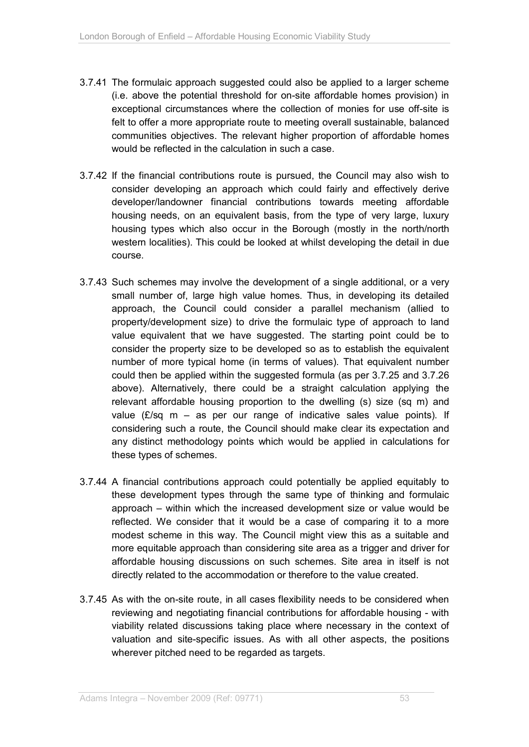- 3.7.41 The formulaic approach suggested could also be applied to a larger scheme (i.e. above the potential threshold for on-site affordable homes provision) in exceptional circumstances where the collection of monies for use off-site is felt to offer a more appropriate route to meeting overall sustainable, balanced communities objectives. The relevant higher proportion of affordable homes would be reflected in the calculation in such a case.
- 3.7.42 If the financial contributions route is pursued, the Council may also wish to consider developing an approach which could fairly and effectively derive developer/landowner financial contributions towards meeting affordable housing needs, on an equivalent basis, from the type of very large, luxury housing types which also occur in the Borough (mostly in the north/north western localities). This could be looked at whilst developing the detail in due course.
- 3.7.43 Such schemes may involve the development of a single additional, or a very small number of, large high value homes. Thus, in developing its detailed approach, the Council could consider a parallel mechanism (allied to property/development size) to drive the formulaic type of approach to land value equivalent that we have suggested. The starting point could be to consider the property size to be developed so as to establish the equivalent number of more typical home (in terms of values). That equivalent number could then be applied within the suggested formula (as per 3.7.25 and 3.7.26 above). Alternatively, there could be a straight calculation applying the relevant affordable housing proportion to the dwelling (s) size (sq m) and value  $(E/\text{sq } m - \text{as per our range of indicative sales value points).$  If considering such a route, the Council should make clear its expectation and any distinct methodology points which would be applied in calculations for these types of schemes.
- 3.7.44 A financial contributions approach could potentially be applied equitably to these development types through the same type of thinking and formulaic approach – within which the increased development size or value would be reflected. We consider that it would be a case of comparing it to a more modest scheme in this way. The Council might view this as a suitable and more equitable approach than considering site area as a trigger and driver for affordable housing discussions on such schemes. Site area in itself is not directly related to the accommodation or therefore to the value created.
- 3.7.45 As with the on-site route, in all cases flexibility needs to be considered when reviewing and negotiating financial contributions for affordable housing - with viability related discussions taking place where necessary in the context of valuation and site-specific issues. As with all other aspects, the positions wherever pitched need to be regarded as targets.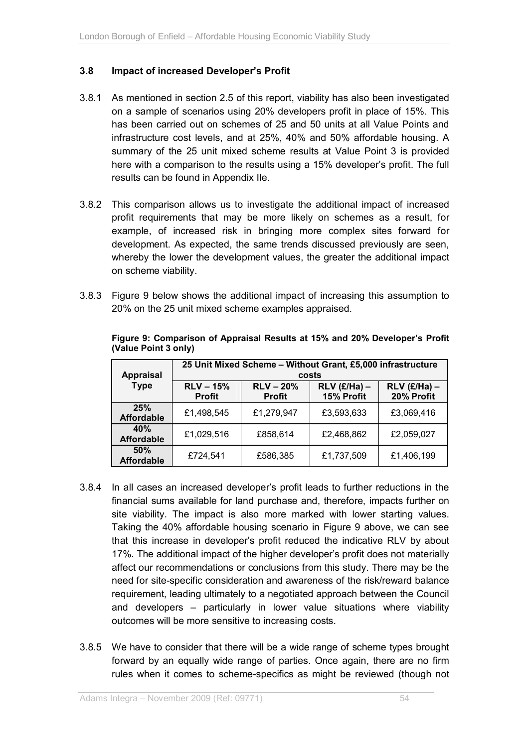## **3.8 Impact of increased Developer's Profit**

- 3.8.1 As mentioned in section 2.5 of this report, viability has also been investigated on a sample of scenarios using 20% developers profit in place of 15%. This has been carried out on schemes of 25 and 50 units at all Value Points and infrastructure cost levels, and at 25%, 40% and 50% affordable housing. A summary of the 25 unit mixed scheme results at Value Point 3 is provided here with a comparison to the results using a 15% developer's profit. The full results can be found in Appendix IIe.
- 3.8.2 This comparison allows us to investigate the additional impact of increased profit requirements that may be more likely on schemes as a result, for example, of increased risk in bringing more complex sites forward for development. As expected, the same trends discussed previously are seen, whereby the lower the development values, the greater the additional impact on scheme viability.
- 3.8.3 Figure 9 below shows the additional impact of increasing this assumption to 20% on the 25 unit mixed scheme examples appraised.

| <b>Appraisal</b>         | 25 Unit Mixed Scheme - Without Grant, £5,000 infrastructure<br>costs |                              |                              |                              |  |  |  |
|--------------------------|----------------------------------------------------------------------|------------------------------|------------------------------|------------------------------|--|--|--|
| <b>Type</b>              | $RLV - 15%$<br><b>Profit</b>                                         | $RLV - 20%$<br><b>Profit</b> | $RLV$ (£/Ha) –<br>15% Profit | $RLV$ (£/Ha) –<br>20% Profit |  |  |  |
| 25%<br><b>Affordable</b> | £1,498,545                                                           | £1,279,947                   | £3,593,633                   | £3,069,416                   |  |  |  |
| 40%<br><b>Affordable</b> | £1,029,516                                                           | £858,614                     | £2,468,862                   | £2,059,027                   |  |  |  |
| 50%<br><b>Affordable</b> | £724,541                                                             | £586,385                     | £1,737,509                   | £1,406,199                   |  |  |  |

**Figure 9: Comparison of Appraisal Results at 15% and 20% Developer's Profit (Value Point 3 only)** 

- 3.8.4 In all cases an increased developer's profit leads to further reductions in the financial sums available for land purchase and, therefore, impacts further on site viability. The impact is also more marked with lower starting values. Taking the 40% affordable housing scenario in Figure 9 above, we can see that this increase in developer's profit reduced the indicative RLV by about 17%. The additional impact of the higher developer's profit does not materially affect our recommendations or conclusions from this study. There may be the need for site-specific consideration and awareness of the risk/reward balance requirement, leading ultimately to a negotiated approach between the Council and developers – particularly in lower value situations where viability outcomes will be more sensitive to increasing costs.
- 3.8.5 We have to consider that there will be a wide range of scheme types brought forward by an equally wide range of parties. Once again, there are no firm rules when it comes to scheme-specifics as might be reviewed (though not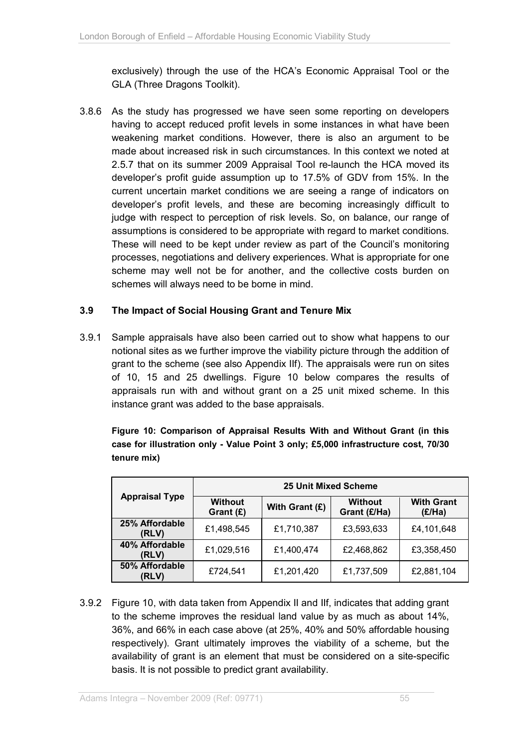exclusively) through the use of the HCA's Economic Appraisal Tool or the GLA (Three Dragons Toolkit).

3.8.6 As the study has progressed we have seen some reporting on developers having to accept reduced profit levels in some instances in what have been weakening market conditions. However, there is also an argument to be made about increased risk in such circumstances. In this context we noted at 2.5.7 that on its summer 2009 Appraisal Tool re-launch the HCA moved its developer's profit guide assumption up to 17.5% of GDV from 15%. In the current uncertain market conditions we are seeing a range of indicators on developer's profit levels, and these are becoming increasingly difficult to judge with respect to perception of risk levels. So, on balance, our range of assumptions is considered to be appropriate with regard to market conditions. These will need to be kept under review as part of the Council's monitoring processes, negotiations and delivery experiences. What is appropriate for one scheme may well not be for another, and the collective costs burden on schemes will always need to be borne in mind.

## **3.9 The Impact of Social Housing Grant and Tenure Mix**

3.9.1 Sample appraisals have also been carried out to show what happens to our notional sites as we further improve the viability picture through the addition of grant to the scheme (see also Appendix IIf). The appraisals were run on sites of 10, 15 and 25 dwellings. Figure 10 below compares the results of appraisals run with and without grant on a 25 unit mixed scheme. In this instance grant was added to the base appraisals.

**Figure 10: Comparison of Appraisal Results With and Without Grant (in this case for illustration only - Value Point 3 only; £5,000 infrastructure cost, 70/30 tenure mix)** 

|                         | <b>25 Unit Mixed Scheme</b> |                |                                |                             |  |  |  |
|-------------------------|-----------------------------|----------------|--------------------------------|-----------------------------|--|--|--|
| <b>Appraisal Type</b>   | <b>Without</b><br>Grant (£) | With Grant (£) | <b>Without</b><br>Grant (£/Ha) | <b>With Grant</b><br>(E/Ha) |  |  |  |
| 25% Affordable<br>(RLV) | £1,498,545                  | £1,710,387     | £3,593,633                     | £4,101,648                  |  |  |  |
| 40% Affordable<br>(RLV) | £1,029,516                  | £1,400,474     | £2,468,862                     | £3,358,450                  |  |  |  |
| 50% Affordable<br>(RLV) | £724,541                    | £1,201,420     | £1,737,509                     | £2,881,104                  |  |  |  |

3.9.2 Figure 10, with data taken from Appendix II and IIf, indicates that adding grant to the scheme improves the residual land value by as much as about 14%, 36%, and 66% in each case above (at 25%, 40% and 50% affordable housing respectively). Grant ultimately improves the viability of a scheme, but the availability of grant is an element that must be considered on a site-specific basis. It is not possible to predict grant availability.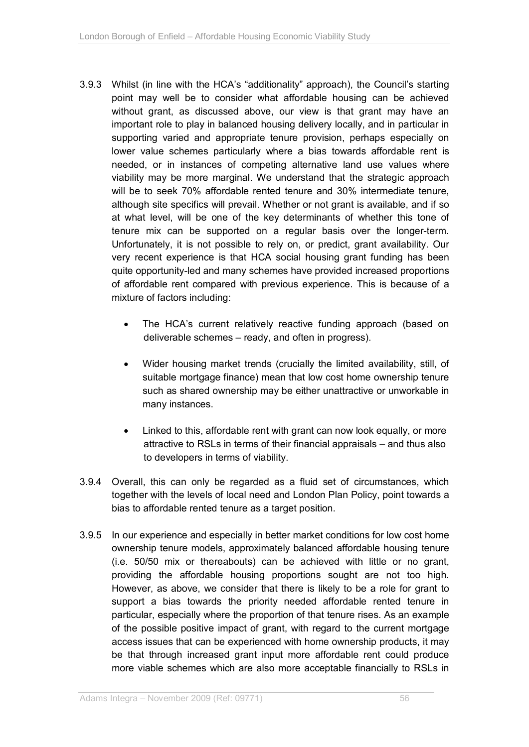- 3.9.3 Whilst (in line with the HCA's "additionality" approach), the Council's starting point may well be to consider what affordable housing can be achieved without grant, as discussed above, our view is that grant may have an important role to play in balanced housing delivery locally, and in particular in supporting varied and appropriate tenure provision, perhaps especially on lower value schemes particularly where a bias towards affordable rent is needed, or in instances of competing alternative land use values where viability may be more marginal. We understand that the strategic approach will be to seek 70% affordable rented tenure and 30% intermediate tenure, although site specifics will prevail. Whether or not grant is available, and if so at what level, will be one of the key determinants of whether this tone of tenure mix can be supported on a regular basis over the longer-term. Unfortunately, it is not possible to rely on, or predict, grant availability. Our very recent experience is that HCA social housing grant funding has been quite opportunity-led and many schemes have provided increased proportions of affordable rent compared with previous experience. This is because of a mixture of factors including:
	- The HCA's current relatively reactive funding approach (based on deliverable schemes – ready, and often in progress).
	- Wider housing market trends (crucially the limited availability, still, of suitable mortgage finance) mean that low cost home ownership tenure such as shared ownership may be either unattractive or unworkable in many instances.
	- Linked to this, affordable rent with grant can now look equally, or more attractive to RSLs in terms of their financial appraisals – and thus also to developers in terms of viability.
- 3.9.4 Overall, this can only be regarded as a fluid set of circumstances, which together with the levels of local need and London Plan Policy, point towards a bias to affordable rented tenure as a target position.
- 3.9.5 In our experience and especially in better market conditions for low cost home ownership tenure models, approximately balanced affordable housing tenure (i.e. 50/50 mix or thereabouts) can be achieved with little or no grant, providing the affordable housing proportions sought are not too high. However, as above, we consider that there is likely to be a role for grant to support a bias towards the priority needed affordable rented tenure in particular, especially where the proportion of that tenure rises. As an example of the possible positive impact of grant, with regard to the current mortgage access issues that can be experienced with home ownership products, it may be that through increased grant input more affordable rent could produce more viable schemes which are also more acceptable financially to RSLs in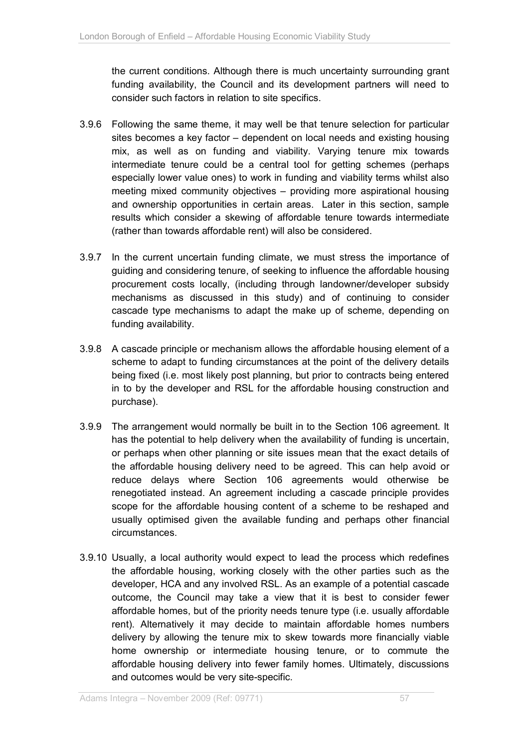the current conditions. Although there is much uncertainty surrounding grant funding availability, the Council and its development partners will need to consider such factors in relation to site specifics.

- 3.9.6 Following the same theme, it may well be that tenure selection for particular sites becomes a key factor – dependent on local needs and existing housing mix, as well as on funding and viability. Varying tenure mix towards intermediate tenure could be a central tool for getting schemes (perhaps especially lower value ones) to work in funding and viability terms whilst also meeting mixed community objectives – providing more aspirational housing and ownership opportunities in certain areas. Later in this section, sample results which consider a skewing of affordable tenure towards intermediate (rather than towards affordable rent) will also be considered.
- 3.9.7 In the current uncertain funding climate, we must stress the importance of guiding and considering tenure, of seeking to influence the affordable housing procurement costs locally, (including through landowner/developer subsidy mechanisms as discussed in this study) and of continuing to consider cascade type mechanisms to adapt the make up of scheme, depending on funding availability.
- 3.9.8 A cascade principle or mechanism allows the affordable housing element of a scheme to adapt to funding circumstances at the point of the delivery details being fixed (i.e. most likely post planning, but prior to contracts being entered in to by the developer and RSL for the affordable housing construction and purchase).
- 3.9.9 The arrangement would normally be built in to the Section 106 agreement. It has the potential to help delivery when the availability of funding is uncertain, or perhaps when other planning or site issues mean that the exact details of the affordable housing delivery need to be agreed. This can help avoid or reduce delays where Section 106 agreements would otherwise be renegotiated instead. An agreement including a cascade principle provides scope for the affordable housing content of a scheme to be reshaped and usually optimised given the available funding and perhaps other financial circumstances.
- 3.9.10 Usually, a local authority would expect to lead the process which redefines the affordable housing, working closely with the other parties such as the developer, HCA and any involved RSL. As an example of a potential cascade outcome, the Council may take a view that it is best to consider fewer affordable homes, but of the priority needs tenure type (i.e. usually affordable rent). Alternatively it may decide to maintain affordable homes numbers delivery by allowing the tenure mix to skew towards more financially viable home ownership or intermediate housing tenure, or to commute the affordable housing delivery into fewer family homes. Ultimately, discussions and outcomes would be very site-specific.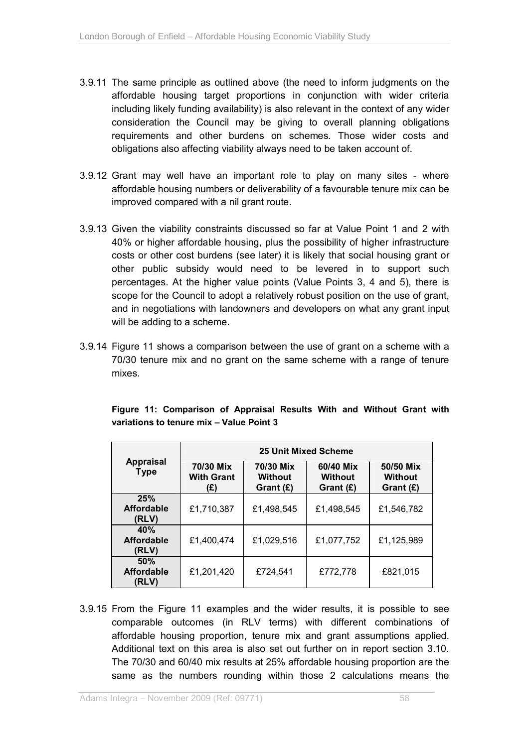- 3.9.11 The same principle as outlined above (the need to inform judgments on the affordable housing target proportions in conjunction with wider criteria including likely funding availability) is also relevant in the context of any wider consideration the Council may be giving to overall planning obligations requirements and other burdens on schemes. Those wider costs and obligations also affecting viability always need to be taken account of.
- 3.9.12 Grant may well have an important role to play on many sites where affordable housing numbers or deliverability of a favourable tenure mix can be improved compared with a nil grant route.
- 3.9.13 Given the viability constraints discussed so far at Value Point 1 and 2 with 40% or higher affordable housing, plus the possibility of higher infrastructure costs or other cost burdens (see later) it is likely that social housing grant or other public subsidy would need to be levered in to support such percentages. At the higher value points (Value Points 3, 4 and 5), there is scope for the Council to adopt a relatively robust position on the use of grant, and in negotiations with landowners and developers on what any grant input will be adding to a scheme.
- 3.9.14 Figure 11 shows a comparison between the use of grant on a scheme with a 70/30 tenure mix and no grant on the same scheme with a range of tenure mixes.

|  | Figure 11: Comparison of Appraisal Results With and Without Grant with |  |  |  |  |
|--|------------------------------------------------------------------------|--|--|--|--|
|  | variations to tenure mix - Value Point 3                               |  |  |  |  |

|                                   | <b>25 Unit Mixed Scheme</b>           |                                          |                                            |                                          |  |  |  |
|-----------------------------------|---------------------------------------|------------------------------------------|--------------------------------------------|------------------------------------------|--|--|--|
| <b>Appraisal</b><br><b>Type</b>   | 70/30 Mix<br><b>With Grant</b><br>(E) | 70/30 Mix<br><b>Without</b><br>Grant (£) | 60/40 Mix<br><b>Without</b><br>Grant $(E)$ | 50/50 Mix<br><b>Without</b><br>Grant (£) |  |  |  |
| 25%<br><b>Affordable</b><br>(RLV) | £1,710,387                            | £1,498,545                               | £1,498,545                                 | £1,546,782                               |  |  |  |
| 40%<br><b>Affordable</b><br>(RLV) | £1,400,474                            | £1,029,516                               | £1,077,752                                 | £1,125,989                               |  |  |  |
| 50%<br><b>Affordable</b><br>(RLV) | £1,201,420                            | £724,541                                 | £772,778                                   | £821,015                                 |  |  |  |

3.9.15 From the Figure 11 examples and the wider results, it is possible to see comparable outcomes (in RLV terms) with different combinations of affordable housing proportion, tenure mix and grant assumptions applied. Additional text on this area is also set out further on in report section 3.10. The 70/30 and 60/40 mix results at 25% affordable housing proportion are the same as the numbers rounding within those 2 calculations means the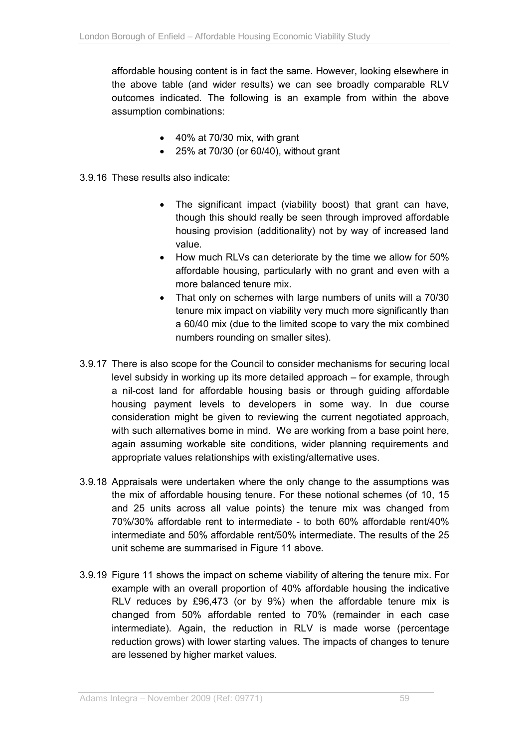affordable housing content is in fact the same. However, looking elsewhere in the above table (and wider results) we can see broadly comparable RLV outcomes indicated. The following is an example from within the above assumption combinations:

- $\bullet$  40% at 70/30 mix, with grant
- 25% at 70/30 (or 60/40), without grant
- 3.9.16 These results also indicate:
	- The significant impact (viability boost) that grant can have, though this should really be seen through improved affordable housing provision (additionality) not by way of increased land value.
	- How much RLVs can deteriorate by the time we allow for 50% affordable housing, particularly with no grant and even with a more balanced tenure mix.
	- That only on schemes with large numbers of units will a 70/30 tenure mix impact on viability very much more significantly than a 60/40 mix (due to the limited scope to vary the mix combined numbers rounding on smaller sites).
- 3.9.17 There is also scope for the Council to consider mechanisms for securing local level subsidy in working up its more detailed approach – for example, through a nil-cost land for affordable housing basis or through guiding affordable housing payment levels to developers in some way. In due course consideration might be given to reviewing the current negotiated approach, with such alternatives borne in mind. We are working from a base point here, again assuming workable site conditions, wider planning requirements and appropriate values relationships with existing/alternative uses.
- 3.9.18 Appraisals were undertaken where the only change to the assumptions was the mix of affordable housing tenure. For these notional schemes (of 10, 15 and 25 units across all value points) the tenure mix was changed from 70%/30% affordable rent to intermediate - to both 60% affordable rent/40% intermediate and 50% affordable rent/50% intermediate. The results of the 25 unit scheme are summarised in Figure 11 above.
- 3.9.19 Figure 11 shows the impact on scheme viability of altering the tenure mix. For example with an overall proportion of 40% affordable housing the indicative RLV reduces by £96,473 (or by 9%) when the affordable tenure mix is changed from 50% affordable rented to 70% (remainder in each case intermediate). Again, the reduction in RLV is made worse (percentage reduction grows) with lower starting values. The impacts of changes to tenure are lessened by higher market values.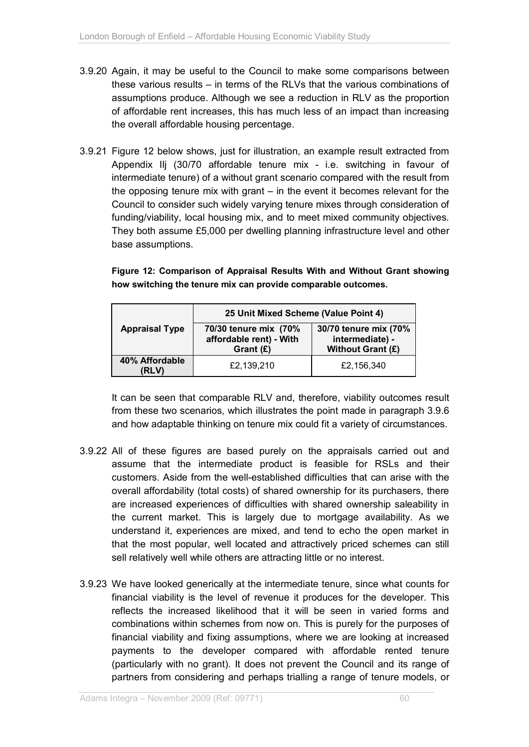- 3.9.20 Again, it may be useful to the Council to make some comparisons between these various results – in terms of the RLVs that the various combinations of assumptions produce. Although we see a reduction in RLV as the proportion of affordable rent increases, this has much less of an impact than increasing the overall affordable housing percentage.
- 3.9.21 Figure 12 below shows, just for illustration, an example result extracted from Appendix IIj (30/70 affordable tenure mix - i.e. switching in favour of intermediate tenure) of a without grant scenario compared with the result from the opposing tenure mix with grant – in the event it becomes relevant for the Council to consider such widely varying tenure mixes through consideration of funding/viability, local housing mix, and to meet mixed community objectives. They both assume £5,000 per dwelling planning infrastructure level and other base assumptions.

**Figure 12: Comparison of Appraisal Results With and Without Grant showing how switching the tenure mix can provide comparable outcomes.** 

|                         | 25 Unit Mixed Scheme (Value Point 4)                            |                                                               |  |  |
|-------------------------|-----------------------------------------------------------------|---------------------------------------------------------------|--|--|
| <b>Appraisal Type</b>   | 70/30 tenure mix (70%<br>affordable rent) - With<br>Grant $(E)$ | 30/70 tenure mix (70%<br>intermediate) -<br>Without Grant (£) |  |  |
| 40% Affordable<br>'RLV) | £2,139,210                                                      | £2,156,340                                                    |  |  |

It can be seen that comparable RLV and, therefore, viability outcomes result from these two scenarios, which illustrates the point made in paragraph 3.9.6 and how adaptable thinking on tenure mix could fit a variety of circumstances.

- 3.9.22 All of these figures are based purely on the appraisals carried out and assume that the intermediate product is feasible for RSLs and their customers. Aside from the well-established difficulties that can arise with the overall affordability (total costs) of shared ownership for its purchasers, there are increased experiences of difficulties with shared ownership saleability in the current market. This is largely due to mortgage availability. As we understand it, experiences are mixed, and tend to echo the open market in that the most popular, well located and attractively priced schemes can still sell relatively well while others are attracting little or no interest.
- 3.9.23 We have looked generically at the intermediate tenure, since what counts for financial viability is the level of revenue it produces for the developer. This reflects the increased likelihood that it will be seen in varied forms and combinations within schemes from now on. This is purely for the purposes of financial viability and fixing assumptions, where we are looking at increased payments to the developer compared with affordable rented tenure (particularly with no grant). It does not prevent the Council and its range of partners from considering and perhaps trialling a range of tenure models, or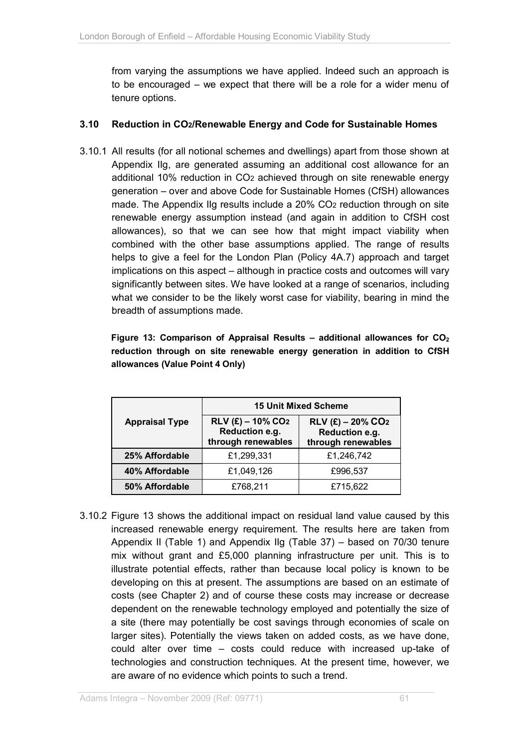from varying the assumptions we have applied. Indeed such an approach is to be encouraged – we expect that there will be a role for a wider menu of tenure options.

#### **3.10 Reduction in CO2/Renewable Energy and Code for Sustainable Homes**

3.10.1 All results (for all notional schemes and dwellings) apart from those shown at Appendix IIg, are generated assuming an additional cost allowance for an additional 10% reduction in CO2 achieved through on site renewable energy generation – over and above Code for Sustainable Homes (CfSH) allowances made. The Appendix IIg results include a 20% CO2 reduction through on site renewable energy assumption instead (and again in addition to CfSH cost allowances), so that we can see how that might impact viability when combined with the other base assumptions applied. The range of results helps to give a feel for the London Plan (Policy 4A.7) approach and target implications on this aspect – although in practice costs and outcomes will vary significantly between sites. We have looked at a range of scenarios, including what we consider to be the likely worst case for viability, bearing in mind the breadth of assumptions made.

|                                 |  |  |  | Figure 13: Comparison of Appraisal Results – additional allowances for $CO2$ |  |  |
|---------------------------------|--|--|--|------------------------------------------------------------------------------|--|--|
|                                 |  |  |  | reduction through on site renewable energy generation in addition to CfSH    |  |  |
| allowances (Value Point 4 Only) |  |  |  |                                                                              |  |  |

|                       | <b>15 Unit Mixed Scheme</b>                                             |                                                                         |  |  |
|-----------------------|-------------------------------------------------------------------------|-------------------------------------------------------------------------|--|--|
| <b>Appraisal Type</b> | $RLV$ (£) – 10% CO <sub>2</sub><br>Reduction e.g.<br>through renewables | $RLV$ (£) – 20% CO <sub>2</sub><br>Reduction e.g.<br>through renewables |  |  |
| 25% Affordable        | £1,299,331                                                              | £1,246,742                                                              |  |  |
| 40% Affordable        | £1,049,126                                                              | £996,537                                                                |  |  |
| 50% Affordable        | £768,211                                                                | £715,622                                                                |  |  |

3.10.2 Figure 13 shows the additional impact on residual land value caused by this increased renewable energy requirement. The results here are taken from Appendix II (Table 1) and Appendix IIg (Table 37) – based on 70/30 tenure mix without grant and £5,000 planning infrastructure per unit. This is to illustrate potential effects, rather than because local policy is known to be developing on this at present. The assumptions are based on an estimate of costs (see Chapter 2) and of course these costs may increase or decrease dependent on the renewable technology employed and potentially the size of a site (there may potentially be cost savings through economies of scale on larger sites). Potentially the views taken on added costs, as we have done, could alter over time – costs could reduce with increased up-take of technologies and construction techniques. At the present time, however, we are aware of no evidence which points to such a trend.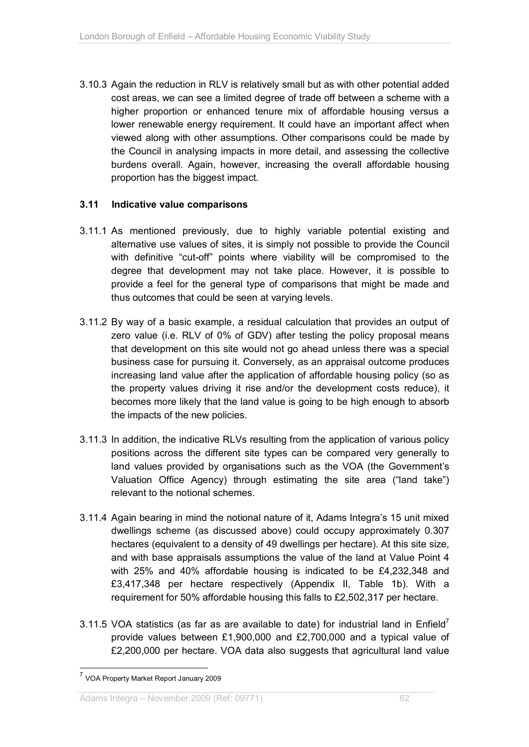3.10.3 Again the reduction in RLV is relatively small but as with other potential added cost areas, we can see a limited degree of trade off between a scheme with a higher proportion or enhanced tenure mix of affordable housing versus a lower renewable energy requirement. It could have an important affect when viewed along with other assumptions. Other comparisons could be made by the Council in analysing impacts in more detail, and assessing the collective burdens overall. Again, however, increasing the overall affordable housing proportion has the biggest impact.

#### **3.11 Indicative value comparisons**

- 3.11.1 As mentioned previously, due to highly variable potential existing and alternative use values of sites, it is simply not possible to provide the Council with definitive "cut-off" points where viability will be compromised to the degree that development may not take place. However, it is possible to provide a feel for the general type of comparisons that might be made and thus outcomes that could be seen at varying levels.
- 3.11.2 By way of a basic example, a residual calculation that provides an output of zero value (i.e. RLV of 0% of GDV) after testing the policy proposal means that development on this site would not go ahead unless there was a special business case for pursuing it. Conversely, as an appraisal outcome produces increasing land value after the application of affordable housing policy (so as the property values driving it rise and/or the development costs reduce), it becomes more likely that the land value is going to be high enough to absorb the impacts of the new policies.
- 3.11.3 In addition, the indicative RLVs resulting from the application of various policy positions across the different site types can be compared very generally to land values provided by organisations such as the VOA (the Government's Valuation Office Agency) through estimating the site area ("land take") relevant to the notional schemes.
- 3.11.4 Again bearing in mind the notional nature of it, Adams Integra's 15 unit mixed dwellings scheme (as discussed above) could occupy approximately 0.307 hectares (equivalent to a density of 49 dwellings per hectare). At this site size, and with base appraisals assumptions the value of the land at Value Point 4 with 25% and 40% affordable housing is indicated to be £4,232,348 and £3,417,348 per hectare respectively (Appendix II, Table 1b). With a requirement for 50% affordable housing this falls to £2,502,317 per hectare.
- 3.11.5 VOA statistics (as far as are available to date) for industrial land in Enfield<sup>7</sup> provide values between £1,900,000 and £2,700,000 and a typical value of £2,200,000 per hectare. VOA data also suggests that agricultural land value

l

<sup>&</sup>lt;sup>7</sup> VOA Property Market Report January 2009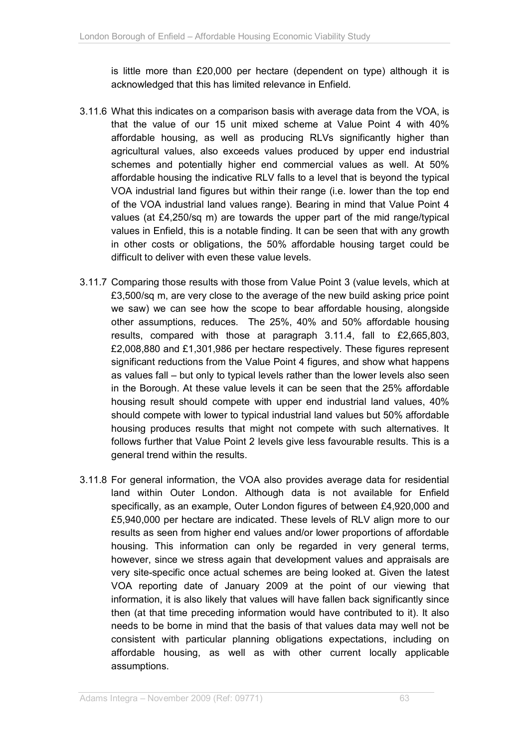is little more than £20,000 per hectare (dependent on type) although it is acknowledged that this has limited relevance in Enfield.

- 3.11.6 What this indicates on a comparison basis with average data from the VOA, is that the value of our 15 unit mixed scheme at Value Point 4 with 40% affordable housing, as well as producing RLVs significantly higher than agricultural values, also exceeds values produced by upper end industrial schemes and potentially higher end commercial values as well. At 50% affordable housing the indicative RLV falls to a level that is beyond the typical VOA industrial land figures but within their range (i.e. lower than the top end of the VOA industrial land values range). Bearing in mind that Value Point 4 values (at £4,250/sq m) are towards the upper part of the mid range/typical values in Enfield, this is a notable finding. It can be seen that with any growth in other costs or obligations, the 50% affordable housing target could be difficult to deliver with even these value levels.
- 3.11.7 Comparing those results with those from Value Point 3 (value levels, which at £3,500/sq m, are very close to the average of the new build asking price point we saw) we can see how the scope to bear affordable housing, alongside other assumptions, reduces. The 25%, 40% and 50% affordable housing results, compared with those at paragraph 3.11.4, fall to £2,665,803, £2,008,880 and £1,301,986 per hectare respectively. These figures represent significant reductions from the Value Point 4 figures, and show what happens as values fall – but only to typical levels rather than the lower levels also seen in the Borough. At these value levels it can be seen that the 25% affordable housing result should compete with upper end industrial land values, 40% should compete with lower to typical industrial land values but 50% affordable housing produces results that might not compete with such alternatives. It follows further that Value Point 2 levels give less favourable results. This is a general trend within the results.
- 3.11.8 For general information, the VOA also provides average data for residential land within Outer London. Although data is not available for Enfield specifically, as an example, Outer London figures of between £4,920,000 and £5,940,000 per hectare are indicated. These levels of RLV align more to our results as seen from higher end values and/or lower proportions of affordable housing. This information can only be regarded in very general terms, however, since we stress again that development values and appraisals are very site-specific once actual schemes are being looked at. Given the latest VOA reporting date of January 2009 at the point of our viewing that information, it is also likely that values will have fallen back significantly since then (at that time preceding information would have contributed to it). It also needs to be borne in mind that the basis of that values data may well not be consistent with particular planning obligations expectations, including on affordable housing, as well as with other current locally applicable assumptions.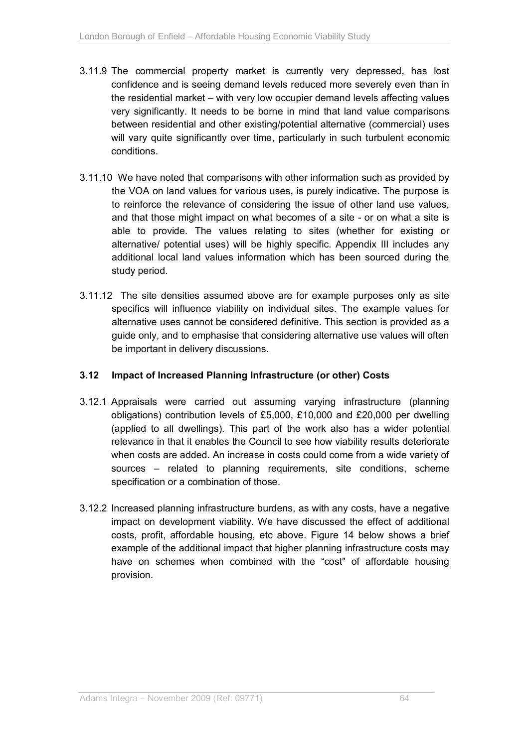- 3.11.9 The commercial property market is currently very depressed, has lost confidence and is seeing demand levels reduced more severely even than in the residential market – with very low occupier demand levels affecting values very significantly. It needs to be borne in mind that land value comparisons between residential and other existing/potential alternative (commercial) uses will vary quite significantly over time, particularly in such turbulent economic conditions.
- 3.11.10 We have noted that comparisons with other information such as provided by the VOA on land values for various uses, is purely indicative. The purpose is to reinforce the relevance of considering the issue of other land use values, and that those might impact on what becomes of a site - or on what a site is able to provide. The values relating to sites (whether for existing or alternative/ potential uses) will be highly specific. Appendix III includes any additional local land values information which has been sourced during the study period.
- 3.11.12 The site densities assumed above are for example purposes only as site specifics will influence viability on individual sites. The example values for alternative uses cannot be considered definitive. This section is provided as a guide only, and to emphasise that considering alternative use values will often be important in delivery discussions.

#### **3.12 Impact of Increased Planning Infrastructure (or other) Costs**

- 3.12.1 Appraisals were carried out assuming varying infrastructure (planning obligations) contribution levels of £5,000, £10,000 and £20,000 per dwelling (applied to all dwellings). This part of the work also has a wider potential relevance in that it enables the Council to see how viability results deteriorate when costs are added. An increase in costs could come from a wide variety of sources – related to planning requirements, site conditions, scheme specification or a combination of those.
- 3.12.2 Increased planning infrastructure burdens, as with any costs, have a negative impact on development viability. We have discussed the effect of additional costs, profit, affordable housing, etc above. Figure 14 below shows a brief example of the additional impact that higher planning infrastructure costs may have on schemes when combined with the "cost" of affordable housing provision.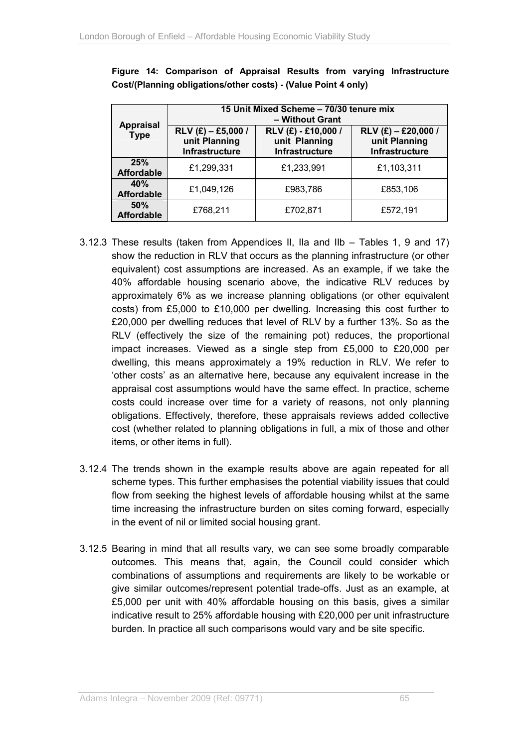| <b>Appraisal</b><br><b>Type</b> | 15 Unit Mixed Scheme - 70/30 tenure mix<br>- Without Grant |                                                        |                                                          |  |  |  |
|---------------------------------|------------------------------------------------------------|--------------------------------------------------------|----------------------------------------------------------|--|--|--|
|                                 | $RLV$ (£) - £5,000 /<br>unit Planning<br>Infrastructure    | RLV (£) - £10,000 /<br>unit Planning<br>Infrastructure | $RLV$ (£) – £20,000 /<br>unit Planning<br>Infrastructure |  |  |  |
| 25%<br><b>Affordable</b>        | £1,299,331                                                 | £1,233,991                                             | £1,103,311                                               |  |  |  |
| 40%<br><b>Affordable</b>        | £1,049,126                                                 | £983,786                                               | £853,106                                                 |  |  |  |
| 50%<br><b>Affordable</b>        | £768,211                                                   | £702,871                                               | £572,191                                                 |  |  |  |

**Figure 14: Comparison of Appraisal Results from varying Infrastructure Cost/(Planning obligations/other costs) - (Value Point 4 only)** 

- 3.12.3 These results (taken from Appendices II, IIa and IIb Tables 1, 9 and 17) show the reduction in RLV that occurs as the planning infrastructure (or other equivalent) cost assumptions are increased. As an example, if we take the 40% affordable housing scenario above, the indicative RLV reduces by approximately 6% as we increase planning obligations (or other equivalent costs) from £5,000 to £10,000 per dwelling. Increasing this cost further to £20,000 per dwelling reduces that level of RLV by a further 13%. So as the RLV (effectively the size of the remaining pot) reduces, the proportional impact increases. Viewed as a single step from £5,000 to £20,000 per dwelling, this means approximately a 19% reduction in RLV. We refer to 'other costs' as an alternative here, because any equivalent increase in the appraisal cost assumptions would have the same effect. In practice, scheme costs could increase over time for a variety of reasons, not only planning obligations. Effectively, therefore, these appraisals reviews added collective cost (whether related to planning obligations in full, a mix of those and other items, or other items in full).
- 3.12.4 The trends shown in the example results above are again repeated for all scheme types. This further emphasises the potential viability issues that could flow from seeking the highest levels of affordable housing whilst at the same time increasing the infrastructure burden on sites coming forward, especially in the event of nil or limited social housing grant.
- 3.12.5 Bearing in mind that all results vary, we can see some broadly comparable outcomes. This means that, again, the Council could consider which combinations of assumptions and requirements are likely to be workable or give similar outcomes/represent potential trade-offs. Just as an example, at £5,000 per unit with 40% affordable housing on this basis, gives a similar indicative result to 25% affordable housing with £20,000 per unit infrastructure burden. In practice all such comparisons would vary and be site specific.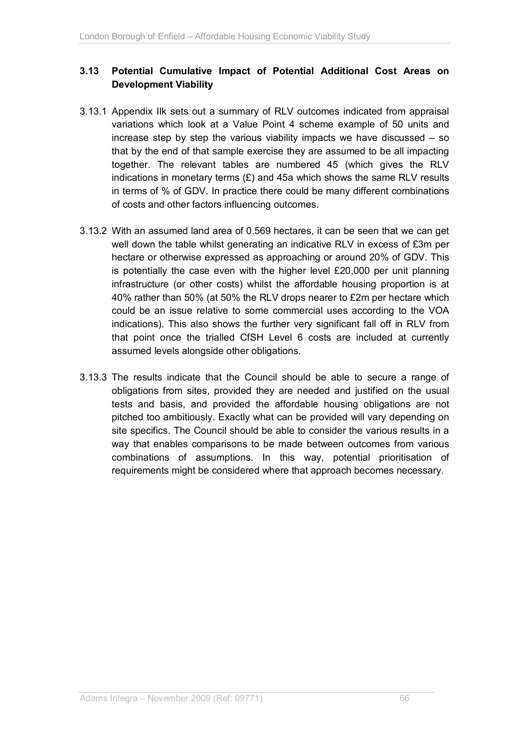## **3.13 Potential Cumulative Impact of Potential Additional Cost Areas on Development Viability**

- 3.13.1 Appendix IIk sets out a summary of RLV outcomes indicated from appraisal variations which look at a Value Point 4 scheme example of 50 units and increase step by step the various viability impacts we have discussed – so that by the end of that sample exercise they are assumed to be all impacting together. The relevant tables are numbered 45 (which gives the RLV indications in monetary terms  $(E)$  and 45a which shows the same RLV results in terms of % of GDV. In practice there could be many different combinations of costs and other factors influencing outcomes.
- 3.13.2 With an assumed land area of 0.569 hectares, it can be seen that we can get well down the table whilst generating an indicative RLV in excess of £3m per hectare or otherwise expressed as approaching or around 20% of GDV. This is potentially the case even with the higher level £20,000 per unit planning infrastructure (or other costs) whilst the affordable housing proportion is at 40% rather than 50% (at 50% the RLV drops nearer to £2m per hectare which could be an issue relative to some commercial uses according to the VOA indications). This also shows the further very significant fall off in RLV from that point once the trialled CfSH Level 6 costs are included at currently assumed levels alongside other obligations.
- 3.13.3 The results indicate that the Council should be able to secure a range of obligations from sites, provided they are needed and justified on the usual tests and basis, and provided the affordable housing obligations are not pitched too ambitiously. Exactly what can be provided will vary depending on site specifics. The Council should be able to consider the various results in a way that enables comparisons to be made between outcomes from various combinations of assumptions. In this way, potential prioritisation of requirements might be considered where that approach becomes necessary.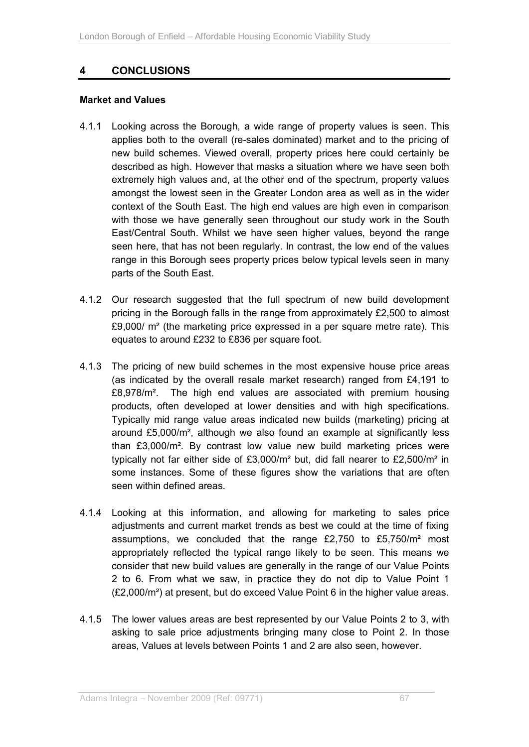# **4 CONCLUSIONS**

#### **Market and Values**

- 4.1.1 Looking across the Borough, a wide range of property values is seen. This applies both to the overall (re-sales dominated) market and to the pricing of new build schemes. Viewed overall, property prices here could certainly be described as high. However that masks a situation where we have seen both extremely high values and, at the other end of the spectrum, property values amongst the lowest seen in the Greater London area as well as in the wider context of the South East. The high end values are high even in comparison with those we have generally seen throughout our study work in the South East/Central South. Whilst we have seen higher values, beyond the range seen here, that has not been regularly. In contrast, the low end of the values range in this Borough sees property prices below typical levels seen in many parts of the South East.
- 4.1.2 Our research suggested that the full spectrum of new build development pricing in the Borough falls in the range from approximately £2,500 to almost £9,000/ m² (the marketing price expressed in a per square metre rate). This equates to around £232 to £836 per square foot.
- 4.1.3 The pricing of new build schemes in the most expensive house price areas (as indicated by the overall resale market research) ranged from £4,191 to £8,978/m². The high end values are associated with premium housing products, often developed at lower densities and with high specifications. Typically mid range value areas indicated new builds (marketing) pricing at around £5,000/m², although we also found an example at significantly less than £3,000/m². By contrast low value new build marketing prices were typically not far either side of £3,000/m² but, did fall nearer to £2,500/m² in some instances. Some of these figures show the variations that are often seen within defined areas.
- 4.1.4 Looking at this information, and allowing for marketing to sales price adjustments and current market trends as best we could at the time of fixing assumptions, we concluded that the range £2,750 to £5,750/m² most appropriately reflected the typical range likely to be seen. This means we consider that new build values are generally in the range of our Value Points 2 to 6. From what we saw, in practice they do not dip to Value Point 1 (£2,000/m²) at present, but do exceed Value Point 6 in the higher value areas.
- 4.1.5 The lower values areas are best represented by our Value Points 2 to 3, with asking to sale price adjustments bringing many close to Point 2. In those areas, Values at levels between Points 1 and 2 are also seen, however.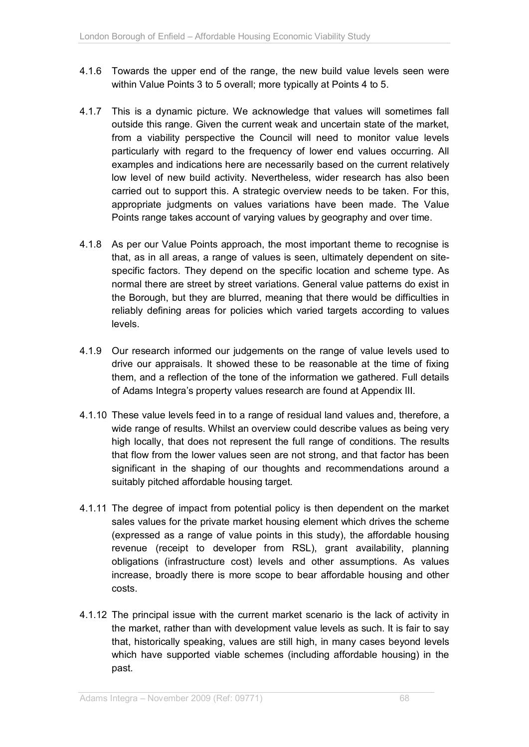- 4.1.6 Towards the upper end of the range, the new build value levels seen were within Value Points 3 to 5 overall; more typically at Points 4 to 5.
- 4.1.7 This is a dynamic picture. We acknowledge that values will sometimes fall outside this range. Given the current weak and uncertain state of the market, from a viability perspective the Council will need to monitor value levels particularly with regard to the frequency of lower end values occurring. All examples and indications here are necessarily based on the current relatively low level of new build activity. Nevertheless, wider research has also been carried out to support this. A strategic overview needs to be taken. For this, appropriate judgments on values variations have been made. The Value Points range takes account of varying values by geography and over time.
- 4.1.8 As per our Value Points approach, the most important theme to recognise is that, as in all areas, a range of values is seen, ultimately dependent on sitespecific factors. They depend on the specific location and scheme type. As normal there are street by street variations. General value patterns do exist in the Borough, but they are blurred, meaning that there would be difficulties in reliably defining areas for policies which varied targets according to values levels.
- 4.1.9 Our research informed our judgements on the range of value levels used to drive our appraisals. It showed these to be reasonable at the time of fixing them, and a reflection of the tone of the information we gathered. Full details of Adams Integra's property values research are found at Appendix III.
- 4.1.10 These value levels feed in to a range of residual land values and, therefore, a wide range of results. Whilst an overview could describe values as being very high locally, that does not represent the full range of conditions. The results that flow from the lower values seen are not strong, and that factor has been significant in the shaping of our thoughts and recommendations around a suitably pitched affordable housing target.
- 4.1.11 The degree of impact from potential policy is then dependent on the market sales values for the private market housing element which drives the scheme (expressed as a range of value points in this study), the affordable housing revenue (receipt to developer from RSL), grant availability, planning obligations (infrastructure cost) levels and other assumptions. As values increase, broadly there is more scope to bear affordable housing and other costs.
- 4.1.12 The principal issue with the current market scenario is the lack of activity in the market, rather than with development value levels as such. It is fair to say that, historically speaking, values are still high, in many cases beyond levels which have supported viable schemes (including affordable housing) in the past.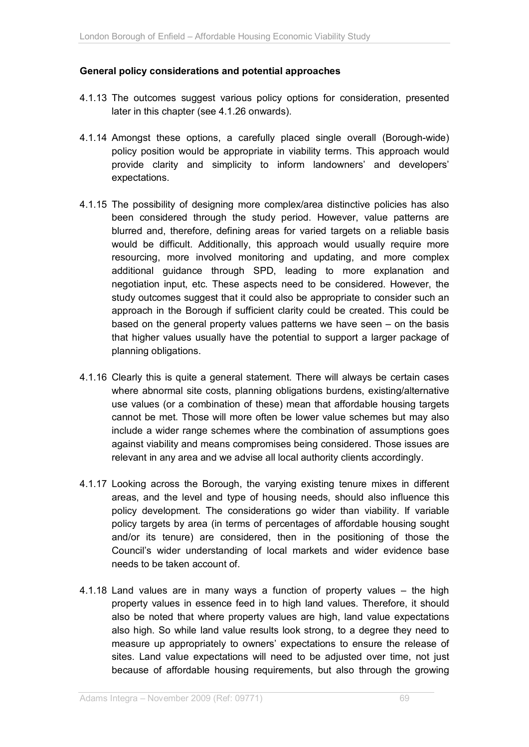#### **General policy considerations and potential approaches**

- 4.1.13 The outcomes suggest various policy options for consideration, presented later in this chapter (see 4.1.26 onwards).
- 4.1.14 Amongst these options, a carefully placed single overall (Borough-wide) policy position would be appropriate in viability terms. This approach would provide clarity and simplicity to inform landowners' and developers' expectations.
- 4.1.15 The possibility of designing more complex/area distinctive policies has also been considered through the study period. However, value patterns are blurred and, therefore, defining areas for varied targets on a reliable basis would be difficult. Additionally, this approach would usually require more resourcing, more involved monitoring and updating, and more complex additional guidance through SPD, leading to more explanation and negotiation input, etc. These aspects need to be considered. However, the study outcomes suggest that it could also be appropriate to consider such an approach in the Borough if sufficient clarity could be created. This could be based on the general property values patterns we have seen – on the basis that higher values usually have the potential to support a larger package of planning obligations.
- 4.1.16 Clearly this is quite a general statement. There will always be certain cases where abnormal site costs, planning obligations burdens, existing/alternative use values (or a combination of these) mean that affordable housing targets cannot be met. Those will more often be lower value schemes but may also include a wider range schemes where the combination of assumptions goes against viability and means compromises being considered. Those issues are relevant in any area and we advise all local authority clients accordingly.
- 4.1.17 Looking across the Borough, the varying existing tenure mixes in different areas, and the level and type of housing needs, should also influence this policy development. The considerations go wider than viability. If variable policy targets by area (in terms of percentages of affordable housing sought and/or its tenure) are considered, then in the positioning of those the Council's wider understanding of local markets and wider evidence base needs to be taken account of.
- 4.1.18 Land values are in many ways a function of property values the high property values in essence feed in to high land values. Therefore, it should also be noted that where property values are high, land value expectations also high. So while land value results look strong, to a degree they need to measure up appropriately to owners' expectations to ensure the release of sites. Land value expectations will need to be adjusted over time, not just because of affordable housing requirements, but also through the growing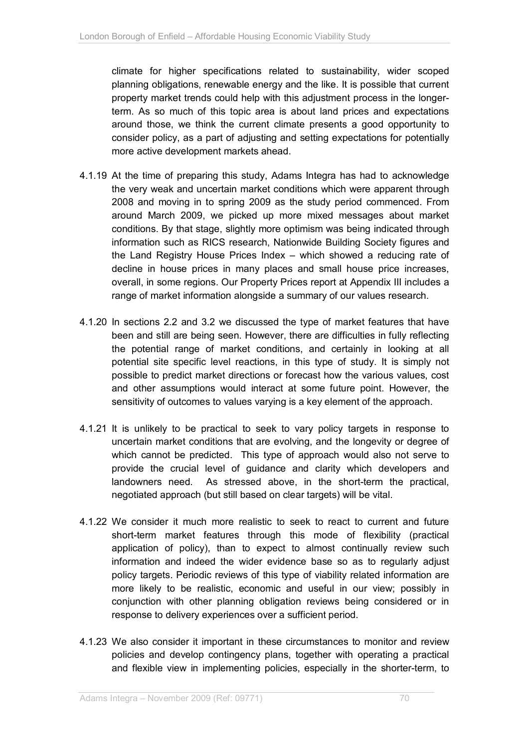climate for higher specifications related to sustainability, wider scoped planning obligations, renewable energy and the like. It is possible that current property market trends could help with this adjustment process in the longerterm. As so much of this topic area is about land prices and expectations around those, we think the current climate presents a good opportunity to consider policy, as a part of adjusting and setting expectations for potentially more active development markets ahead.

- 4.1.19 At the time of preparing this study, Adams Integra has had to acknowledge the very weak and uncertain market conditions which were apparent through 2008 and moving in to spring 2009 as the study period commenced. From around March 2009, we picked up more mixed messages about market conditions. By that stage, slightly more optimism was being indicated through information such as RICS research, Nationwide Building Society figures and the Land Registry House Prices Index – which showed a reducing rate of decline in house prices in many places and small house price increases, overall, in some regions. Our Property Prices report at Appendix III includes a range of market information alongside a summary of our values research.
- 4.1.20 In sections 2.2 and 3.2 we discussed the type of market features that have been and still are being seen. However, there are difficulties in fully reflecting the potential range of market conditions, and certainly in looking at all potential site specific level reactions, in this type of study. It is simply not possible to predict market directions or forecast how the various values, cost and other assumptions would interact at some future point. However, the sensitivity of outcomes to values varying is a key element of the approach.
- 4.1.21 It is unlikely to be practical to seek to vary policy targets in response to uncertain market conditions that are evolving, and the longevity or degree of which cannot be predicted. This type of approach would also not serve to provide the crucial level of guidance and clarity which developers and landowners need. As stressed above, in the short-term the practical, negotiated approach (but still based on clear targets) will be vital.
- 4.1.22 We consider it much more realistic to seek to react to current and future short-term market features through this mode of flexibility (practical application of policy), than to expect to almost continually review such information and indeed the wider evidence base so as to regularly adjust policy targets. Periodic reviews of this type of viability related information are more likely to be realistic, economic and useful in our view; possibly in conjunction with other planning obligation reviews being considered or in response to delivery experiences over a sufficient period.
- 4.1.23 We also consider it important in these circumstances to monitor and review policies and develop contingency plans, together with operating a practical and flexible view in implementing policies, especially in the shorter-term, to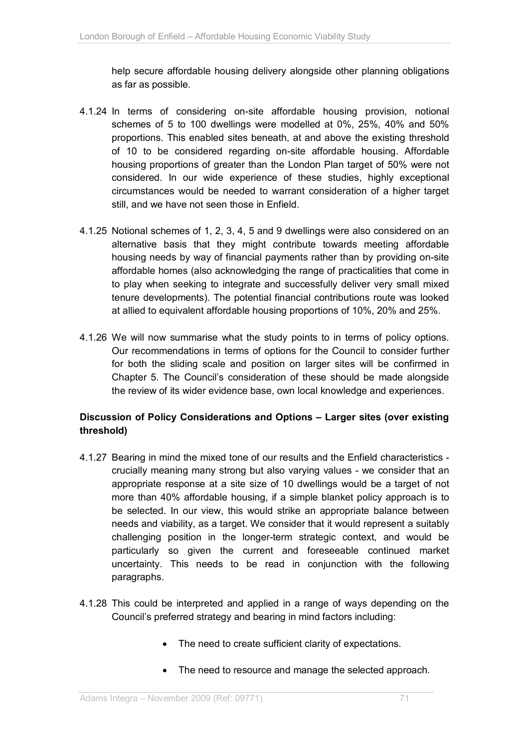help secure affordable housing delivery alongside other planning obligations as far as possible.

- 4.1.24 In terms of considering on-site affordable housing provision, notional schemes of 5 to 100 dwellings were modelled at 0%, 25%, 40% and 50% proportions. This enabled sites beneath, at and above the existing threshold of 10 to be considered regarding on-site affordable housing. Affordable housing proportions of greater than the London Plan target of 50% were not considered. In our wide experience of these studies, highly exceptional circumstances would be needed to warrant consideration of a higher target still, and we have not seen those in Enfield.
- 4.1.25 Notional schemes of 1, 2, 3, 4, 5 and 9 dwellings were also considered on an alternative basis that they might contribute towards meeting affordable housing needs by way of financial payments rather than by providing on-site affordable homes (also acknowledging the range of practicalities that come in to play when seeking to integrate and successfully deliver very small mixed tenure developments). The potential financial contributions route was looked at allied to equivalent affordable housing proportions of 10%, 20% and 25%.
- 4.1.26 We will now summarise what the study points to in terms of policy options. Our recommendations in terms of options for the Council to consider further for both the sliding scale and position on larger sites will be confirmed in Chapter 5. The Council's consideration of these should be made alongside the review of its wider evidence base, own local knowledge and experiences.

### **Discussion of Policy Considerations and Options – Larger sites (over existing threshold)**

- 4.1.27 Bearing in mind the mixed tone of our results and the Enfield characteristics crucially meaning many strong but also varying values - we consider that an appropriate response at a site size of 10 dwellings would be a target of not more than 40% affordable housing, if a simple blanket policy approach is to be selected. In our view, this would strike an appropriate balance between needs and viability, as a target. We consider that it would represent a suitably challenging position in the longer-term strategic context, and would be particularly so given the current and foreseeable continued market uncertainty. This needs to be read in conjunction with the following paragraphs.
- 4.1.28 This could be interpreted and applied in a range of ways depending on the Council's preferred strategy and bearing in mind factors including:
	- The need to create sufficient clarity of expectations.
	- The need to resource and manage the selected approach.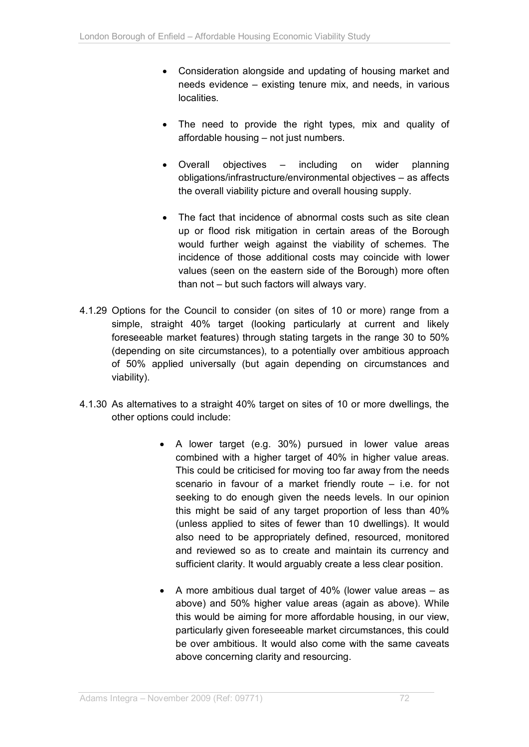- Consideration alongside and updating of housing market and needs evidence – existing tenure mix, and needs, in various localities.
- The need to provide the right types, mix and quality of affordable housing – not just numbers.
- Overall objectives including on wider planning obligations/infrastructure/environmental objectives – as affects the overall viability picture and overall housing supply.
- The fact that incidence of abnormal costs such as site clean up or flood risk mitigation in certain areas of the Borough would further weigh against the viability of schemes. The incidence of those additional costs may coincide with lower values (seen on the eastern side of the Borough) more often than not – but such factors will always vary.
- 4.1.29 Options for the Council to consider (on sites of 10 or more) range from a simple, straight 40% target (looking particularly at current and likely foreseeable market features) through stating targets in the range 30 to 50% (depending on site circumstances), to a potentially over ambitious approach of 50% applied universally (but again depending on circumstances and viability).
- 4.1.30 As alternatives to a straight 40% target on sites of 10 or more dwellings, the other options could include:
	- A lower target (e.g. 30%) pursued in lower value areas combined with a higher target of 40% in higher value areas. This could be criticised for moving too far away from the needs scenario in favour of a market friendly route – i.e. for not seeking to do enough given the needs levels. In our opinion this might be said of any target proportion of less than 40% (unless applied to sites of fewer than 10 dwellings). It would also need to be appropriately defined, resourced, monitored and reviewed so as to create and maintain its currency and sufficient clarity. It would arguably create a less clear position.
	- A more ambitious dual target of 40% (lower value areas as above) and 50% higher value areas (again as above). While this would be aiming for more affordable housing, in our view, particularly given foreseeable market circumstances, this could be over ambitious. It would also come with the same caveats above concerning clarity and resourcing.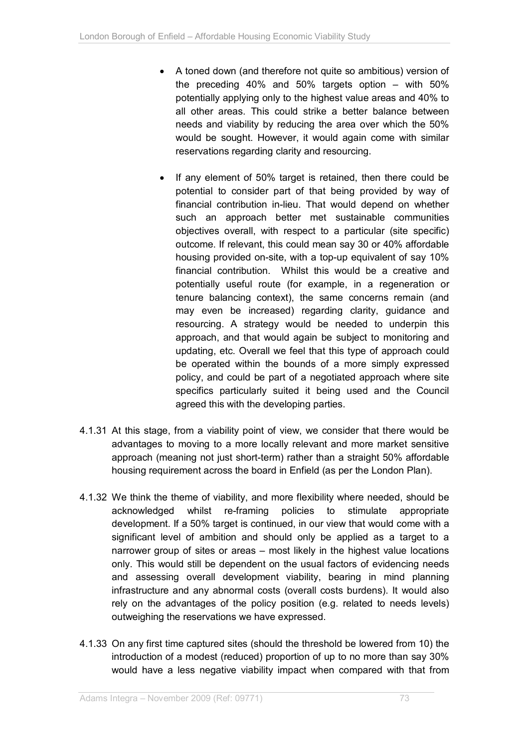- A toned down (and therefore not quite so ambitious) version of the preceding 40% and 50% targets option – with 50% potentially applying only to the highest value areas and 40% to all other areas. This could strike a better balance between needs and viability by reducing the area over which the 50% would be sought. However, it would again come with similar reservations regarding clarity and resourcing.
- If any element of 50% target is retained, then there could be potential to consider part of that being provided by way of financial contribution in-lieu. That would depend on whether such an approach better met sustainable communities objectives overall, with respect to a particular (site specific) outcome. If relevant, this could mean say 30 or 40% affordable housing provided on-site, with a top-up equivalent of say 10% financial contribution. Whilst this would be a creative and potentially useful route (for example, in a regeneration or tenure balancing context), the same concerns remain (and may even be increased) regarding clarity, guidance and resourcing. A strategy would be needed to underpin this approach, and that would again be subject to monitoring and updating, etc. Overall we feel that this type of approach could be operated within the bounds of a more simply expressed policy, and could be part of a negotiated approach where site specifics particularly suited it being used and the Council agreed this with the developing parties.
- 4.1.31 At this stage, from a viability point of view, we consider that there would be advantages to moving to a more locally relevant and more market sensitive approach (meaning not just short-term) rather than a straight 50% affordable housing requirement across the board in Enfield (as per the London Plan).
- 4.1.32 We think the theme of viability, and more flexibility where needed, should be acknowledged whilst re-framing policies to stimulate appropriate development. If a 50% target is continued, in our view that would come with a significant level of ambition and should only be applied as a target to a narrower group of sites or areas – most likely in the highest value locations only. This would still be dependent on the usual factors of evidencing needs and assessing overall development viability, bearing in mind planning infrastructure and any abnormal costs (overall costs burdens). It would also rely on the advantages of the policy position (e.g. related to needs levels) outweighing the reservations we have expressed.
- 4.1.33 On any first time captured sites (should the threshold be lowered from 10) the introduction of a modest (reduced) proportion of up to no more than say 30% would have a less negative viability impact when compared with that from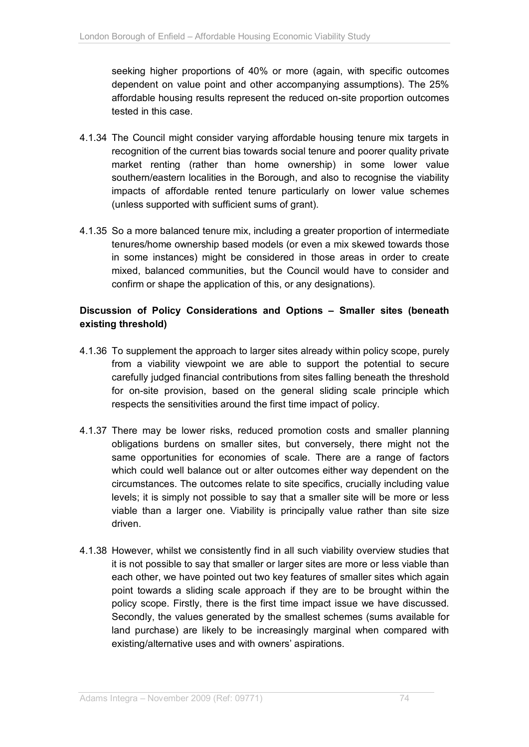seeking higher proportions of 40% or more (again, with specific outcomes dependent on value point and other accompanying assumptions). The 25% affordable housing results represent the reduced on-site proportion outcomes tested in this case.

- 4.1.34 The Council might consider varying affordable housing tenure mix targets in recognition of the current bias towards social tenure and poorer quality private market renting (rather than home ownership) in some lower value southern/eastern localities in the Borough, and also to recognise the viability impacts of affordable rented tenure particularly on lower value schemes (unless supported with sufficient sums of grant).
- 4.1.35 So a more balanced tenure mix, including a greater proportion of intermediate tenures/home ownership based models (or even a mix skewed towards those in some instances) might be considered in those areas in order to create mixed, balanced communities, but the Council would have to consider and confirm or shape the application of this, or any designations).

#### **Discussion of Policy Considerations and Options – Smaller sites (beneath existing threshold)**

- 4.1.36 To supplement the approach to larger sites already within policy scope, purely from a viability viewpoint we are able to support the potential to secure carefully judged financial contributions from sites falling beneath the threshold for on-site provision, based on the general sliding scale principle which respects the sensitivities around the first time impact of policy.
- 4.1.37 There may be lower risks, reduced promotion costs and smaller planning obligations burdens on smaller sites, but conversely, there might not the same opportunities for economies of scale. There are a range of factors which could well balance out or alter outcomes either way dependent on the circumstances. The outcomes relate to site specifics, crucially including value levels; it is simply not possible to say that a smaller site will be more or less viable than a larger one. Viability is principally value rather than site size driven.
- 4.1.38 However, whilst we consistently find in all such viability overview studies that it is not possible to say that smaller or larger sites are more or less viable than each other, we have pointed out two key features of smaller sites which again point towards a sliding scale approach if they are to be brought within the policy scope. Firstly, there is the first time impact issue we have discussed. Secondly, the values generated by the smallest schemes (sums available for land purchase) are likely to be increasingly marginal when compared with existing/alternative uses and with owners' aspirations.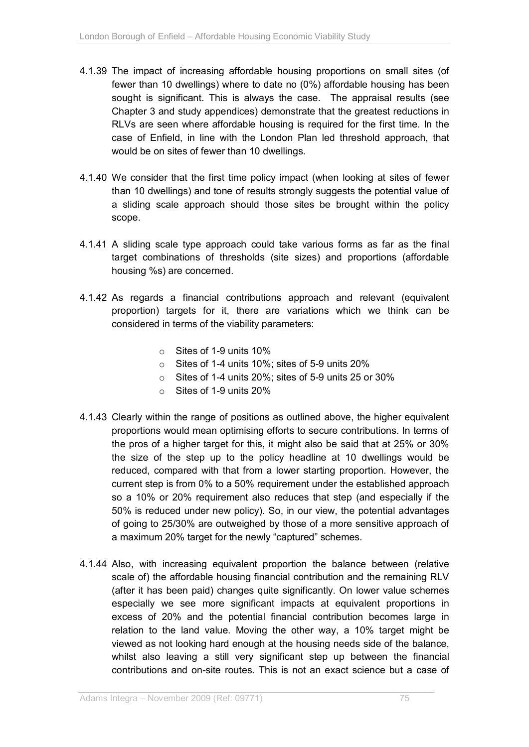- 4.1.39 The impact of increasing affordable housing proportions on small sites (of fewer than 10 dwellings) where to date no (0%) affordable housing has been sought is significant. This is always the case. The appraisal results (see Chapter 3 and study appendices) demonstrate that the greatest reductions in RLVs are seen where affordable housing is required for the first time. In the case of Enfield, in line with the London Plan led threshold approach, that would be on sites of fewer than 10 dwellings.
- 4.1.40 We consider that the first time policy impact (when looking at sites of fewer than 10 dwellings) and tone of results strongly suggests the potential value of a sliding scale approach should those sites be brought within the policy scope.
- 4.1.41 A sliding scale type approach could take various forms as far as the final target combinations of thresholds (site sizes) and proportions (affordable housing %s) are concerned.
- 4.1.42 As regards a financial contributions approach and relevant (equivalent proportion) targets for it, there are variations which we think can be considered in terms of the viability parameters:
	- o Sites of 1-9 units 10%
	- o Sites of 1-4 units 10%; sites of 5-9 units 20%
	- o Sites of 1-4 units 20%; sites of 5-9 units 25 or 30%
	- $\circ$  Sites of 1-9 units 20%
- 4.1.43 Clearly within the range of positions as outlined above, the higher equivalent proportions would mean optimising efforts to secure contributions. In terms of the pros of a higher target for this, it might also be said that at 25% or 30% the size of the step up to the policy headline at 10 dwellings would be reduced, compared with that from a lower starting proportion. However, the current step is from 0% to a 50% requirement under the established approach so a 10% or 20% requirement also reduces that step (and especially if the 50% is reduced under new policy). So, in our view, the potential advantages of going to 25/30% are outweighed by those of a more sensitive approach of a maximum 20% target for the newly "captured" schemes.
- 4.1.44 Also, with increasing equivalent proportion the balance between (relative scale of) the affordable housing financial contribution and the remaining RLV (after it has been paid) changes quite significantly. On lower value schemes especially we see more significant impacts at equivalent proportions in excess of 20% and the potential financial contribution becomes large in relation to the land value. Moving the other way, a 10% target might be viewed as not looking hard enough at the housing needs side of the balance, whilst also leaving a still very significant step up between the financial contributions and on-site routes. This is not an exact science but a case of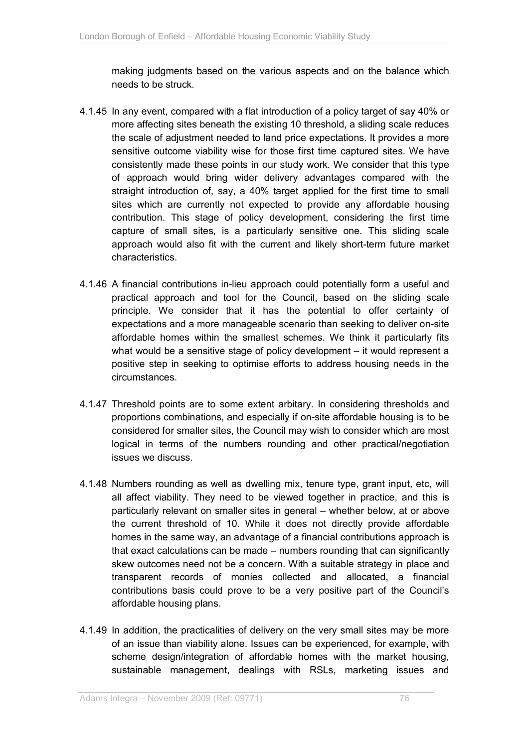making judgments based on the various aspects and on the balance which needs to be struck.

- 4.1.45 In any event, compared with a flat introduction of a policy target of say 40% or more affecting sites beneath the existing 10 threshold, a sliding scale reduces the scale of adjustment needed to land price expectations. It provides a more sensitive outcome viability wise for those first time captured sites. We have consistently made these points in our study work. We consider that this type of approach would bring wider delivery advantages compared with the straight introduction of, say, a 40% target applied for the first time to small sites which are currently not expected to provide any affordable housing contribution. This stage of policy development, considering the first time capture of small sites, is a particularly sensitive one. This sliding scale approach would also fit with the current and likely short-term future market characteristics.
- 4.1.46 A financial contributions in-lieu approach could potentially form a useful and practical approach and tool for the Council, based on the sliding scale principle. We consider that it has the potential to offer certainty of expectations and a more manageable scenario than seeking to deliver on-site affordable homes within the smallest schemes. We think it particularly fits what would be a sensitive stage of policy development – it would represent a positive step in seeking to optimise efforts to address housing needs in the circumstances.
- 4.1.47 Threshold points are to some extent arbitary. In considering thresholds and proportions combinations, and especially if on-site affordable housing is to be considered for smaller sites, the Council may wish to consider which are most logical in terms of the numbers rounding and other practical/negotiation issues we discuss.
- 4.1.48 Numbers rounding as well as dwelling mix, tenure type, grant input, etc, will all affect viability. They need to be viewed together in practice, and this is particularly relevant on smaller sites in general – whether below, at or above the current threshold of 10. While it does not directly provide affordable homes in the same way, an advantage of a financial contributions approach is that exact calculations can be made – numbers rounding that can significantly skew outcomes need not be a concern. With a suitable strategy in place and transparent records of monies collected and allocated, a financial contributions basis could prove to be a very positive part of the Council's affordable housing plans.
- 4.1.49 In addition, the practicalities of delivery on the very small sites may be more of an issue than viability alone. Issues can be experienced, for example, with scheme design/integration of affordable homes with the market housing, sustainable management, dealings with RSLs, marketing issues and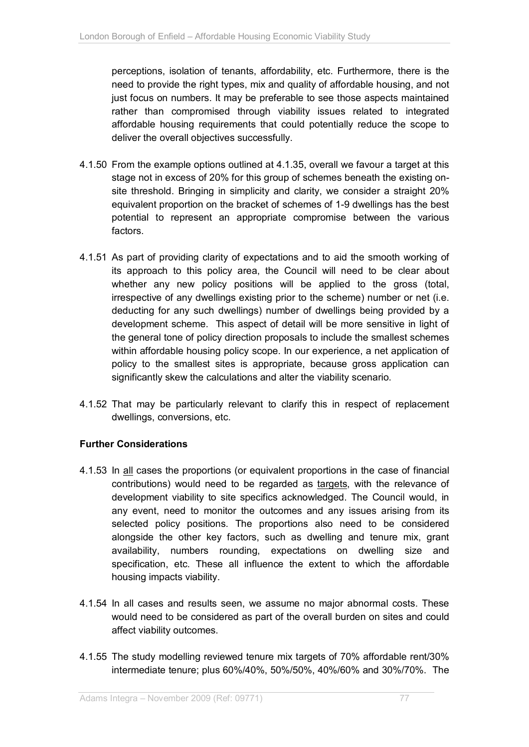perceptions, isolation of tenants, affordability, etc. Furthermore, there is the need to provide the right types, mix and quality of affordable housing, and not just focus on numbers. It may be preferable to see those aspects maintained rather than compromised through viability issues related to integrated affordable housing requirements that could potentially reduce the scope to deliver the overall objectives successfully.

- 4.1.50 From the example options outlined at 4.1.35, overall we favour a target at this stage not in excess of 20% for this group of schemes beneath the existing onsite threshold. Bringing in simplicity and clarity, we consider a straight 20% equivalent proportion on the bracket of schemes of 1-9 dwellings has the best potential to represent an appropriate compromise between the various factors.
- 4.1.51 As part of providing clarity of expectations and to aid the smooth working of its approach to this policy area, the Council will need to be clear about whether any new policy positions will be applied to the gross (total, irrespective of any dwellings existing prior to the scheme) number or net (i.e. deducting for any such dwellings) number of dwellings being provided by a development scheme. This aspect of detail will be more sensitive in light of the general tone of policy direction proposals to include the smallest schemes within affordable housing policy scope. In our experience, a net application of policy to the smallest sites is appropriate, because gross application can significantly skew the calculations and alter the viability scenario.
- 4.1.52 That may be particularly relevant to clarify this in respect of replacement dwellings, conversions, etc.

#### **Further Considerations**

- 4.1.53 In all cases the proportions (or equivalent proportions in the case of financial contributions) would need to be regarded as targets, with the relevance of development viability to site specifics acknowledged. The Council would, in any event, need to monitor the outcomes and any issues arising from its selected policy positions. The proportions also need to be considered alongside the other key factors, such as dwelling and tenure mix, grant availability, numbers rounding, expectations on dwelling size and specification, etc. These all influence the extent to which the affordable housing impacts viability.
- 4.1.54 In all cases and results seen, we assume no major abnormal costs. These would need to be considered as part of the overall burden on sites and could affect viability outcomes.
- 4.1.55 The study modelling reviewed tenure mix targets of 70% affordable rent/30% intermediate tenure; plus 60%/40%, 50%/50%, 40%/60% and 30%/70%. The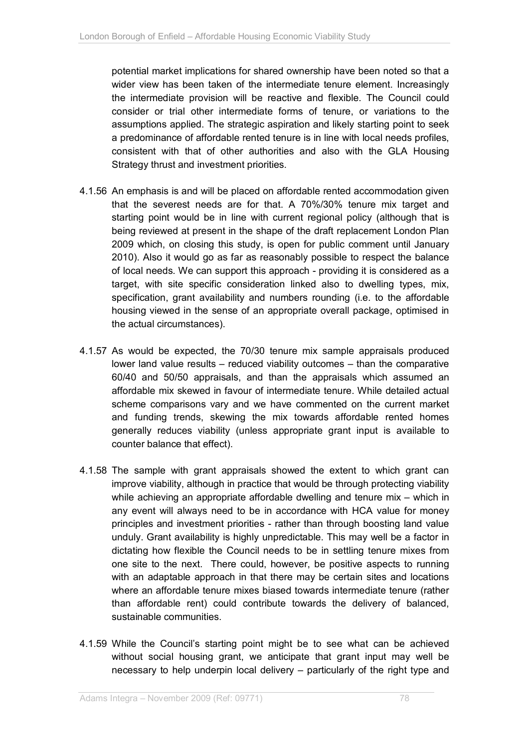potential market implications for shared ownership have been noted so that a wider view has been taken of the intermediate tenure element. Increasingly the intermediate provision will be reactive and flexible. The Council could consider or trial other intermediate forms of tenure, or variations to the assumptions applied. The strategic aspiration and likely starting point to seek a predominance of affordable rented tenure is in line with local needs profiles, consistent with that of other authorities and also with the GLA Housing Strategy thrust and investment priorities.

- 4.1.56 An emphasis is and will be placed on affordable rented accommodation given that the severest needs are for that. A 70%/30% tenure mix target and starting point would be in line with current regional policy (although that is being reviewed at present in the shape of the draft replacement London Plan 2009 which, on closing this study, is open for public comment until January 2010). Also it would go as far as reasonably possible to respect the balance of local needs. We can support this approach - providing it is considered as a target, with site specific consideration linked also to dwelling types, mix, specification, grant availability and numbers rounding (i.e. to the affordable housing viewed in the sense of an appropriate overall package, optimised in the actual circumstances).
- 4.1.57 As would be expected, the 70/30 tenure mix sample appraisals produced lower land value results – reduced viability outcomes – than the comparative 60/40 and 50/50 appraisals, and than the appraisals which assumed an affordable mix skewed in favour of intermediate tenure. While detailed actual scheme comparisons vary and we have commented on the current market and funding trends, skewing the mix towards affordable rented homes generally reduces viability (unless appropriate grant input is available to counter balance that effect).
- 4.1.58 The sample with grant appraisals showed the extent to which grant can improve viability, although in practice that would be through protecting viability while achieving an appropriate affordable dwelling and tenure mix – which in any event will always need to be in accordance with HCA value for money principles and investment priorities - rather than through boosting land value unduly. Grant availability is highly unpredictable. This may well be a factor in dictating how flexible the Council needs to be in settling tenure mixes from one site to the next. There could, however, be positive aspects to running with an adaptable approach in that there may be certain sites and locations where an affordable tenure mixes biased towards intermediate tenure (rather than affordable rent) could contribute towards the delivery of balanced, sustainable communities.
- 4.1.59 While the Council's starting point might be to see what can be achieved without social housing grant, we anticipate that grant input may well be necessary to help underpin local delivery – particularly of the right type and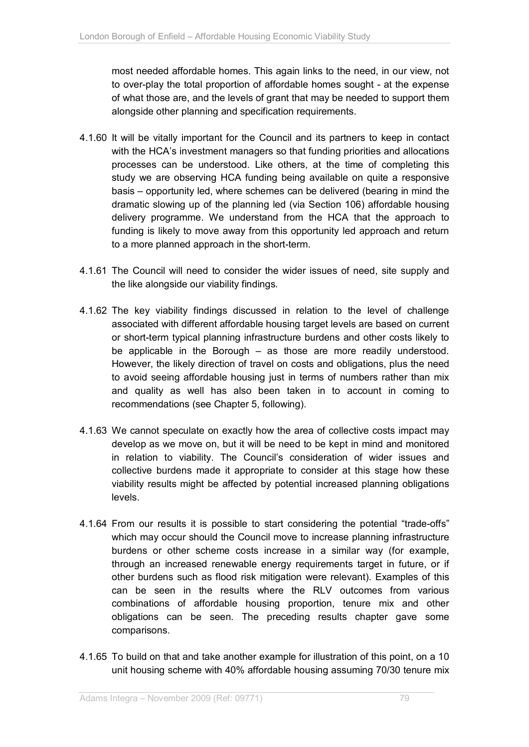most needed affordable homes. This again links to the need, in our view, not to over-play the total proportion of affordable homes sought - at the expense of what those are, and the levels of grant that may be needed to support them alongside other planning and specification requirements.

- 4.1.60 It will be vitally important for the Council and its partners to keep in contact with the HCA's investment managers so that funding priorities and allocations processes can be understood. Like others, at the time of completing this study we are observing HCA funding being available on quite a responsive basis – opportunity led, where schemes can be delivered (bearing in mind the dramatic slowing up of the planning led (via Section 106) affordable housing delivery programme. We understand from the HCA that the approach to funding is likely to move away from this opportunity led approach and return to a more planned approach in the short-term.
- 4.1.61 The Council will need to consider the wider issues of need, site supply and the like alongside our viability findings.
- 4.1.62 The key viability findings discussed in relation to the level of challenge associated with different affordable housing target levels are based on current or short-term typical planning infrastructure burdens and other costs likely to be applicable in the Borough – as those are more readily understood. However, the likely direction of travel on costs and obligations, plus the need to avoid seeing affordable housing just in terms of numbers rather than mix and quality as well has also been taken in to account in coming to recommendations (see Chapter 5, following).
- 4.1.63 We cannot speculate on exactly how the area of collective costs impact may develop as we move on, but it will be need to be kept in mind and monitored in relation to viability. The Council's consideration of wider issues and collective burdens made it appropriate to consider at this stage how these viability results might be affected by potential increased planning obligations levels.
- 4.1.64 From our results it is possible to start considering the potential "trade-offs" which may occur should the Council move to increase planning infrastructure burdens or other scheme costs increase in a similar way (for example, through an increased renewable energy requirements target in future, or if other burdens such as flood risk mitigation were relevant). Examples of this can be seen in the results where the RLV outcomes from various combinations of affordable housing proportion, tenure mix and other obligations can be seen. The preceding results chapter gave some comparisons.
- 4.1.65 To build on that and take another example for illustration of this point, on a 10 unit housing scheme with 40% affordable housing assuming 70/30 tenure mix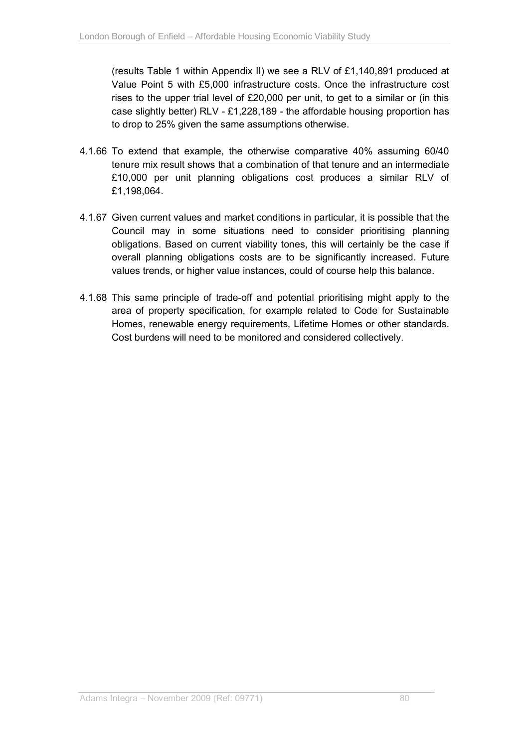(results Table 1 within Appendix II) we see a RLV of £1,140,891 produced at Value Point 5 with £5,000 infrastructure costs. Once the infrastructure cost rises to the upper trial level of £20,000 per unit, to get to a similar or (in this case slightly better) RLV - £1,228,189 - the affordable housing proportion has to drop to 25% given the same assumptions otherwise.

- 4.1.66 To extend that example, the otherwise comparative 40% assuming 60/40 tenure mix result shows that a combination of that tenure and an intermediate £10,000 per unit planning obligations cost produces a similar RLV of £1,198,064.
- 4.1.67 Given current values and market conditions in particular, it is possible that the Council may in some situations need to consider prioritising planning obligations. Based on current viability tones, this will certainly be the case if overall planning obligations costs are to be significantly increased. Future values trends, or higher value instances, could of course help this balance.
- 4.1.68 This same principle of trade-off and potential prioritising might apply to the area of property specification, for example related to Code for Sustainable Homes, renewable energy requirements, Lifetime Homes or other standards. Cost burdens will need to be monitored and considered collectively.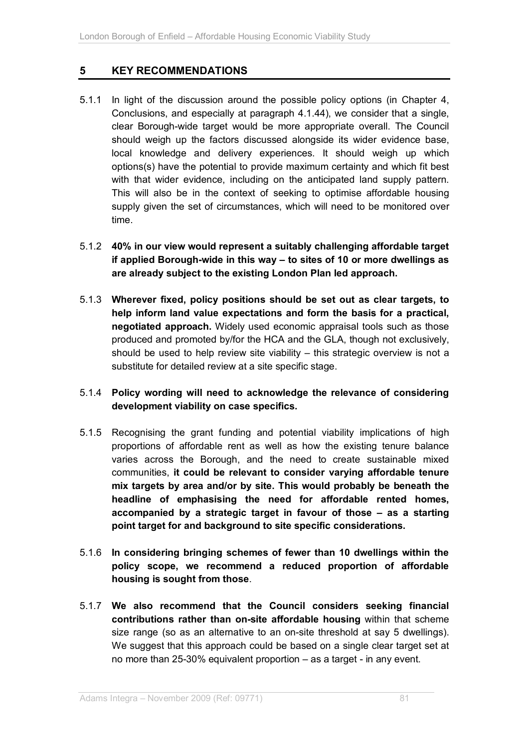# **5 KEY RECOMMENDATIONS**

5.1.1 In light of the discussion around the possible policy options (in Chapter 4, Conclusions, and especially at paragraph 4.1.44), we consider that a single, clear Borough-wide target would be more appropriate overall. The Council should weigh up the factors discussed alongside its wider evidence base, local knowledge and delivery experiences. It should weigh up which options(s) have the potential to provide maximum certainty and which fit best with that wider evidence, including on the anticipated land supply pattern. This will also be in the context of seeking to optimise affordable housing supply given the set of circumstances, which will need to be monitored over time.

## 5.1.2 **40% in our view would represent a suitably challenging affordable target if applied Borough-wide in this way – to sites of 10 or more dwellings as are already subject to the existing London Plan led approach.**

5.1.3 **Wherever fixed, policy positions should be set out as clear targets, to help inform land value expectations and form the basis for a practical, negotiated approach.** Widely used economic appraisal tools such as those produced and promoted by/for the HCA and the GLA, though not exclusively, should be used to help review site viability – this strategic overview is not a substitute for detailed review at a site specific stage.

#### 5.1.4 **Policy wording will need to acknowledge the relevance of considering development viability on case specifics.**

- 5.1.5 Recognising the grant funding and potential viability implications of high proportions of affordable rent as well as how the existing tenure balance varies across the Borough, and the need to create sustainable mixed communities, **it could be relevant to consider varying affordable tenure mix targets by area and/or by site. This would probably be beneath the headline of emphasising the need for affordable rented homes, accompanied by a strategic target in favour of those – as a starting point target for and background to site specific considerations.**
- 5.1.6 **In considering bringing schemes of fewer than 10 dwellings within the policy scope, we recommend a reduced proportion of affordable housing is sought from those**.
- 5.1.7 **We also recommend that the Council considers seeking financial contributions rather than on-site affordable housing** within that scheme size range (so as an alternative to an on-site threshold at say 5 dwellings). We suggest that this approach could be based on a single clear target set at no more than 25-30% equivalent proportion – as a target - in any event.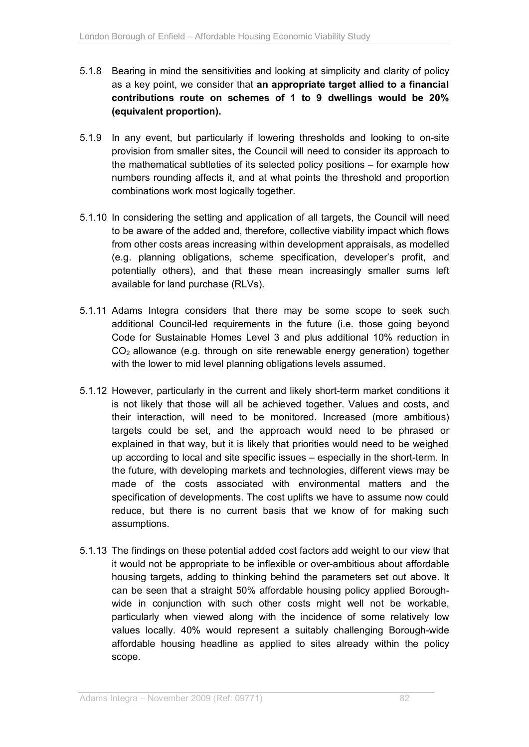- 5.1.8 Bearing in mind the sensitivities and looking at simplicity and clarity of policy as a key point, we consider that **an appropriate target allied to a financial contributions route on schemes of 1 to 9 dwellings would be 20% (equivalent proportion).**
- 5.1.9 In any event, but particularly if lowering thresholds and looking to on-site provision from smaller sites, the Council will need to consider its approach to the mathematical subtleties of its selected policy positions – for example how numbers rounding affects it, and at what points the threshold and proportion combinations work most logically together.
- 5.1.10 In considering the setting and application of all targets, the Council will need to be aware of the added and, therefore, collective viability impact which flows from other costs areas increasing within development appraisals, as modelled (e.g. planning obligations, scheme specification, developer's profit, and potentially others), and that these mean increasingly smaller sums left available for land purchase (RLVs).
- 5.1.11 Adams Integra considers that there may be some scope to seek such additional Council-led requirements in the future (i.e. those going beyond Code for Sustainable Homes Level 3 and plus additional 10% reduction in  $CO<sub>2</sub>$  allowance (e.g. through on site renewable energy generation) together with the lower to mid level planning obligations levels assumed.
- 5.1.12 However, particularly in the current and likely short-term market conditions it is not likely that those will all be achieved together. Values and costs, and their interaction, will need to be monitored. Increased (more ambitious) targets could be set, and the approach would need to be phrased or explained in that way, but it is likely that priorities would need to be weighed up according to local and site specific issues – especially in the short-term. In the future, with developing markets and technologies, different views may be made of the costs associated with environmental matters and the specification of developments. The cost uplifts we have to assume now could reduce, but there is no current basis that we know of for making such assumptions.
- 5.1.13 The findings on these potential added cost factors add weight to our view that it would not be appropriate to be inflexible or over-ambitious about affordable housing targets, adding to thinking behind the parameters set out above. It can be seen that a straight 50% affordable housing policy applied Boroughwide in conjunction with such other costs might well not be workable, particularly when viewed along with the incidence of some relatively low values locally. 40% would represent a suitably challenging Borough-wide affordable housing headline as applied to sites already within the policy scope.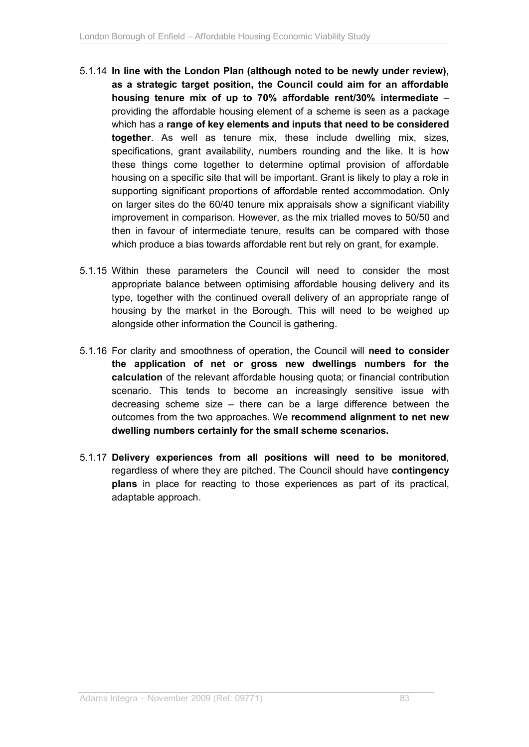- 5.1.14 **In line with the London Plan (although noted to be newly under review), as a strategic target position, the Council could aim for an affordable housing tenure mix of up to 70% affordable rent/30% intermediate** – providing the affordable housing element of a scheme is seen as a package which has a **range of key elements and inputs that need to be considered together**. As well as tenure mix, these include dwelling mix, sizes, specifications, grant availability, numbers rounding and the like. It is how these things come together to determine optimal provision of affordable housing on a specific site that will be important. Grant is likely to play a role in supporting significant proportions of affordable rented accommodation. Only on larger sites do the 60/40 tenure mix appraisals show a significant viability improvement in comparison. However, as the mix trialled moves to 50/50 and then in favour of intermediate tenure, results can be compared with those which produce a bias towards affordable rent but rely on grant, for example.
- 5.1.15 Within these parameters the Council will need to consider the most appropriate balance between optimising affordable housing delivery and its type, together with the continued overall delivery of an appropriate range of housing by the market in the Borough. This will need to be weighed up alongside other information the Council is gathering.
- 5.1.16 For clarity and smoothness of operation, the Council will **need to consider the application of net or gross new dwellings numbers for the calculation** of the relevant affordable housing quota; or financial contribution scenario. This tends to become an increasingly sensitive issue with decreasing scheme size – there can be a large difference between the outcomes from the two approaches. We **recommend alignment to net new dwelling numbers certainly for the small scheme scenarios.**
- 5.1.17 **Delivery experiences from all positions will need to be monitored**, regardless of where they are pitched. The Council should have **contingency plans** in place for reacting to those experiences as part of its practical, adaptable approach.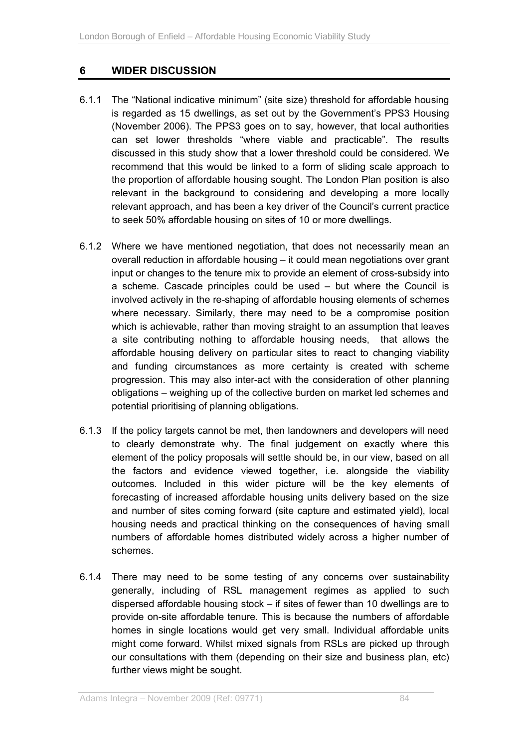# **6 WIDER DISCUSSION**

- 6.1.1 The "National indicative minimum" (site size) threshold for affordable housing is regarded as 15 dwellings, as set out by the Government's PPS3 Housing (November 2006). The PPS3 goes on to say, however, that local authorities can set lower thresholds "where viable and practicable". The results discussed in this study show that a lower threshold could be considered. We recommend that this would be linked to a form of sliding scale approach to the proportion of affordable housing sought. The London Plan position is also relevant in the background to considering and developing a more locally relevant approach, and has been a key driver of the Council's current practice to seek 50% affordable housing on sites of 10 or more dwellings.
- 6.1.2 Where we have mentioned negotiation, that does not necessarily mean an overall reduction in affordable housing – it could mean negotiations over grant input or changes to the tenure mix to provide an element of cross-subsidy into a scheme. Cascade principles could be used – but where the Council is involved actively in the re-shaping of affordable housing elements of schemes where necessary. Similarly, there may need to be a compromise position which is achievable, rather than moving straight to an assumption that leaves a site contributing nothing to affordable housing needs, that allows the affordable housing delivery on particular sites to react to changing viability and funding circumstances as more certainty is created with scheme progression. This may also inter-act with the consideration of other planning obligations – weighing up of the collective burden on market led schemes and potential prioritising of planning obligations.
- 6.1.3 If the policy targets cannot be met, then landowners and developers will need to clearly demonstrate why. The final judgement on exactly where this element of the policy proposals will settle should be, in our view, based on all the factors and evidence viewed together, i.e. alongside the viability outcomes. Included in this wider picture will be the key elements of forecasting of increased affordable housing units delivery based on the size and number of sites coming forward (site capture and estimated yield), local housing needs and practical thinking on the consequences of having small numbers of affordable homes distributed widely across a higher number of schemes.
- 6.1.4 There may need to be some testing of any concerns over sustainability generally, including of RSL management regimes as applied to such dispersed affordable housing stock – if sites of fewer than 10 dwellings are to provide on-site affordable tenure. This is because the numbers of affordable homes in single locations would get very small. Individual affordable units might come forward. Whilst mixed signals from RSLs are picked up through our consultations with them (depending on their size and business plan, etc) further views might be sought.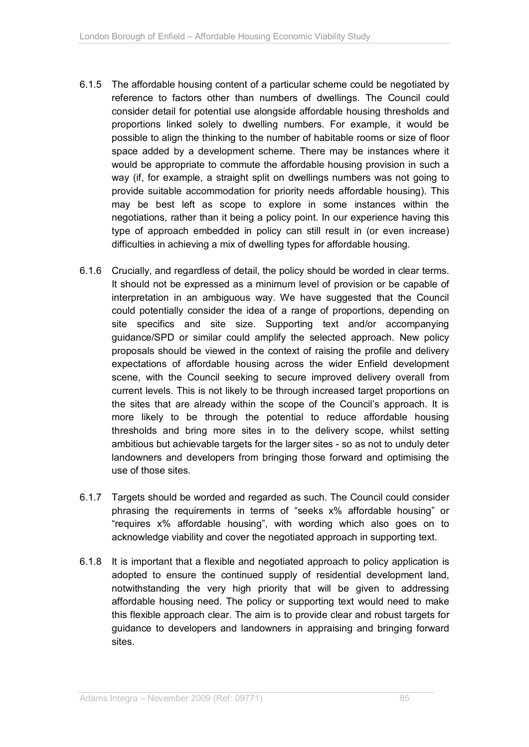- 6.1.5 The affordable housing content of a particular scheme could be negotiated by reference to factors other than numbers of dwellings. The Council could consider detail for potential use alongside affordable housing thresholds and proportions linked solely to dwelling numbers. For example, it would be possible to align the thinking to the number of habitable rooms or size of floor space added by a development scheme. There may be instances where it would be appropriate to commute the affordable housing provision in such a way (if, for example, a straight split on dwellings numbers was not going to provide suitable accommodation for priority needs affordable housing). This may be best left as scope to explore in some instances within the negotiations, rather than it being a policy point. In our experience having this type of approach embedded in policy can still result in (or even increase) difficulties in achieving a mix of dwelling types for affordable housing.
- 6.1.6 Crucially, and regardless of detail, the policy should be worded in clear terms. It should not be expressed as a minimum level of provision or be capable of interpretation in an ambiguous way. We have suggested that the Council could potentially consider the idea of a range of proportions, depending on site specifics and site size. Supporting text and/or accompanying guidance/SPD or similar could amplify the selected approach. New policy proposals should be viewed in the context of raising the profile and delivery expectations of affordable housing across the wider Enfield development scene, with the Council seeking to secure improved delivery overall from current levels. This is not likely to be through increased target proportions on the sites that are already within the scope of the Council's approach. It is more likely to be through the potential to reduce affordable housing thresholds and bring more sites in to the delivery scope, whilst setting ambitious but achievable targets for the larger sites - so as not to unduly deter landowners and developers from bringing those forward and optimising the use of those sites.
- 6.1.7 Targets should be worded and regarded as such. The Council could consider phrasing the requirements in terms of "seeks x% affordable housing" or "requires x% affordable housing", with wording which also goes on to acknowledge viability and cover the negotiated approach in supporting text.
- 6.1.8 It is important that a flexible and negotiated approach to policy application is adopted to ensure the continued supply of residential development land, notwithstanding the very high priority that will be given to addressing affordable housing need. The policy or supporting text would need to make this flexible approach clear. The aim is to provide clear and robust targets for guidance to developers and landowners in appraising and bringing forward sites.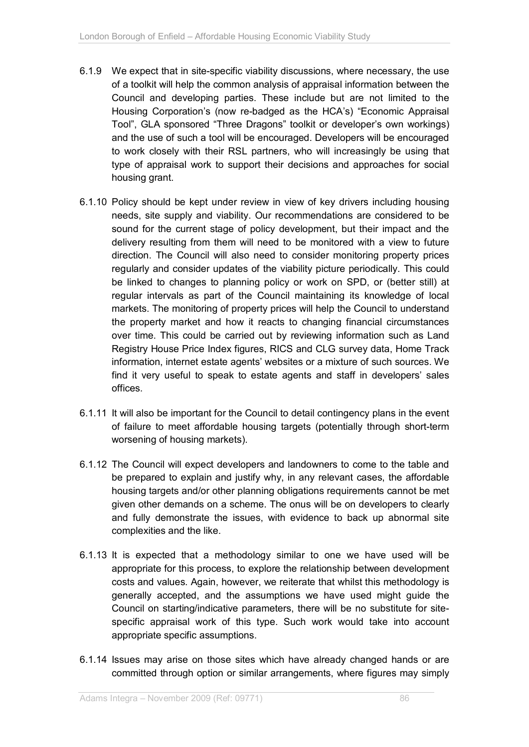- 6.1.9 We expect that in site-specific viability discussions, where necessary, the use of a toolkit will help the common analysis of appraisal information between the Council and developing parties. These include but are not limited to the Housing Corporation's (now re-badged as the HCA's) "Economic Appraisal Tool", GLA sponsored "Three Dragons" toolkit or developer's own workings) and the use of such a tool will be encouraged. Developers will be encouraged to work closely with their RSL partners, who will increasingly be using that type of appraisal work to support their decisions and approaches for social housing grant.
- 6.1.10 Policy should be kept under review in view of key drivers including housing needs, site supply and viability. Our recommendations are considered to be sound for the current stage of policy development, but their impact and the delivery resulting from them will need to be monitored with a view to future direction. The Council will also need to consider monitoring property prices regularly and consider updates of the viability picture periodically. This could be linked to changes to planning policy or work on SPD, or (better still) at regular intervals as part of the Council maintaining its knowledge of local markets. The monitoring of property prices will help the Council to understand the property market and how it reacts to changing financial circumstances over time. This could be carried out by reviewing information such as Land Registry House Price Index figures, RICS and CLG survey data, Home Track information, internet estate agents' websites or a mixture of such sources. We find it very useful to speak to estate agents and staff in developers' sales offices.
- 6.1.11 It will also be important for the Council to detail contingency plans in the event of failure to meet affordable housing targets (potentially through short-term worsening of housing markets).
- 6.1.12 The Council will expect developers and landowners to come to the table and be prepared to explain and justify why, in any relevant cases, the affordable housing targets and/or other planning obligations requirements cannot be met given other demands on a scheme. The onus will be on developers to clearly and fully demonstrate the issues, with evidence to back up abnormal site complexities and the like.
- 6.1.13 It is expected that a methodology similar to one we have used will be appropriate for this process, to explore the relationship between development costs and values. Again, however, we reiterate that whilst this methodology is generally accepted, and the assumptions we have used might guide the Council on starting/indicative parameters, there will be no substitute for sitespecific appraisal work of this type. Such work would take into account appropriate specific assumptions.
- 6.1.14 Issues may arise on those sites which have already changed hands or are committed through option or similar arrangements, where figures may simply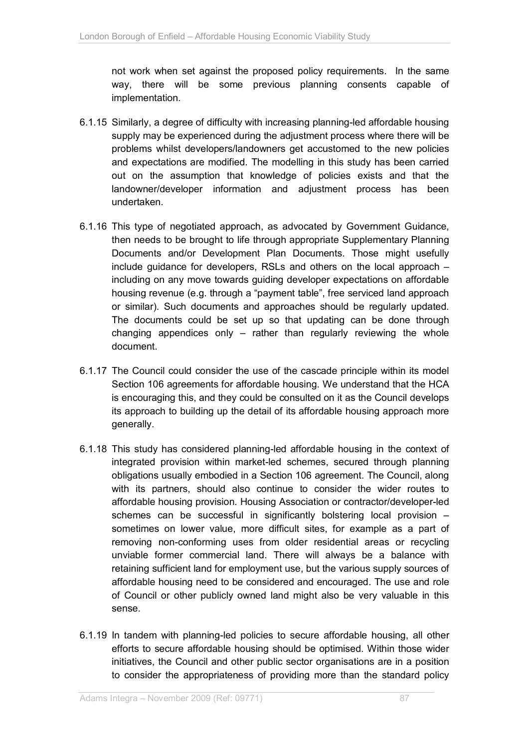not work when set against the proposed policy requirements. In the same way, there will be some previous planning consents capable of implementation.

- 6.1.15 Similarly, a degree of difficulty with increasing planning-led affordable housing supply may be experienced during the adjustment process where there will be problems whilst developers/landowners get accustomed to the new policies and expectations are modified. The modelling in this study has been carried out on the assumption that knowledge of policies exists and that the landowner/developer information and adjustment process has been undertaken.
- 6.1.16 This type of negotiated approach, as advocated by Government Guidance, then needs to be brought to life through appropriate Supplementary Planning Documents and/or Development Plan Documents. Those might usefully include guidance for developers, RSLs and others on the local approach – including on any move towards guiding developer expectations on affordable housing revenue (e.g. through a "payment table", free serviced land approach or similar). Such documents and approaches should be regularly updated. The documents could be set up so that updating can be done through changing appendices only – rather than regularly reviewing the whole document.
- 6.1.17 The Council could consider the use of the cascade principle within its model Section 106 agreements for affordable housing. We understand that the HCA is encouraging this, and they could be consulted on it as the Council develops its approach to building up the detail of its affordable housing approach more generally.
- 6.1.18 This study has considered planning-led affordable housing in the context of integrated provision within market-led schemes, secured through planning obligations usually embodied in a Section 106 agreement. The Council, along with its partners, should also continue to consider the wider routes to affordable housing provision. Housing Association or contractor/developer-led schemes can be successful in significantly bolstering local provision – sometimes on lower value, more difficult sites, for example as a part of removing non-conforming uses from older residential areas or recycling unviable former commercial land. There will always be a balance with retaining sufficient land for employment use, but the various supply sources of affordable housing need to be considered and encouraged. The use and role of Council or other publicly owned land might also be very valuable in this sense.
- 6.1.19 In tandem with planning-led policies to secure affordable housing, all other efforts to secure affordable housing should be optimised. Within those wider initiatives, the Council and other public sector organisations are in a position to consider the appropriateness of providing more than the standard policy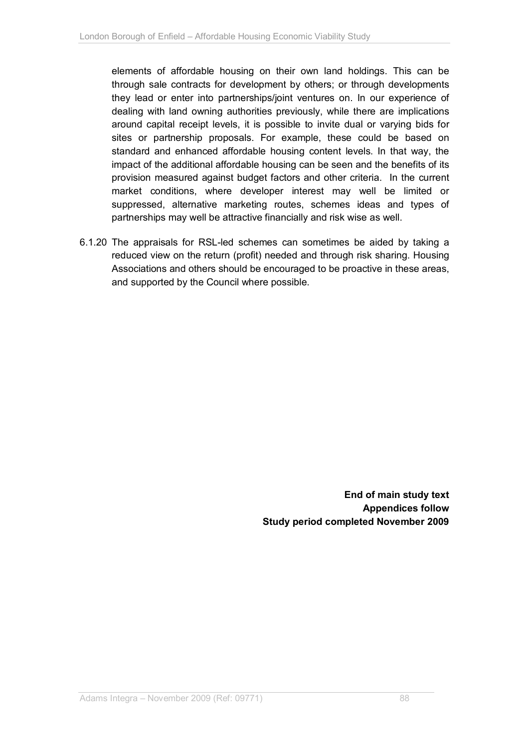elements of affordable housing on their own land holdings. This can be through sale contracts for development by others; or through developments they lead or enter into partnerships/joint ventures on. In our experience of dealing with land owning authorities previously, while there are implications around capital receipt levels, it is possible to invite dual or varying bids for sites or partnership proposals. For example, these could be based on standard and enhanced affordable housing content levels. In that way, the impact of the additional affordable housing can be seen and the benefits of its provision measured against budget factors and other criteria. In the current market conditions, where developer interest may well be limited or suppressed, alternative marketing routes, schemes ideas and types of partnerships may well be attractive financially and risk wise as well.

6.1.20 The appraisals for RSL-led schemes can sometimes be aided by taking a reduced view on the return (profit) needed and through risk sharing. Housing Associations and others should be encouraged to be proactive in these areas, and supported by the Council where possible.

> **End of main study text Appendices follow Study period completed November 2009**